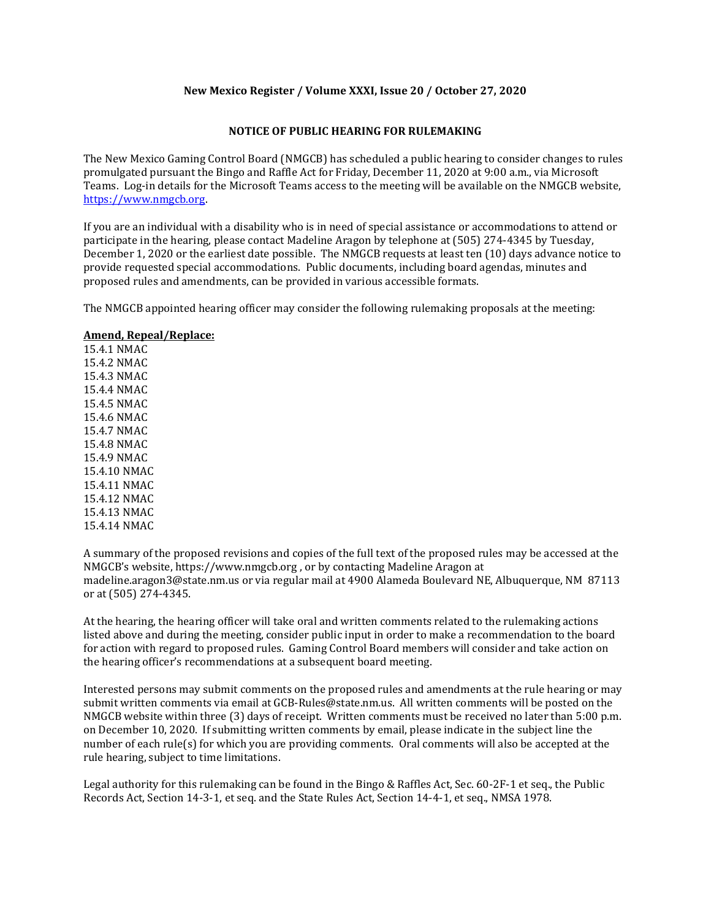### **New Mexico Register / Volume XXXI, Issue 20 / October 27, 2020**

### **NOTICE OF PUBLIC HEARING FOR RULEMAKING**

The New Mexico Gaming Control Board (NMGCB) has scheduled a public hearing to consider changes to rules promulgated pursuant the Bingo and Raffle Act for Friday, December 11, 2020 at 9:00 a.m., via Microsoft Teams. Log-in details for the Microsoft Teams access to the meeting will be available on the NMGCB website, [https://www.nmgcb.org.](https://www.nmgcb.org/)

If you are an individual with a disability who is in need of special assistance or accommodations to attend or participate in the hearing, please contact Madeline Aragon by telephone at (505) 274-4345 by Tuesday, December 1, 2020 or the earliest date possible. The NMGCB requests at least ten (10) days advance notice to provide requested special accommodations. Public documents, including board agendas, minutes and proposed rules and amendments, can be provided in various accessible formats.

The NMGCB appointed hearing officer may consider the following rulemaking proposals at the meeting:

#### **Amend, Repeal/Replace:**

15.4.1 NMAC 15.4.2 NMAC 15.4.3 NMAC 15.4.4 NMAC 15.4.5 NMAC 15.4.6 NMAC 15.4.7 NMAC 15.4.8 NMAC 15.4.9 NMAC 15.4.10 NMAC 15.4.11 NMAC 15.4.12 NMAC 15.4.13 NMAC 15.4.14 NMAC

A summary of the proposed revisions and copies of the full text of the proposed rules may be accessed at the NMGCB's website, https://www.nmgcb.org , or by contacting Madeline Aragon at madeline.aragon3@state.nm.us or via regular mail at 4900 Alameda Boulevard NE, Albuquerque, NM 87113 or at (505) 274-4345.

At the hearing, the hearing officer will take oral and written comments related to the rulemaking actions listed above and during the meeting, consider public input in order to make a recommendation to the board for action with regard to proposed rules. Gaming Control Board members will consider and take action on the hearing officer's recommendations at a subsequent board meeting.

Interested persons may submit comments on the proposed rules and amendments at the rule hearing or may submit written comments via email at GCB-Rules@state.nm.us. All written comments will be posted on the NMGCB website within three (3) days of receipt. Written comments must be received no later than 5:00 p.m. on December 10, 2020. If submitting written comments by email, please indicate in the subject line the number of each rule(s) for which you are providing comments. Oral comments will also be accepted at the rule hearing, subject to time limitations.

Legal authority for this rulemaking can be found in the Bingo & Raffles Act, Sec. 60-2F-1 et seq., the Public Records Act, Section 14-3-1, et seq. and the State Rules Act, Section 14-4-1, et seq., NMSA 1978.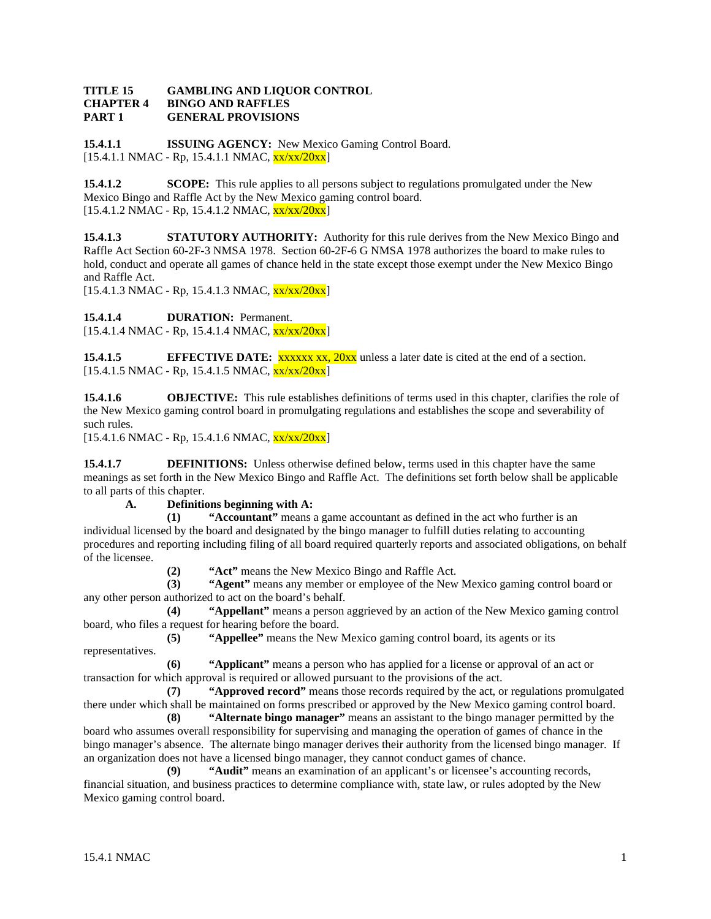#### **TITLE 15 GAMBLING AND LIQUOR CONTROL CHAPTER 4 BINGO AND RAFFLES PART 1 GENERAL PROVISIONS**

**15.4.1.1 ISSUING AGENCY:** New Mexico Gaming Control Board.  $[15.4.1.1 \text{ NMAC} - \text{Rp}, 15.4.1.1 \text{ NMAC}, \frac{\text{xx}{\text{xx}}}{20 \text{xx}}]$ 

**15.4.1.2 SCOPE:** This rule applies to all persons subject to regulations promulgated under the New Mexico Bingo and Raffle Act by the New Mexico gaming control board.  $[15.4.1.2 \text{ NMAC - Rp}, 15.4.1.2 \text{ NMAC}, \frac{\text{xx}}{\text{xx}}/20 \text{xx}]$ 

**15.4.1.3 STATUTORY AUTHORITY:** Authority for this rule derives from the New Mexico Bingo and Raffle Act Section 60-2F-3 NMSA 1978. Section 60-2F-6 G NMSA 1978 authorizes the board to make rules to hold, conduct and operate all games of chance held in the state except those exempt under the New Mexico Bingo and Raffle Act.

 $[15.4.1.3 \text{ NMAC} - \text{Rp}, 15.4.1.3 \text{ NMAC}, \frac{\text{xx}}{\text{xx}}/20 \text{xx}]$ 

**15.4.1.4 DURATION:** Permanent.

 $[15.4.1.4 \text{ NMAC} - \text{Rp}, 15.4.1.4 \text{ NMAC}, \frac{\text{xx}}{\text{xx}}/20 \text{xx}]$ 

**15.4.1.5 EFFECTIVE DATE:** xxxxxx xx, 20xx unless a later date is cited at the end of a section.  $[15.4.1.5 \text{ NMAC} - \text{Rp}, 15.4.1.5 \text{ NMAC}, \frac{\text{xx}}{\text{xx}}/20\text{xx}]$ 

**15.4.1.6 OBJECTIVE:** This rule establishes definitions of terms used in this chapter, clarifies the role of the New Mexico gaming control board in promulgating regulations and establishes the scope and severability of such rules.

 $[15.4.1.6 \text{ NMAC} - \text{Rp}, 15.4.1.6 \text{ NMAC}, \frac{\text{xx}{\text{xx}}}{20 \text{xx}}]$ 

**15.4.1.7 DEFINITIONS:** Unless otherwise defined below, terms used in this chapter have the same meanings as set forth in the New Mexico Bingo and Raffle Act. The definitions set forth below shall be applicable to all parts of this chapter.

# **A. Definitions beginning with A:**

**(1) "Accountant"** means a game accountant as defined in the act who further is an individual licensed by the board and designated by the bingo manager to fulfill duties relating to accounting procedures and reporting including filing of all board required quarterly reports and associated obligations, on behalf of the licensee.

**(2) "Act"** means the New Mexico Bingo and Raffle Act.

**(3) "Agent"** means any member or employee of the New Mexico gaming control board or any other person authorized to act on the board's behalf.

**(4) "Appellant"** means a person aggrieved by an action of the New Mexico gaming control board, who files a request for hearing before the board.

**(5) "Appellee"** means the New Mexico gaming control board, its agents or its representatives.

**(6) "Applicant"** means a person who has applied for a license or approval of an act or transaction for which approval is required or allowed pursuant to the provisions of the act.

**(7) "Approved record"** means those records required by the act, or regulations promulgated there under which shall be maintained on forms prescribed or approved by the New Mexico gaming control board.

**(8) "Alternate bingo manager"** means an assistant to the bingo manager permitted by the board who assumes overall responsibility for supervising and managing the operation of games of chance in the bingo manager's absence. The alternate bingo manager derives their authority from the licensed bingo manager. If an organization does not have a licensed bingo manager, they cannot conduct games of chance.

**(9) "Audit"** means an examination of an applicant's or licensee's accounting records, financial situation, and business practices to determine compliance with, state law, or rules adopted by the New Mexico gaming control board.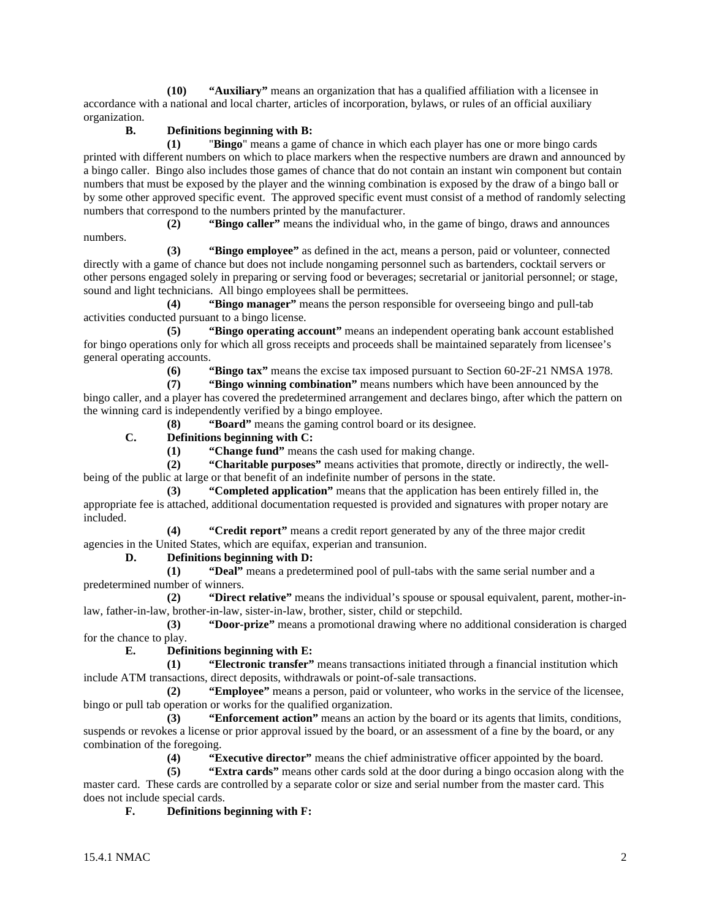**(10) "Auxiliary"** means an organization that has a qualified affiliation with a licensee in accordance with a national and local charter, articles of incorporation, bylaws, or rules of an official auxiliary organization.

# **B. Definitions beginning with B:**

**(1)** "**Bingo**" means a game of chance in which each player has one or more bingo cards printed with different numbers on which to place markers when the respective numbers are drawn and announced by a bingo caller. Bingo also includes those games of chance that do not contain an instant win component but contain numbers that must be exposed by the player and the winning combination is exposed by the draw of a bingo ball or by some other approved specific event. The approved specific event must consist of a method of randomly selecting numbers that correspond to the numbers printed by the manufacturer.

**(2) "Bingo caller"** means the individual who, in the game of bingo, draws and announces numbers.

**(3) "Bingo employee"** as defined in the act, means a person, paid or volunteer, connected directly with a game of chance but does not include nongaming personnel such as bartenders, cocktail servers or other persons engaged solely in preparing or serving food or beverages; secretarial or janitorial personnel; or stage, sound and light technicians. All bingo employees shall be permittees.

**(4) "Bingo manager"** means the person responsible for overseeing bingo and pull-tab activities conducted pursuant to a bingo license.

**(5) "Bingo operating account"** means an independent operating bank account established for bingo operations only for which all gross receipts and proceeds shall be maintained separately from licensee's general operating accounts.

**(6) "Bingo tax"** means the excise tax imposed pursuant to Section 60-2F-21 NMSA 1978.

**(7) "Bingo winning combination"** means numbers which have been announced by the bingo caller, and a player has covered the predetermined arrangement and declares bingo, after which the pattern on the winning card is independently verified by a bingo employee.

**(8) "Board"** means the gaming control board or its designee.

# **C. Definitions beginning with C:**

**(1) "Change fund"** means the cash used for making change.

**(2) "Charitable purposes"** means activities that promote, directly or indirectly, the wellbeing of the public at large or that benefit of an indefinite number of persons in the state.

**(3) "Completed application"** means that the application has been entirely filled in, the appropriate fee is attached, additional documentation requested is provided and signatures with proper notary are included.

**(4) "Credit report"** means a credit report generated by any of the three major credit agencies in the United States, which are equifax, experian and transunion.

#### **D. Definitions beginning with D:**

**(1) "Deal"** means a predetermined pool of pull-tabs with the same serial number and a predetermined number of winners.

**(2) "Direct relative"** means the individual's spouse or spousal equivalent, parent, mother-inlaw, father-in-law, brother-in-law, sister-in-law, brother, sister, child or stepchild.

**(3) "Door-prize"** means a promotional drawing where no additional consideration is charged for the chance to play.

# **E. Definitions beginning with E:**

**(1) "Electronic transfer"** means transactions initiated through a financial institution which include ATM transactions, direct deposits, withdrawals or point-of-sale transactions.

**(2) "Employee"** means a person, paid or volunteer, who works in the service of the licensee, bingo or pull tab operation or works for the qualified organization.

**(3) "Enforcement action"** means an action by the board or its agents that limits, conditions, suspends or revokes a license or prior approval issued by the board, or an assessment of a fine by the board, or any combination of the foregoing.

**(4) "Executive director"** means the chief administrative officer appointed by the board.

**(5) "Extra cards"** means other cards sold at the door during a bingo occasion along with the master card. These cards are controlled by a separate color or size and serial number from the master card. This does not include special cards.

# **F. Definitions beginning with F:**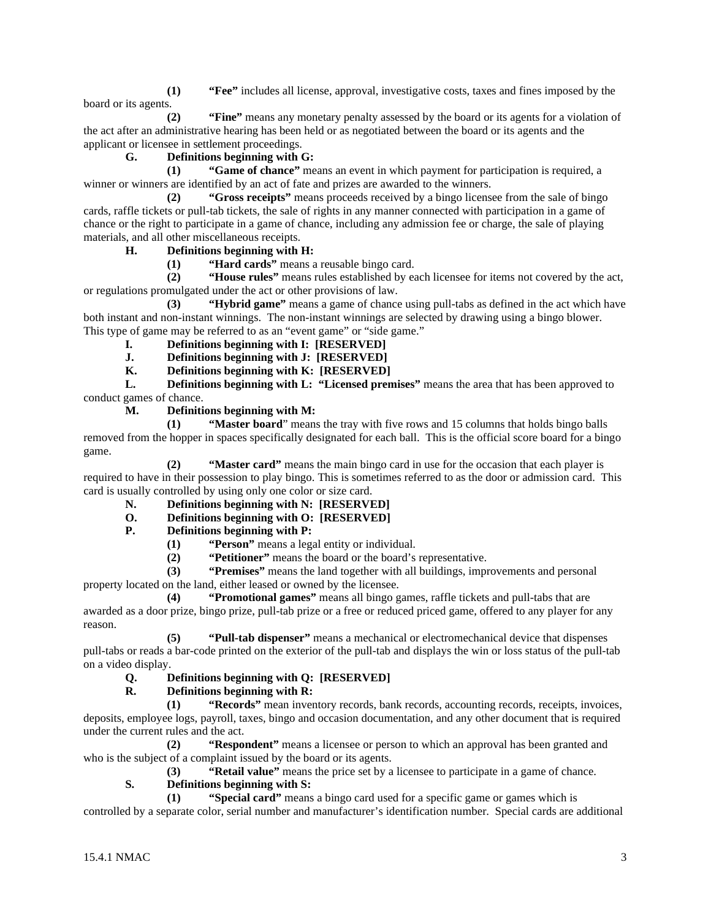**(1) "Fee"** includes all license, approval, investigative costs, taxes and fines imposed by the board or its agents.

**(2) "Fine"** means any monetary penalty assessed by the board or its agents for a violation of the act after an administrative hearing has been held or as negotiated between the board or its agents and the applicant or licensee in settlement proceedings.

# **G. Definitions beginning with G:**

**(1) "Game of chance"** means an event in which payment for participation is required, a winner or winners are identified by an act of fate and prizes are awarded to the winners.

**(2) "Gross receipts"** means proceeds received by a bingo licensee from the sale of bingo cards, raffle tickets or pull-tab tickets, the sale of rights in any manner connected with participation in a game of chance or the right to participate in a game of chance, including any admission fee or charge, the sale of playing materials, and all other miscellaneous receipts.

# **H. Definitions beginning with H:**

**(1) <b>"Hard cards"** means a reusable bingo card.<br>**(2) <b>"House rules"** means rules established by ea

**(2) "House rules"** means rules established by each licensee for items not covered by the act, or regulations promulgated under the act or other provisions of law.

**(3) "Hybrid game"** means a game of chance using pull-tabs as defined in the act which have both instant and non-instant winnings. The non-instant winnings are selected by drawing using a bingo blower. This type of game may be referred to as an "event game" or "side game."

- 
- **I. Definitions beginning with I: [RESERVED]**<br>**J. Definitions beginning with J: [RESERVED] J. Definitions beginning with J: [RESERVED]**
- **K. Definitions beginning with K: [RESERVED]**

**L. Definitions beginning with L: "Licensed premises"** means the area that has been approved to conduct games of chance.

**M. Definitions beginning with M:**

**(1) "Master board**" means the tray with five rows and 15 columns that holds bingo balls removed from the hopper in spaces specifically designated for each ball. This is the official score board for a bingo game.

**(2) "Master card"** means the main bingo card in use for the occasion that each player is required to have in their possession to play bingo. This is sometimes referred to as the door or admission card. This card is usually controlled by using only one color or size card.

- **N. Definitions beginning with N: [RESERVED]**
- **O. Definitions beginning with O: [RESERVED]**

# **P. Definitions beginning with P:**

- **(1) "Person"** means a legal entity or individual.
- **(2) "Petitioner"** means the board or the board's representative.

**(3) "Premises"** means the land together with all buildings, improvements and personal property located on the land, either leased or owned by the licensee.

**(4) "Promotional games"** means all bingo games, raffle tickets and pull-tabs that are awarded as a door prize, bingo prize, pull-tab prize or a free or reduced priced game, offered to any player for any reason.

**(5) "Pull-tab dispenser"** means a mechanical or electromechanical device that dispenses pull-tabs or reads a bar-code printed on the exterior of the pull-tab and displays the win or loss status of the pull-tab on a video display.

# **Q. Definitions beginning with Q: [RESERVED]**

# **R. Definitions beginning with R:**

**(1) "Records"** mean inventory records, bank records, accounting records, receipts, invoices, deposits, employee logs, payroll, taxes, bingo and occasion documentation, and any other document that is required under the current rules and the act.

**(2) "Respondent"** means a licensee or person to which an approval has been granted and who is the subject of a complaint issued by the board or its agents.

**(3) "Retail value"** means the price set by a licensee to participate in a game of chance.

# **S. Definitions beginning with S:**

**(1) "Special card"** means a bingo card used for a specific game or games which is

controlled by a separate color, serial number and manufacturer's identification number. Special cards are additional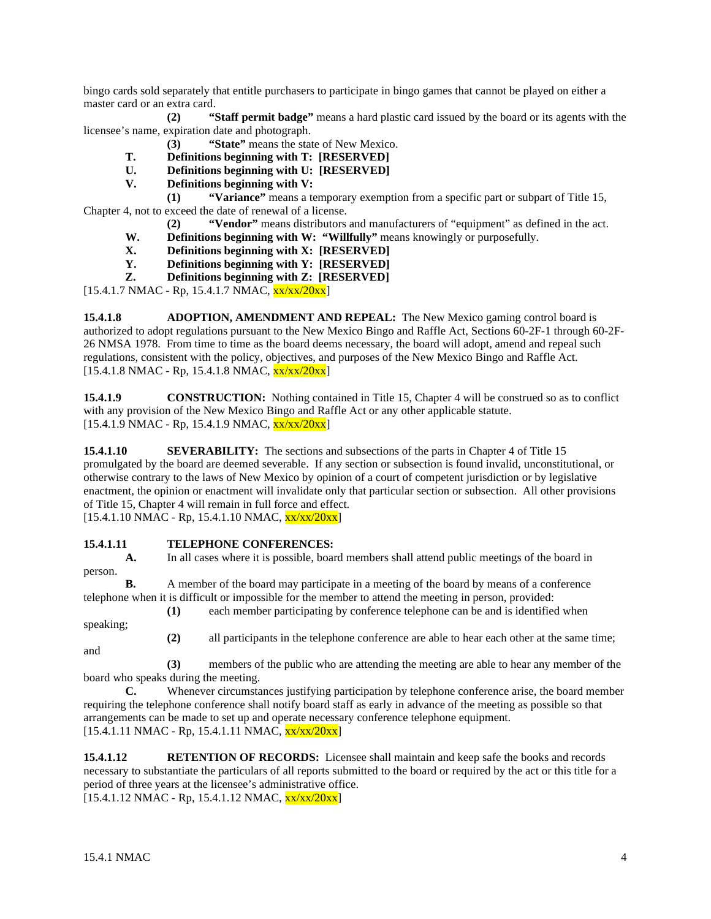bingo cards sold separately that entitle purchasers to participate in bingo games that cannot be played on either a master card or an extra card.

**(2) "Staff permit badge"** means a hard plastic card issued by the board or its agents with the licensee's name, expiration date and photograph.

- **(3) "State"** means the state of New Mexico.
- **T. Definitions beginning with T: [RESERVED]**
- **U. Definitions beginning with U: [RESERVED]**
- **V. Definitions beginning with V:**

**(1) "Variance"** means a temporary exemption from a specific part or subpart of Title 15, Chapter 4, not to exceed the date of renewal of a license.

- **(2) "Vendor"** means distributors and manufacturers of "equipment" as defined in the act.
- **W. Definitions beginning with W: "Willfully"** means knowingly or purposefully.
- **X. Definitions beginning with X: [RESERVED]**
- **Y. Definitions beginning with Y: [RESERVED]**
- **Z. Definitions beginning with Z: [RESERVED]**

 $[15.4.1.7 \text{ NMAC} - \text{Rp}, 15.4.1.7 \text{ NMAC}, \frac{\text{xx}}{\text{xx}}/20 \text{xx}]$ 

**15.4.1.8 ADOPTION, AMENDMENT AND REPEAL:** The New Mexico gaming control board is authorized to adopt regulations pursuant to the New Mexico Bingo and Raffle Act, Sections 60-2F-1 through 60-2F-26 NMSA 1978. From time to time as the board deems necessary, the board will adopt, amend and repeal such regulations, consistent with the policy, objectives, and purposes of the New Mexico Bingo and Raffle Act.  $[15.4.1.8 \text{ NMAC} - \text{Rp}, 15.4.1.8 \text{ NMAC}, \frac{\text{xx}}{\text{xx}}/20 \text{xx}]$ 

**15.4.1.9 CONSTRUCTION:** Nothing contained in Title 15, Chapter 4 will be construed so as to conflict with any provision of the New Mexico Bingo and Raffle Act or any other applicable statute.  $[15.4.1.9 \text{ NMAC - Rp}, 15.4.1.9 \text{ NMAC}, \frac{\text{xx}}{\text{xx}}/20\text{xx}]$ 

**15.4.1.10 SEVERABILITY:** The sections and subsections of the parts in Chapter 4 of Title 15 promulgated by the board are deemed severable. If any section or subsection is found invalid, unconstitutional, or otherwise contrary to the laws of New Mexico by opinion of a court of competent jurisdiction or by legislative enactment, the opinion or enactment will invalidate only that particular section or subsection. All other provisions of Title 15, Chapter 4 will remain in full force and effect.

 $[15.4.1.10 NMAC - Rp, 15.4.1.10 NMAC, xx/xx/20xx]$ 

# **15.4.1.11 TELEPHONE CONFERENCES:**

**A.** In all cases where it is possible, board members shall attend public meetings of the board in person.

**B.** A member of the board may participate in a meeting of the board by means of a conference telephone when it is difficult or impossible for the member to attend the meeting in person, provided:

speaking;

**(1)** each member participating by conference telephone can be and is identified when **(2)** all participants in the telephone conference are able to hear each other at the same time;

**(3)** members of the public who are attending the meeting are able to hear any member of the board who speaks during the meeting.<br> **C.** Whenever circumsta

Whenever circumstances justifying participation by telephone conference arise, the board member requiring the telephone conference shall notify board staff as early in advance of the meeting as possible so that arrangements can be made to set up and operate necessary conference telephone equipment.  $[15.4.1.11 \text{ NMAC} - \text{Rp}, 15.4.1.11 \text{ NMAC}, \frac{\text{xx}}{\text{xx}}/20\text{xx}]$ 

**15.4.1.12 RETENTION OF RECORDS:** Licensee shall maintain and keep safe the books and records necessary to substantiate the particulars of all reports submitted to the board or required by the act or this title for a period of three years at the licensee's administrative office.  $[15.4.1.12 \text{ NMAC} - \text{Rp}, 15.4.1.12 \text{ NMAC}, \frac{\text{xx} \cdot \text{xx} / 20 \text{xx}]}{2}$ 

and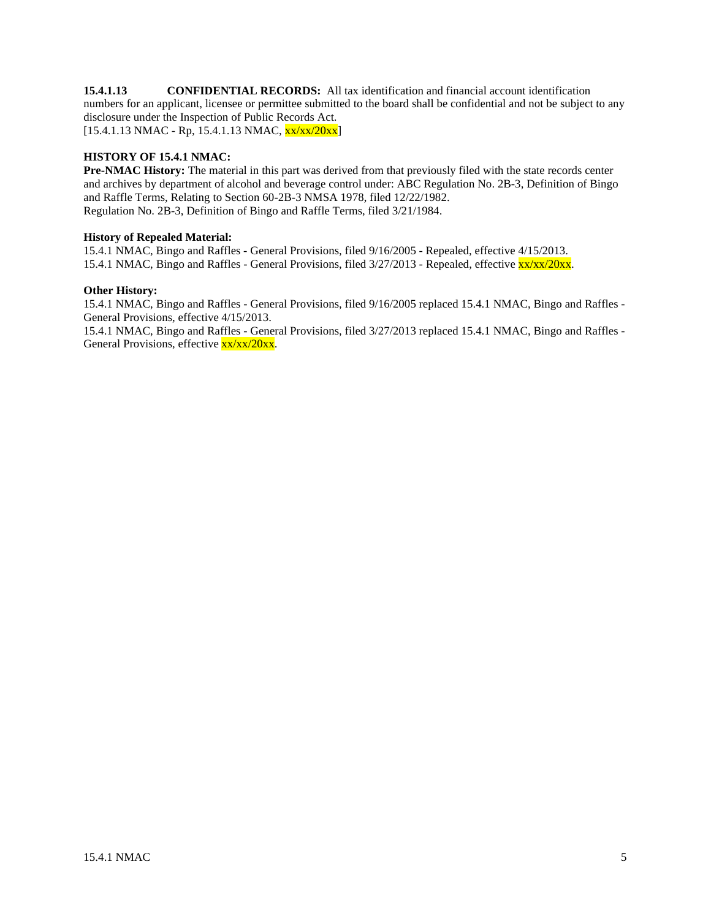**15.4.1.13 CONFIDENTIAL RECORDS:** All tax identification and financial account identification numbers for an applicant, licensee or permittee submitted to the board shall be confidential and not be subject to any disclosure under the Inspection of Public Records Act.  $[15.4.1.13 \text{ NMAC} - \text{Rp}, 15.4.1.13 \text{ NMAC}, \frac{\text{xx}}{\text{xx}}/20 \text{xx}]$ 

# **HISTORY OF 15.4.1 NMAC:**

**Pre-NMAC History:** The material in this part was derived from that previously filed with the state records center and archives by department of alcohol and beverage control under: ABC Regulation No. 2B-3, Definition of Bingo and Raffle Terms, Relating to Section 60-2B-3 NMSA 1978, filed 12/22/1982. Regulation No. 2B-3, Definition of Bingo and Raffle Terms, filed 3/21/1984.

# **History of Repealed Material:**

15.4.1 NMAC, Bingo and Raffles - General Provisions, filed 9/16/2005 - Repealed, effective 4/15/2013. 15.4.1 NMAC, Bingo and Raffles - General Provisions, filed 3/27/2013 - Repealed, effective xx/xx/20xx.

#### **Other History:**

15.4.1 NMAC, Bingo and Raffles - General Provisions, filed 9/16/2005 replaced 15.4.1 NMAC, Bingo and Raffles - General Provisions, effective 4/15/2013.

15.4.1 NMAC, Bingo and Raffles - General Provisions, filed 3/27/2013 replaced 15.4.1 NMAC, Bingo and Raffles - General Provisions, effective  $\frac{xx}{xx}/\frac{20xx}{x}$ .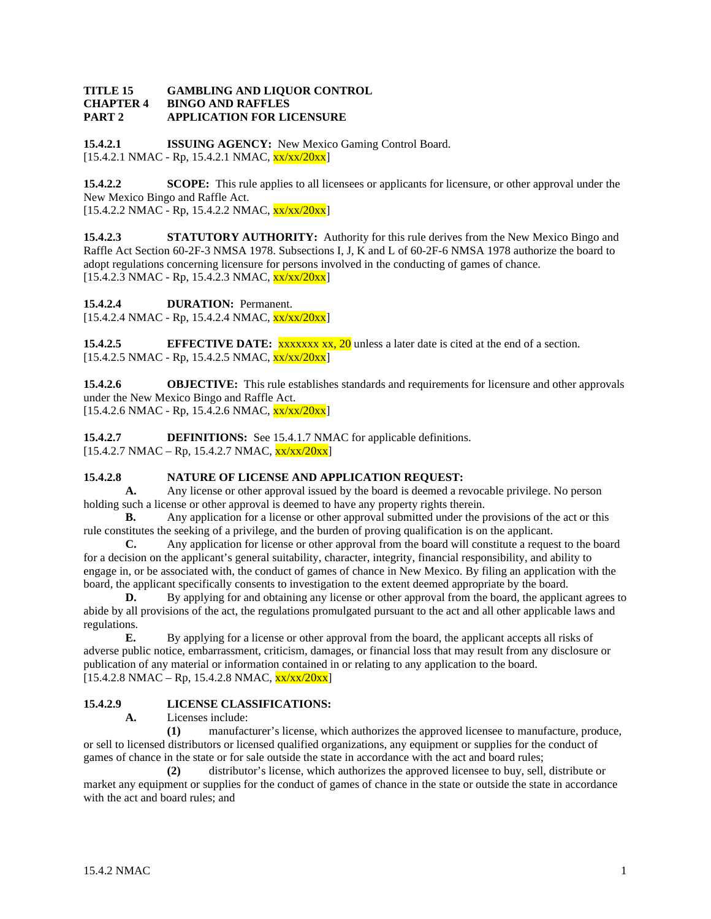#### **TITLE 15 GAMBLING AND LIQUOR CONTROL CHAPTER 4 BINGO AND RAFFLES PART 2 APPLICATION FOR LICENSURE**

**15.4.2.1 ISSUING AGENCY:** New Mexico Gaming Control Board.  $[15.4.2.1 \text{ NMAC} - \text{Rp}, 15.4.2.1 \text{ NMAC}, \frac{\text{xx}}{\text{xx}}/20 \text{xx}]$ 

**15.4.2.2 SCOPE:** This rule applies to all licensees or applicants for licensure, or other approval under the New Mexico Bingo and Raffle Act.  $[15.4.2.2 \text{ NMAC} - \text{Rp}, 15.4.2.2 \text{ NMAC}, \frac{\text{xx}}{\text{xx}}/20 \text{xx}]$ 

**15.4.2.3 STATUTORY AUTHORITY:** Authority for this rule derives from the New Mexico Bingo and Raffle Act Section 60-2F-3 NMSA 1978. Subsections I, J, K and L of 60-2F-6 NMSA 1978 authorize the board to adopt regulations concerning licensure for persons involved in the conducting of games of chance.  $[15.4.2.3 \text{ NMAC - Rp}, 15.4.2.3 \text{ NMAC}, \frac{\text{xx}}{\text{xx}}/20 \text{xx}]$ 

**15.4.2.4 DURATION:** Permanent.

 $[15.4.2.4 \text{ NMAC - Rp}, 15.4.2.4 \text{ NMAC}, \frac{\text{xx}}{\text{xx}}/20 \text{xx}]$ 

**15.4.2.5 EFFECTIVE DATE:** *xxxxxx xx, 20* unless a later date is cited at the end of a section.  $[15.4.2.5 \text{ NMAC - Rp}, 15.4.2.5 \text{ NMAC}, \frac{\text{xx}}{\text{xx}}/20 \text{xx}]$ 

**15.4.2.6 OBJECTIVE:** This rule establishes standards and requirements for licensure and other approvals under the New Mexico Bingo and Raffle Act.  $[15.4.2.6 \text{ NMAC} - \text{Rp}, 15.4.2.6 \text{ NMAC}, \frac{\text{xx}}{\text{xx}}/20 \text{xx}]$ 

**15.4.2.7 DEFINITIONS:** See 15.4.1.7 NMAC for applicable definitions.  $[15.4.2.7 \text{ NMAC} - \text{Rp}, 15.4.2.7 \text{ NMAC}, \frac{\text{xx}}{\text{xx}}/20 \text{xx}]$ 

# **15.4.2.8 NATURE OF LICENSE AND APPLICATION REQUEST:**<br>**A.** Any license or other approval issued by the board is deemed a re

**A.** Any license or other approval issued by the board is deemed a revocable privilege. No person holding such a license or other approval is deemed to have any property rights therein.

**B.** Any application for a license or other approval submitted under the provisions of the act or this rule constitutes the seeking of a privilege, and the burden of proving qualification is on the applicant.

**C.** Any application for license or other approval from the board will constitute a request to the board for a decision on the applicant's general suitability, character, integrity, financial responsibility, and ability to engage in, or be associated with, the conduct of games of chance in New Mexico. By filing an application with the board, the applicant specifically consents to investigation to the extent deemed appropriate by the board.

**D.** By applying for and obtaining any license or other approval from the board, the applicant agrees to abide by all provisions of the act, the regulations promulgated pursuant to the act and all other applicable laws and regulations.

**E.** By applying for a license or other approval from the board, the applicant accepts all risks of adverse public notice, embarrassment, criticism, damages, or financial loss that may result from any disclosure or publication of any material or information contained in or relating to any application to the board.  $[15.4.2.8 \text{ NMAC} - \text{Rp}, 15.4.2.8 \text{ NMAC}, \frac{\text{xx}}{\text{xx}}/20 \text{xx}]$ 

# **15.4.2.9 LICENSE CLASSIFICATIONS:**

**A.** Licenses include:

**(1)** manufacturer's license, which authorizes the approved licensee to manufacture, produce, or sell to licensed distributors or licensed qualified organizations, any equipment or supplies for the conduct of games of chance in the state or for sale outside the state in accordance with the act and board rules;

**(2)** distributor's license, which authorizes the approved licensee to buy, sell, distribute or market any equipment or supplies for the conduct of games of chance in the state or outside the state in accordance with the act and board rules; and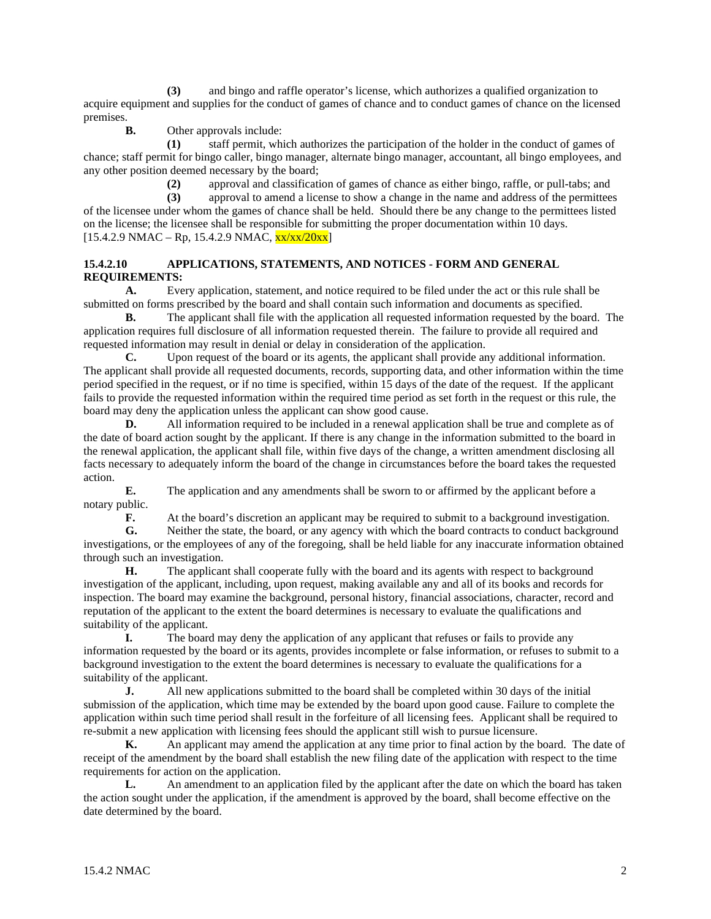**(3)** and bingo and raffle operator's license, which authorizes a qualified organization to acquire equipment and supplies for the conduct of games of chance and to conduct games of chance on the licensed premises.

**B.** Other approvals include:

**(1)** staff permit, which authorizes the participation of the holder in the conduct of games of chance; staff permit for bingo caller, bingo manager, alternate bingo manager, accountant, all bingo employees, and any other position deemed necessary by the board;

(2) approval and classification of games of chance as either bingo, raffle, or pull-tabs; and approval to amend a license to show a change in the name and address of the permittee

**(3)** approval to amend a license to show a change in the name and address of the permittees of the licensee under whom the games of chance shall be held. Should there be any change to the permittees listed on the license; the licensee shall be responsible for submitting the proper documentation within 10 days.  $[15.4.2.9 \text{ NMAC} - \text{Rp}, 15.4.2.9 \text{ NMAC}, \frac{\text{xx}}{\text{xx}}/20 \text{xx}]$ 

# **15.4.2.10 APPLICATIONS, STATEMENTS, AND NOTICES - FORM AND GENERAL REQUIREMENTS:**

**A.** Every application, statement, and notice required to be filed under the act or this rule shall be submitted on forms prescribed by the board and shall contain such information and documents as specified.

**B.** The applicant shall file with the application all requested information requested by the board. The application requires full disclosure of all information requested therein. The failure to provide all required and requested information may result in denial or delay in consideration of the application.

**C.** Upon request of the board or its agents, the applicant shall provide any additional information. The applicant shall provide all requested documents, records, supporting data, and other information within the time period specified in the request, or if no time is specified, within 15 days of the date of the request. If the applicant fails to provide the requested information within the required time period as set forth in the request or this rule, the board may deny the application unless the applicant can show good cause.

**D.** All information required to be included in a renewal application shall be true and complete as of the date of board action sought by the applicant. If there is any change in the information submitted to the board in the renewal application, the applicant shall file, within five days of the change, a written amendment disclosing all facts necessary to adequately inform the board of the change in circumstances before the board takes the requested action.

**E.** The application and any amendments shall be sworn to or affirmed by the applicant before a notary public.

**F.** At the board's discretion an applicant may be required to submit to a background investigation.

**G.** Neither the state, the board, or any agency with which the board contracts to conduct background investigations, or the employees of any of the foregoing, shall be held liable for any inaccurate information obtained through such an investigation.

**H.** The applicant shall cooperate fully with the board and its agents with respect to background investigation of the applicant, including, upon request, making available any and all of its books and records for inspection. The board may examine the background, personal history, financial associations, character, record and reputation of the applicant to the extent the board determines is necessary to evaluate the qualifications and suitability of the applicant.

**I.** The board may deny the application of any applicant that refuses or fails to provide any information requested by the board or its agents, provides incomplete or false information, or refuses to submit to a background investigation to the extent the board determines is necessary to evaluate the qualifications for a suitability of the applicant.

**J.** All new applications submitted to the board shall be completed within 30 days of the initial submission of the application, which time may be extended by the board upon good cause. Failure to complete the application within such time period shall result in the forfeiture of all licensing fees. Applicant shall be required to re-submit a new application with licensing fees should the applicant still wish to pursue licensure.

**K.** An applicant may amend the application at any time prior to final action by the board. The date of receipt of the amendment by the board shall establish the new filing date of the application with respect to the time requirements for action on the application.

**L.** An amendment to an application filed by the applicant after the date on which the board has taken the action sought under the application, if the amendment is approved by the board, shall become effective on the date determined by the board.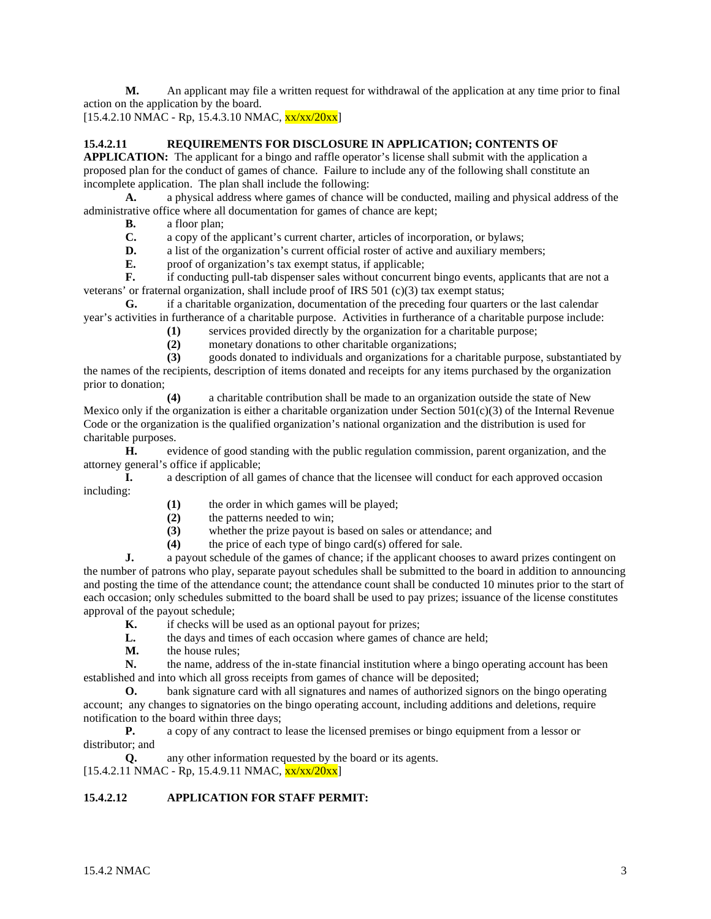**M.** An applicant may file a written request for withdrawal of the application at any time prior to final action on the application by the board.

 $[15.4.2.10 NMAC - Rp, 15.4.3.10 NMAC,  $\frac{xx}{xx}/20xx]$$ 

# **15.4.2.11 REQUIREMENTS FOR DISCLOSURE IN APPLICATION; CONTENTS OF**

**APPLICATION:** The applicant for a bingo and raffle operator's license shall submit with the application a proposed plan for the conduct of games of chance. Failure to include any of the following shall constitute an incomplete application. The plan shall include the following:

**A.** a physical address where games of chance will be conducted, mailing and physical address of the administrative office where all documentation for games of chance are kept;

**B.** a floor plan;

**C.** a copy of the applicant's current charter, articles of incorporation, or bylaws;<br>**D.** a list of the organization's current official roster of active and auxiliary memb

**D.** a list of the organization's current official roster of active and auxiliary members;

**E.** proof of organization's tax exempt status, if applicable;<br>**F.** if conducting pull-tab dispenser sales without concurrent

**F.** if conducting pull-tab dispenser sales without concurrent bingo events, applicants that are not a veterans' or fraternal organization, shall include proof of IRS 501 (c)(3) tax exempt status;

**G.** if a charitable organization, documentation of the preceding four quarters or the last calendar year's activities in furtherance of a charitable purpose. Activities in furtherance of a charitable purpose include:

**(1)** services provided directly by the organization for a charitable purpose;

(2) monetary donations to other charitable organizations;<br>(3) goods donated to individuals and organizations for a c

**(3)** goods donated to individuals and organizations for a charitable purpose, substantiated by

the names of the recipients, description of items donated and receipts for any items purchased by the organization prior to donation;

**(4)** a charitable contribution shall be made to an organization outside the state of New Mexico only if the organization is either a charitable organization under Section  $501(c)(3)$  of the Internal Revenue Code or the organization is the qualified organization's national organization and the distribution is used for charitable purposes.

**H.** evidence of good standing with the public regulation commission, parent organization, and the attorney general's office if applicable;

**I.** a description of all games of chance that the licensee will conduct for each approved occasion including:

**(1)** the order in which games will be played;

- **(2)** the patterns needed to win;
- **(3)** whether the prize payout is based on sales or attendance; and

**(4)** the price of each type of bingo card(s) offered for sale.

**J.** a payout schedule of the games of chance; if the applicant chooses to award prizes contingent on the number of patrons who play, separate payout schedules shall be submitted to the board in addition to announcing and posting the time of the attendance count; the attendance count shall be conducted 10 minutes prior to the start of each occasion; only schedules submitted to the board shall be used to pay prizes; issuance of the license constitutes approval of the payout schedule;

**K.** if checks will be used as an optional payout for prizes;<br>
L. the days and times of each occasion where games of ch

- the days and times of each occasion where games of chance are held;
- **M.** the house rules;

**N.** the name, address of the in-state financial institution where a bingo operating account has been established and into which all gross receipts from games of chance will be deposited;

**O.** bank signature card with all signatures and names of authorized signors on the bingo operating account; any changes to signatories on the bingo operating account, including additions and deletions, require notification to the board within three days;

**P.** a copy of any contract to lease the licensed premises or bingo equipment from a lessor or distributor; and

**Q.** any other information requested by the board or its agents.  $[15.4.2.11 \text{ NMAC} - \text{Rp}, 15.4.9.11 \text{ NMAC}, \text{xx}/\text{xx}/20\text{xx}]$ 

# **15.4.2.12 APPLICATION FOR STAFF PERMIT:**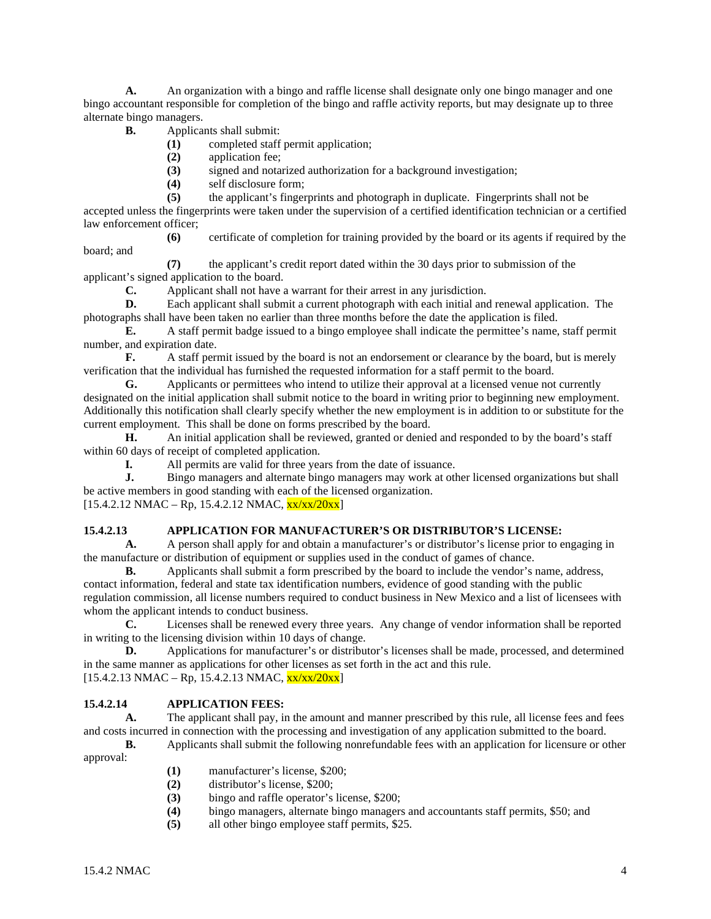**A.** An organization with a bingo and raffle license shall designate only one bingo manager and one bingo accountant responsible for completion of the bingo and raffle activity reports, but may designate up to three alternate bingo managers.

- **B.** Applicants shall submit:
	- **(1)** completed staff permit application;
	- **(2)** application fee;
	- **(3)** signed and notarized authorization for a background investigation;
	- **(4)** self disclosure form;
	- **(5)** the applicant's fingerprints and photograph in duplicate. Fingerprints shall not be

accepted unless the fingerprints were taken under the supervision of a certified identification technician or a certified law enforcement officer;

**(6)** certificate of completion for training provided by the board or its agents if required by the board; and

**(7)** the applicant's credit report dated within the 30 days prior to submission of the applicant's signed application to the board.

**C.** Applicant shall not have a warrant for their arrest in any jurisdiction.

**D.** Each applicant shall submit a current photograph with each initial and renewal application. The photographs shall have been taken no earlier than three months before the date the application is filed.

**E.** A staff permit badge issued to a bingo employee shall indicate the permittee's name, staff permit number, and expiration date.

**F.** A staff permit issued by the board is not an endorsement or clearance by the board, but is merely verification that the individual has furnished the requested information for a staff permit to the board.

**G.** Applicants or permittees who intend to utilize their approval at a licensed venue not currently designated on the initial application shall submit notice to the board in writing prior to beginning new employment. Additionally this notification shall clearly specify whether the new employment is in addition to or substitute for the current employment. This shall be done on forms prescribed by the board.

**H.** An initial application shall be reviewed, granted or denied and responded to by the board's staff within 60 days of receipt of completed application.

**I.** All permits are valid for three years from the date of issuance.<br> **I.** Bingo managers and alternate bingo managers may work at other

**J.** Bingo managers and alternate bingo managers may work at other licensed organizations but shall be active members in good standing with each of the licensed organization.

 $[15.4.2.12 \text{ NMAC} - \text{Rp}, 15.4.2.12 \text{ NMAC}, \frac{\text{xx}{\text{xx}}/20 \text{xx}}{15.4.2.12 \text{ NMAC}}]$ 

#### **15.4.2.13 APPLICATION FOR MANUFACTURER'S OR DISTRIBUTOR'S LICENSE:**

**A.** A person shall apply for and obtain a manufacturer's or distributor's license prior to engaging in the manufacture or distribution of equipment or supplies used in the conduct of games of chance.

**B.** Applicants shall submit a form prescribed by the board to include the vendor's name, address, contact information, federal and state tax identification numbers, evidence of good standing with the public regulation commission, all license numbers required to conduct business in New Mexico and a list of licensees with whom the applicant intends to conduct business.

**C.** Licenses shall be renewed every three years. Any change of vendor information shall be reported in writing to the licensing division within 10 days of change.

**D.** Applications for manufacturer's or distributor's licenses shall be made, processed, and determined in the same manner as applications for other licenses as set forth in the act and this rule.  $[15.4.2.13 \text{ NMAC} - \text{Rp}, 15.4.2.13 \text{ NMAC}, \frac{\text{xx}}{\text{xx}}/20\text{xx}]$ 

# **15.4.2.14 APPLICATION FEES:**

**A.** The applicant shall pay, in the amount and manner prescribed by this rule, all license fees and fees and costs incurred in connection with the processing and investigation of any application submitted to the board.

**B.** Applicants shall submit the following nonrefundable fees with an application for licensure or other approval:

- **(1)** manufacturer's license, \$200;
- **(2)** distributor's license, \$200;
- (3) bingo and raffle operator's license, \$200;<br>(4) bingo managers, alternate bingo managers
- **(4)** bingo managers, alternate bingo managers and accountants staff permits, \$50; and
- **(5)** all other bingo employee staff permits, \$25.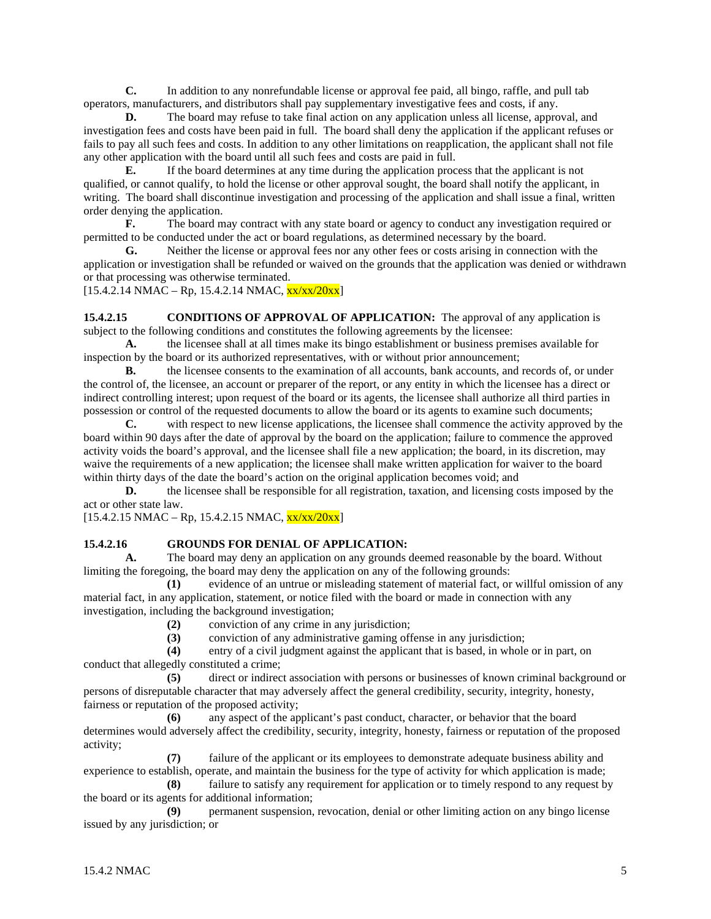**C.** In addition to any nonrefundable license or approval fee paid, all bingo, raffle, and pull tab operators, manufacturers, and distributors shall pay supplementary investigative fees and costs, if any.

**D.** The board may refuse to take final action on any application unless all license, approval, and investigation fees and costs have been paid in full. The board shall deny the application if the applicant refuses or fails to pay all such fees and costs. In addition to any other limitations on reapplication, the applicant shall not file any other application with the board until all such fees and costs are paid in full.

**E.** If the board determines at any time during the application process that the applicant is not qualified, or cannot qualify, to hold the license or other approval sought, the board shall notify the applicant, in writing. The board shall discontinue investigation and processing of the application and shall issue a final, written order denying the application.

**F.** The board may contract with any state board or agency to conduct any investigation required or permitted to be conducted under the act or board regulations, as determined necessary by the board.

**G.** Neither the license or approval fees nor any other fees or costs arising in connection with the application or investigation shall be refunded or waived on the grounds that the application was denied or withdrawn or that processing was otherwise terminated.

 $[15.4.2.14 \text{ NMAC} - \text{Rp}, 15.4.2.14 \text{ NMAC}, \frac{\text{xx}}{\text{xx}}/20 \text{xx}]$ 

**15.4.2.15 CONDITIONS OF APPROVAL OF APPLICATION:** The approval of any application is subject to the following conditions and constitutes the following agreements by the licensee:

**A.** the licensee shall at all times make its bingo establishment or business premises available for inspection by the board or its authorized representatives, with or without prior announcement;

**B.** the licensee consents to the examination of all accounts, bank accounts, and records of, or under the control of, the licensee, an account or preparer of the report, or any entity in which the licensee has a direct or indirect controlling interest; upon request of the board or its agents, the licensee shall authorize all third parties in possession or control of the requested documents to allow the board or its agents to examine such documents;

**C.** with respect to new license applications, the licensee shall commence the activity approved by the board within 90 days after the date of approval by the board on the application; failure to commence the approved activity voids the board's approval, and the licensee shall file a new application; the board, in its discretion, may waive the requirements of a new application; the licensee shall make written application for waiver to the board within thirty days of the date the board's action on the original application becomes void; and

**D.** the licensee shall be responsible for all registration, taxation, and licensing costs imposed by the act or other state law.

 $[15.4.2.15 \text{ NMAC} - \text{Rp}, 15.4.2.15 \text{ NMAC}, \frac{\text{xx}{\text{xx}}/20 \text{xx}}{15.4.2.15}]$ 

# **15.4.2.16 GROUNDS FOR DENIAL OF APPLICATION:**

**A.** The board may deny an application on any grounds deemed reasonable by the board. Without limiting the foregoing, the board may deny the application on any of the following grounds:

**(1)** evidence of an untrue or misleading statement of material fact, or willful omission of any material fact, in any application, statement, or notice filed with the board or made in connection with any investigation, including the background investigation;

**(2)** conviction of any crime in any jurisdiction;

(3) conviction of any administrative gaming offense in any jurisdiction;<br>(4) entry of a civil judgment against the applicant that is based, in whole

entry of a civil judgment against the applicant that is based, in whole or in part, on

conduct that allegedly constituted a crime;

**(5)** direct or indirect association with persons or businesses of known criminal background or persons of disreputable character that may adversely affect the general credibility, security, integrity, honesty, fairness or reputation of the proposed activity;

**(6)** any aspect of the applicant's past conduct, character, or behavior that the board determines would adversely affect the credibility, security, integrity, honesty, fairness or reputation of the proposed activity;

**(7)** failure of the applicant or its employees to demonstrate adequate business ability and experience to establish, operate, and maintain the business for the type of activity for which application is made;

**(8)** failure to satisfy any requirement for application or to timely respond to any request by the board or its agents for additional information;

**(9)** permanent suspension, revocation, denial or other limiting action on any bingo license issued by any jurisdiction; or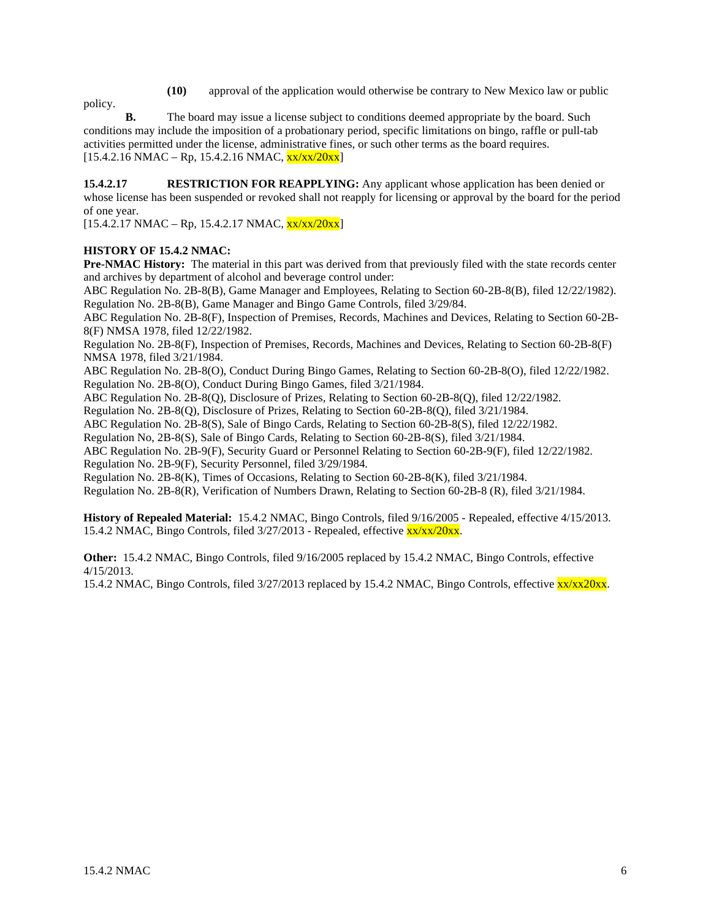**(10)** approval of the application would otherwise be contrary to New Mexico law or public

policy. **B.** The board may issue a license subject to conditions deemed appropriate by the board. Such conditions may include the imposition of a probationary period, specific limitations on bingo, raffle or pull-tab activities permitted under the license, administrative fines, or such other terms as the board requires.  $[15.4.2.16 \text{ NMAC} - \text{Rp}, 15.4.2.16 \text{ NMAC}, \frac{\text{xx}{\text{xx}}}{20 \text{xx}}]$ 

**15.4.2.17 RESTRICTION FOR REAPPLYING:** Any applicant whose application has been denied or whose license has been suspended or revoked shall not reapply for licensing or approval by the board for the period of one year.

 $[15.4.2.17 \text{ NMAC} - \text{Rp}, 15.4.2.17 \text{ NMAC}, \frac{\text{xx}{\text{xx}}/20 \text{xx}}{15.4.2.17 \text{ NMAC}}]$ 

# **HISTORY OF 15.4.2 NMAC:**

**Pre-NMAC History:** The material in this part was derived from that previously filed with the state records center and archives by department of alcohol and beverage control under:

ABC Regulation No. 2B-8(B), Game Manager and Employees, Relating to Section 60-2B-8(B), filed 12/22/1982). Regulation No. 2B-8(B), Game Manager and Bingo Game Controls, filed 3/29/84.

ABC Regulation No. 2B-8(F), Inspection of Premises, Records, Machines and Devices, Relating to Section 60-2B-8(F) NMSA 1978, filed 12/22/1982.

Regulation No. 2B-8(F), Inspection of Premises, Records, Machines and Devices, Relating to Section 60-2B-8(F) NMSA 1978, filed 3/21/1984.

ABC Regulation No. 2B-8(O), Conduct During Bingo Games, Relating to Section 60-2B-8(O), filed 12/22/1982. Regulation No. 2B-8(O), Conduct During Bingo Games, filed 3/21/1984.

ABC Regulation No. 2B-8(Q), Disclosure of Prizes, Relating to Section 60-2B-8(Q), filed 12/22/1982.

Regulation No. 2B-8(Q), Disclosure of Prizes, Relating to Section 60-2B-8(Q), filed 3/21/1984.

ABC Regulation No. 2B-8(S), Sale of Bingo Cards, Relating to Section 60-2B-8(S), filed 12/22/1982.

Regulation No, 2B-8(S), Sale of Bingo Cards, Relating to Section 60-2B-8(S), filed 3/21/1984.

ABC Regulation No. 2B-9(F), Security Guard or Personnel Relating to Section 60-2B-9(F), filed 12/22/1982. Regulation No. 2B-9(F), Security Personnel, filed 3/29/1984.

Regulation No. 2B-8(K), Times of Occasions, Relating to Section 60-2B-8(K), filed 3/21/1984.

Regulation No. 2B-8(R), Verification of Numbers Drawn, Relating to Section 60-2B-8 (R), filed 3/21/1984.

**History of Repealed Material:** 15.4.2 NMAC, Bingo Controls, filed 9/16/2005 - Repealed, effective 4/15/2013. 15.4.2 NMAC, Bingo Controls, filed 3/27/2013 - Repealed, effective xx/xx/20xx.

**Other:** 15.4.2 NMAC, Bingo Controls, filed 9/16/2005 replaced by 15.4.2 NMAC, Bingo Controls, effective 4/15/2013.

15.4.2 NMAC, Bingo Controls, filed 3/27/2013 replaced by 15.4.2 NMAC, Bingo Controls, effective  $\frac{xx}{xx}$ 20xx.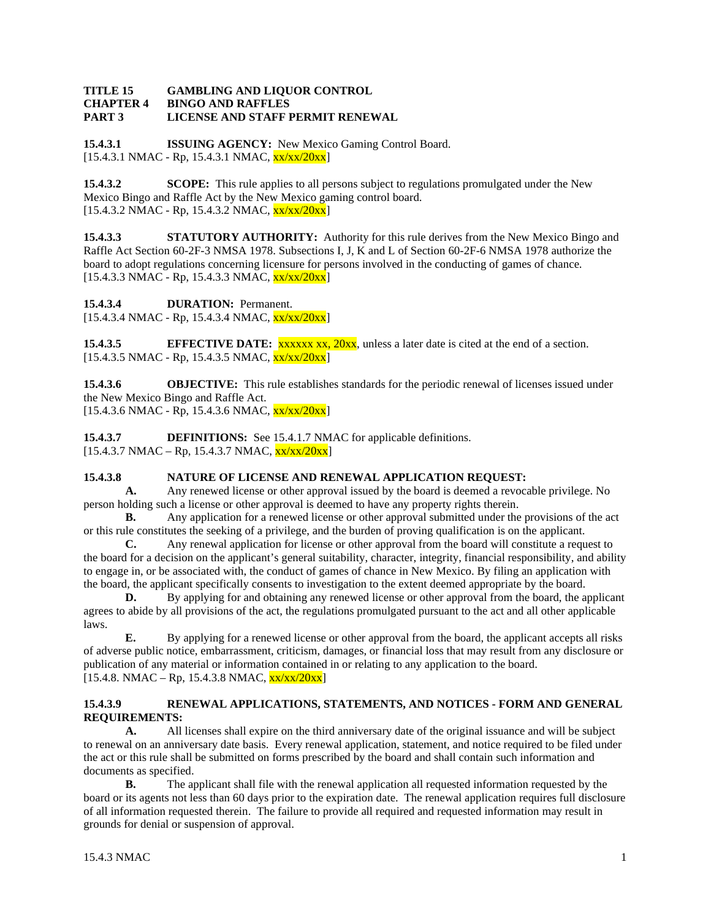#### **TITLE 15 GAMBLING AND LIQUOR CONTROL CHAPTER 4 BINGO AND RAFFLES PART 3 LICENSE AND STAFF PERMIT RENEWAL**

**15.4.3.1 ISSUING AGENCY:** New Mexico Gaming Control Board. [15.4.3.1 NMAC - Rp, 15.4.3.1 NMAC, xx/xx/20xx]

**15.4.3.2 SCOPE:** This rule applies to all persons subject to regulations promulgated under the New Mexico Bingo and Raffle Act by the New Mexico gaming control board.  $[15.4.3.2 \text{ NMAC - Rp}, 15.4.3.2 \text{ NMAC}, \frac{\text{xx}}{\text{xx}}/20 \text{xx}]$ 

**15.4.3.3 STATUTORY AUTHORITY:** Authority for this rule derives from the New Mexico Bingo and Raffle Act Section 60-2F-3 NMSA 1978. Subsections I, J, K and L of Section 60-2F-6 NMSA 1978 authorize the board to adopt regulations concerning licensure for persons involved in the conducting of games of chance.  $[15.4.3.3 \text{ NMAC - Rp}, 15.4.3.3 \text{ NMAC}, \frac{\text{xx}}{\text{xx}}/20\text{xx}]$ 

**15.4.3.4 DURATION:** Permanent.

[15.4.3.4 NMAC - Rp, 15.4.3.4 NMAC, xx/xx/20xx]

**15.4.3.5 EFFECTIVE DATE:** xxxxx xx, 20xx, unless a later date is cited at the end of a section.  $[15.4.3.5 \text{ NMAC - Rp}, 15.4.3.5 \text{ NMAC}, \frac{\text{xx}}{\text{xx}}/20\text{xx}]$ 

**15.4.3.6 OBJECTIVE:** This rule establishes standards for the periodic renewal of licenses issued under the New Mexico Bingo and Raffle Act.  $[15.4.3.6 \text{ NMAC} - \text{Rp}, 15.4.3.6 \text{ NMAC}, \frac{\text{xx}}{\text{xx}}/20 \text{xx}]$ 

**15.4.3.7 DEFINITIONS:** See 15.4.1.7 NMAC for applicable definitions.  $[15.4.3.7 \text{ NMAC} - \text{Rp}, 15.4.3.7 \text{ NMAC}, \frac{\text{xx}}{\text{xx}}/20 \text{xx}]$ 

# **15.4.3.8 NATURE OF LICENSE AND RENEWAL APPLICATION REQUEST:**<br>**A.** Any renewed license or other approval issued by the board is deemed a revocal

**A.** Any renewed license or other approval issued by the board is deemed a revocable privilege. No person holding such a license or other approval is deemed to have any property rights therein.

**B.** Any application for a renewed license or other approval submitted under the provisions of the act or this rule constitutes the seeking of a privilege, and the burden of proving qualification is on the applicant.

**C.** Any renewal application for license or other approval from the board will constitute a request to the board for a decision on the applicant's general suitability, character, integrity, financial responsibility, and ability to engage in, or be associated with, the conduct of games of chance in New Mexico. By filing an application with the board, the applicant specifically consents to investigation to the extent deemed appropriate by the board.

**D.** By applying for and obtaining any renewed license or other approval from the board, the applicant agrees to abide by all provisions of the act, the regulations promulgated pursuant to the act and all other applicable laws.

**E.** By applying for a renewed license or other approval from the board, the applicant accepts all risks of adverse public notice, embarrassment, criticism, damages, or financial loss that may result from any disclosure or publication of any material or information contained in or relating to any application to the board.  $[15.4.8. NMAC - Rp, 15.4.3.8 NMAC, xx/xx/20xx]$ 

# **15.4.3.9 RENEWAL APPLICATIONS, STATEMENTS, AND NOTICES - FORM AND GENERAL REQUIREMENTS:**

**A.** All licenses shall expire on the third anniversary date of the original issuance and will be subject to renewal on an anniversary date basis. Every renewal application, statement, and notice required to be filed under the act or this rule shall be submitted on forms prescribed by the board and shall contain such information and documents as specified.

**B.** The applicant shall file with the renewal application all requested information requested by the board or its agents not less than 60 days prior to the expiration date. The renewal application requires full disclosure of all information requested therein. The failure to provide all required and requested information may result in grounds for denial or suspension of approval.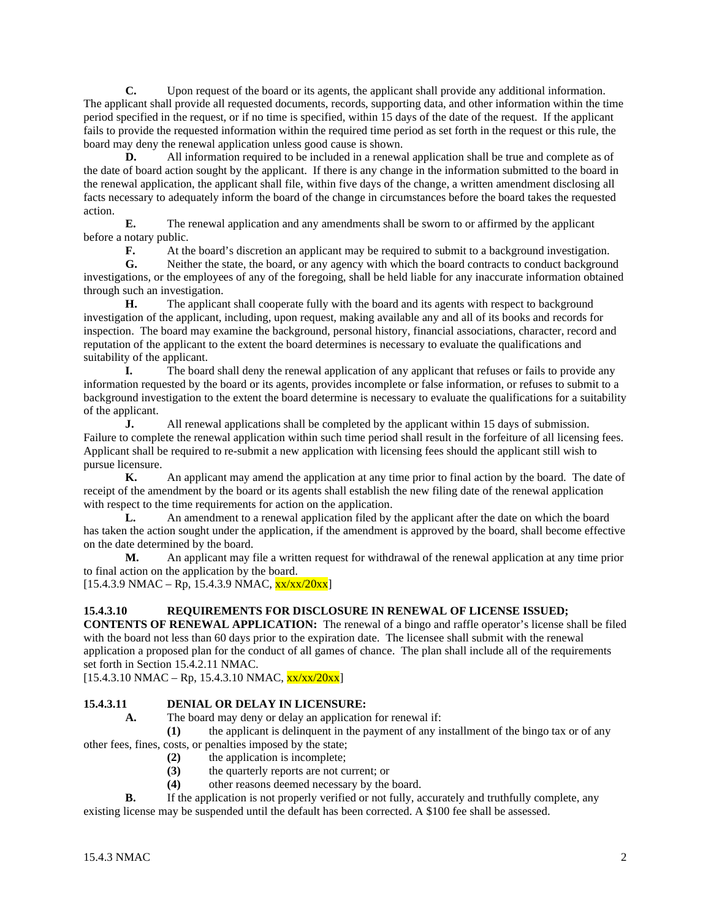**C.** Upon request of the board or its agents, the applicant shall provide any additional information. The applicant shall provide all requested documents, records, supporting data, and other information within the time period specified in the request, or if no time is specified, within 15 days of the date of the request. If the applicant fails to provide the requested information within the required time period as set forth in the request or this rule, the board may deny the renewal application unless good cause is shown.

**D.** All information required to be included in a renewal application shall be true and complete as of the date of board action sought by the applicant. If there is any change in the information submitted to the board in the renewal application, the applicant shall file, within five days of the change, a written amendment disclosing all facts necessary to adequately inform the board of the change in circumstances before the board takes the requested action.

**E.** The renewal application and any amendments shall be sworn to or affirmed by the applicant before a notary public.

**F.** At the board's discretion an applicant may be required to submit to a background investigation.

**G.** Neither the state, the board, or any agency with which the board contracts to conduct background investigations, or the employees of any of the foregoing, shall be held liable for any inaccurate information obtained through such an investigation.

**H.** The applicant shall cooperate fully with the board and its agents with respect to background investigation of the applicant, including, upon request, making available any and all of its books and records for inspection. The board may examine the background, personal history, financial associations, character, record and reputation of the applicant to the extent the board determines is necessary to evaluate the qualifications and suitability of the applicant.

**I.** The board shall deny the renewal application of any applicant that refuses or fails to provide any information requested by the board or its agents, provides incomplete or false information, or refuses to submit to a background investigation to the extent the board determine is necessary to evaluate the qualifications for a suitability of the applicant.

**J.** All renewal applications shall be completed by the applicant within 15 days of submission. Failure to complete the renewal application within such time period shall result in the forfeiture of all licensing fees. Applicant shall be required to re-submit a new application with licensing fees should the applicant still wish to pursue licensure.

**K.** An applicant may amend the application at any time prior to final action by the board. The date of receipt of the amendment by the board or its agents shall establish the new filing date of the renewal application with respect to the time requirements for action on the application.

**L.** An amendment to a renewal application filed by the applicant after the date on which the board has taken the action sought under the application, if the amendment is approved by the board, shall become effective on the date determined by the board.

**M.** An applicant may file a written request for withdrawal of the renewal application at any time prior to final action on the application by the board.

 $[15.4.3.9 \text{ NMAC} - \text{Rp}, 15.4.3.9 \text{ NMAC}, \frac{\text{xx}}{\text{xx}}/20 \text{xx}]$ 

# **15.4.3.10 REQUIREMENTS FOR DISCLOSURE IN RENEWAL OF LICENSE ISSUED;**

**CONTENTS OF RENEWAL APPLICATION:** The renewal of a bingo and raffle operator's license shall be filed with the board not less than 60 days prior to the expiration date. The licensee shall submit with the renewal application a proposed plan for the conduct of all games of chance. The plan shall include all of the requirements set forth in Section 15.4.2.11 NMAC.

 $[15.4.3.10 \text{ NMAC} - \text{Rp}, 15.4.3.10 \text{ NMAC}, \frac{\text{xx}}{\text{xx}}/20 \text{xx}]$ 

# **15.4.3.11 DENIAL OR DELAY IN LICENSURE:**

**A.** The board may deny or delay an application for renewal if:

**(1)** the applicant is delinquent in the payment of any installment of the bingo tax or of any other fees, fines, costs, or penalties imposed by the state;

- **(2)** the application is incomplete;
	- **(3)** the quarterly reports are not current; or
	- **(4)** other reasons deemed necessary by the board.

**B.** If the application is not properly verified or not fully, accurately and truthfully complete, any existing license may be suspended until the default has been corrected. A \$100 fee shall be assessed.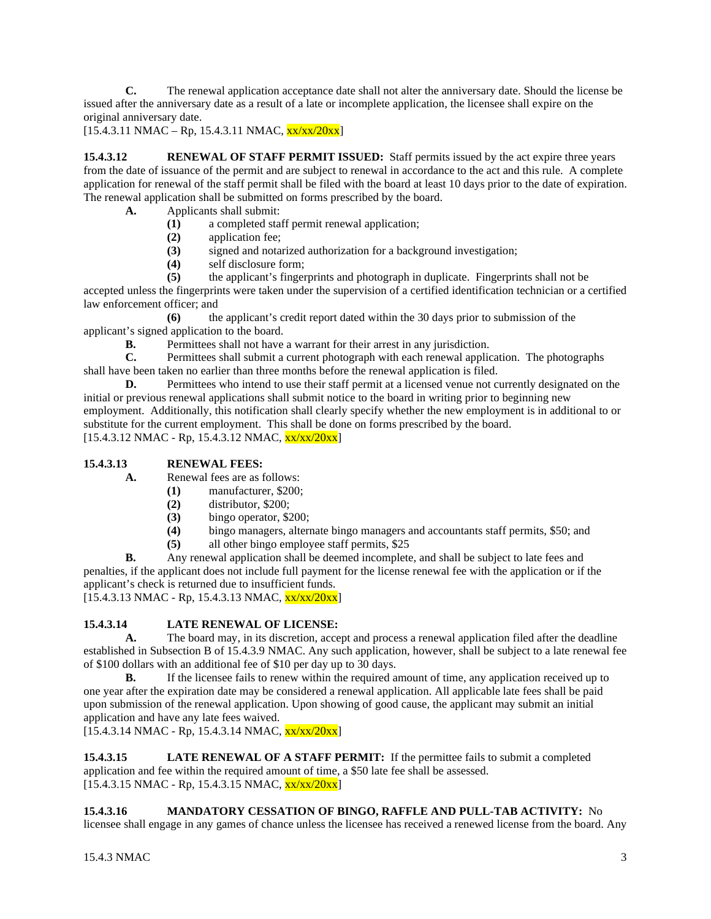**C.** The renewal application acceptance date shall not alter the anniversary date. Should the license be issued after the anniversary date as a result of a late or incomplete application, the licensee shall expire on the original anniversary date.

 $[15.4.3.11 \text{ NMAC} - \text{Rp}, 15.4.3.11 \text{ NMAC}, \frac{\text{xx}}{\text{xx}}/20\text{xx}]$ 

**15.4.3.12 RENEWAL OF STAFF PERMIT ISSUED:** Staff permits issued by the act expire three years from the date of issuance of the permit and are subject to renewal in accordance to the act and this rule. A complete application for renewal of the staff permit shall be filed with the board at least 10 days prior to the date of expiration. The renewal application shall be submitted on forms prescribed by the board.

- **A.** Applicants shall submit:
	- **(1)** a completed staff permit renewal application;
	- **(2)** application fee;
	- **(3)** signed and notarized authorization for a background investigation;
	- **(4)** self disclosure form;
	- **(5)** the applicant's fingerprints and photograph in duplicate. Fingerprints shall not be

accepted unless the fingerprints were taken under the supervision of a certified identification technician or a certified law enforcement officer; and

**(6)** the applicant's credit report dated within the 30 days prior to submission of the applicant's signed application to the board.

**B.** Permittees shall not have a warrant for their arrest in any jurisdiction.<br> **C.** Permittees shall submit a current photograph with each renewal applic

Permittees shall submit a current photograph with each renewal application. The photographs shall have been taken no earlier than three months before the renewal application is filed.

**D.** Permittees who intend to use their staff permit at a licensed venue not currently designated on the initial or previous renewal applications shall submit notice to the board in writing prior to beginning new employment. Additionally, this notification shall clearly specify whether the new employment is in additional to or substitute for the current employment. This shall be done on forms prescribed by the board.  $[15.4.3.12 \text{ NMAC} - \text{Rp}, 15.4.3.12 \text{ NMAC}, \frac{\text{xx}}{\text{xx}}/20 \text{xx}]$ 

# **15.4.3.13 RENEWAL FEES:**

**A.** Renewal fees are as follows:

- **(1)** manufacturer, \$200;
- **(2)** distributor, \$200;
- **(3)** bingo operator, \$200;
- **(4)** bingo managers, alternate bingo managers and accountants staff permits, \$50; and
- **(5)** all other bingo employee staff permits, \$25

**B.** Any renewal application shall be deemed incomplete, and shall be subject to late fees and penalties, if the applicant does not include full payment for the license renewal fee with the application or if the applicant's check is returned due to insufficient funds.

 $[15.4.3.13 \text{ NMAC} - \text{Rp}, 15.4.3.13 \text{ NMAC}, \frac{\text{xx} \cdot \text{xx} / 20 \text{xx}]}{20 \text{xx}]}$ 

# **15.4.3.14 LATE RENEWAL OF LICENSE:**

**A.** The board may, in its discretion, accept and process a renewal application filed after the deadline established in Subsection B of 15.4.3.9 NMAC. Any such application, however, shall be subject to a late renewal fee of \$100 dollars with an additional fee of \$10 per day up to 30 days.

**B.** If the licensee fails to renew within the required amount of time, any application received up to one year after the expiration date may be considered a renewal application. All applicable late fees shall be paid upon submission of the renewal application. Upon showing of good cause, the applicant may submit an initial application and have any late fees waived.

 $[15.4.3.14 \text{ NMAC} - \text{Rp}, 15.4.3.14 \text{ NMAC}, \frac{\text{xx}}{\text{xx}}/20 \text{xx}]$ 

**15.4.3.15 LATE RENEWAL OF A STAFF PERMIT:** If the permittee fails to submit a completed application and fee within the required amount of time, a \$50 late fee shall be assessed.  $[15.4.3.15 \text{ NMAC} - \text{Rp}, 15.4.3.15 \text{ NMAC}, \frac{\text{xx} \cdot \text{xx} / 20 \text{xx}]}{20 \text{xx}]}$ 

# **15.4.3.16 MANDATORY CESSATION OF BINGO, RAFFLE AND PULL-TAB ACTIVITY:** No

licensee shall engage in any games of chance unless the licensee has received a renewed license from the board. Any

 $15.4.3 \text{ NMAC}$  3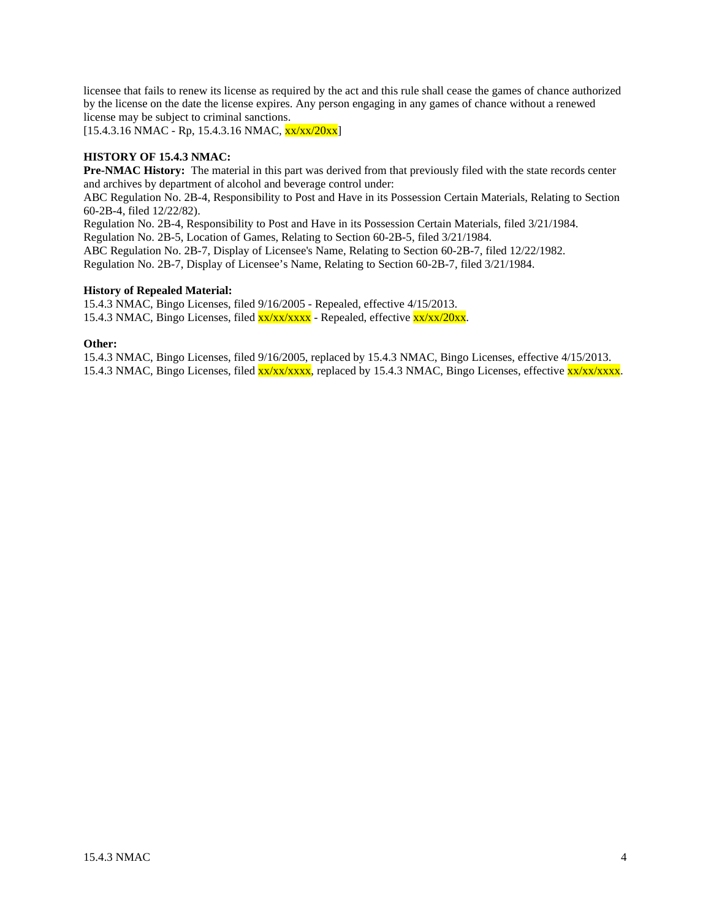licensee that fails to renew its license as required by the act and this rule shall cease the games of chance authorized by the license on the date the license expires. Any person engaging in any games of chance without a renewed license may be subject to criminal sanctions.

 $[15.4.3.16 \text{ NMAC} - \text{Rp}, 15.4.3.16 \text{ NMAC}, \frac{\text{xx}}{\text{xx}}/20 \text{xx}]$ 

# **HISTORY OF 15.4.3 NMAC:**

**Pre-NMAC History:** The material in this part was derived from that previously filed with the state records center and archives by department of alcohol and beverage control under:

ABC Regulation No. 2B-4, Responsibility to Post and Have in its Possession Certain Materials, Relating to Section 60-2B-4, filed 12/22/82).

Regulation No. 2B-4, Responsibility to Post and Have in its Possession Certain Materials, filed 3/21/1984.

Regulation No. 2B-5, Location of Games, Relating to Section 60-2B-5, filed 3/21/1984.

ABC Regulation No. 2B-7, Display of Licensee's Name, Relating to Section 60-2B-7, filed 12/22/1982. Regulation No. 2B-7, Display of Licensee's Name, Relating to Section 60-2B-7, filed 3/21/1984.

#### **History of Repealed Material:**

15.4.3 NMAC, Bingo Licenses, filed 9/16/2005 - Repealed, effective 4/15/2013. 15.4.3 NMAC, Bingo Licenses, filed xx/xx/xxxx - Repealed, effective xx/xx/20xx.

#### **Other:**

15.4.3 NMAC, Bingo Licenses, filed 9/16/2005, replaced by 15.4.3 NMAC, Bingo Licenses, effective 4/15/2013. 15.4.3 NMAC, Bingo Licenses, filed xx/xx/xxxx, replaced by 15.4.3 NMAC, Bingo Licenses, effective xx/xx/xxxx.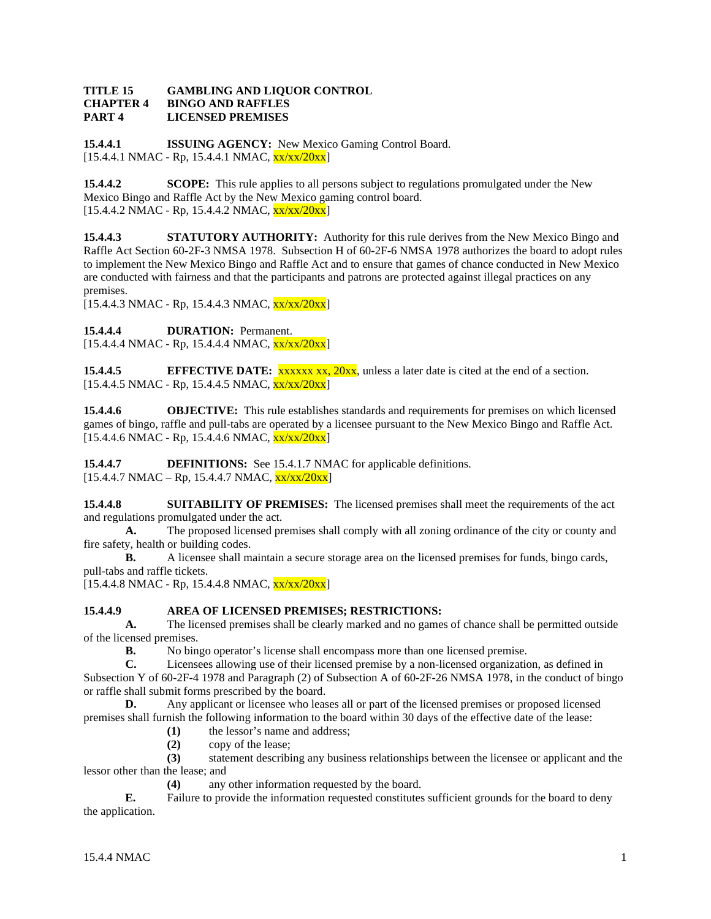#### **TITLE 15 GAMBLING AND LIQUOR CONTROL CHAPTER 4 BINGO AND RAFFLES PART 4 LICENSED PREMISES**

**15.4.4.1 ISSUING AGENCY:** New Mexico Gaming Control Board.  $[15.4.4.1 \text{ NMAC} - \text{Rp}, 15.4.4.1 \text{ NMAC}, \frac{\text{xx}}{\text{xx}}/20 \text{xx}]$ 

**15.4.4.2 SCOPE:** This rule applies to all persons subject to regulations promulgated under the New Mexico Bingo and Raffle Act by the New Mexico gaming control board.  $[15.4.4.2 \text{ NMAC - Rp}, 15.4.4.2 \text{ NMAC}, \frac{\text{xx}}{\text{xx}}/20 \text{xx}]$ 

**15.4.4.3 STATUTORY AUTHORITY:** Authority for this rule derives from the New Mexico Bingo and Raffle Act Section 60-2F-3 NMSA 1978. Subsection H of 60-2F-6 NMSA 1978 authorizes the board to adopt rules to implement the New Mexico Bingo and Raffle Act and to ensure that games of chance conducted in New Mexico are conducted with fairness and that the participants and patrons are protected against illegal practices on any premises.

 $[15.4.4.3 \text{ NMAC} - \text{Rp}, 15.4.4.3 \text{ NMAC}, \frac{\text{xx}}{\text{xx}}/20 \text{xx}]$ 

15.4.4.4 **DURATION:** Permanent.

 $[15.4.4.4 \text{ NMAC - Rp}, 15.4.4.4 \text{ NMAC}, \frac{\text{xx}{\text{xx}}/20 \text{xx}}{15.4.4.4 \text{ NMAC}}]$ 

**15.4.4.5 EFFECTIVE DATE:** xxxxx xx, 20xx, unless a later date is cited at the end of a section.  $[15.4.4.5 \text{ NMAC - Rp}, 15.4.4.5 \text{ NMAC}, \frac{\text{xx}}{\text{xx}}/20 \text{xx}]$ 

**15.4.4.6 OBJECTIVE:** This rule establishes standards and requirements for premises on which licensed games of bingo, raffle and pull-tabs are operated by a licensee pursuant to the New Mexico Bingo and Raffle Act.  $[15.4.4.6 \text{ NMAC} - \text{Rp}, 15.4.4.6 \text{ NMAC}, \frac{\text{xx}}{\text{xx}}/20 \text{xx}]$ 

**15.4.4.7 DEFINITIONS:** See 15.4.1.7 NMAC for applicable definitions.  $[15.4.4.7 \text{ NMAC} - \text{Rp}, 15.4.4.7 \text{ NMAC}, \frac{\text{xx}{\text{xx}}}{20 \text{xx}}]$ 

**15.4.4.8 SUITABILITY OF PREMISES:** The licensed premises shall meet the requirements of the act and regulations promulgated under the act.

**A.** The proposed licensed premises shall comply with all zoning ordinance of the city or county and fire safety, health or building codes.

**B.** A licensee shall maintain a secure storage area on the licensed premises for funds, bingo cards, pull-tabs and raffle tickets.

 $[15.4.4.8 \text{ NMAC} - \text{Rp}, 15.4.4.8 \text{ NMAC}, \frac{\text{xx}}{\text{xx}}/20 \text{xx}]$ 

# **15.4.4.9 AREA OF LICENSED PREMISES; RESTRICTIONS:**

**A.** The licensed premises shall be clearly marked and no games of chance shall be permitted outside of the licensed premises.<br> $\mathbf{R}$ . No bin

**B.** No bingo operator's license shall encompass more than one licensed premise.

**C.** Licensees allowing use of their licensed premise by a non-licensed organization, as defined in Subsection Y of 60-2F-4 1978 and Paragraph (2) of Subsection A of 60-2F-26 NMSA 1978, in the conduct of bingo or raffle shall submit forms prescribed by the board.

**D.** Any applicant or licensee who leases all or part of the licensed premises or proposed licensed premises shall furnish the following information to the board within 30 days of the effective date of the lease:

**(1)** the lessor's name and address;

**(2)** copy of the lease;

**(3)** statement describing any business relationships between the licensee or applicant and the lessor other than the lease; and

**(4)** any other information requested by the board.

**E.** Failure to provide the information requested constitutes sufficient grounds for the board to deny the application.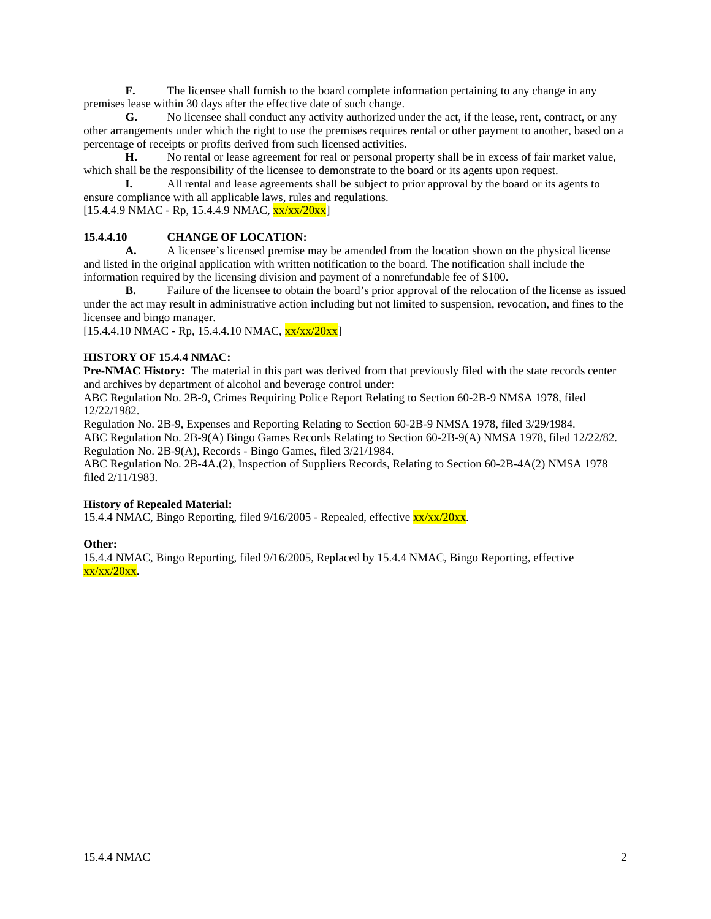**F.** The licensee shall furnish to the board complete information pertaining to any change in any premises lease within 30 days after the effective date of such change.

**G.** No licensee shall conduct any activity authorized under the act, if the lease, rent, contract, or any other arrangements under which the right to use the premises requires rental or other payment to another, based on a percentage of receipts or profits derived from such licensed activities.

**H.** No rental or lease agreement for real or personal property shall be in excess of fair market value, which shall be the responsibility of the licensee to demonstrate to the board or its agents upon request.

**I.** All rental and lease agreements shall be subject to prior approval by the board or its agents to ensure compliance with all applicable laws, rules and regulations.

 $[15.4.4.9 \text{ NMAC - Rp}, 15.4.4.9 \text{ NMAC}, \frac{\text{xx}}{\text{xx}}/20 \text{xx}]$ 

# **15.4.4.10 CHANGE OF LOCATION:**

**A.** A licensee's licensed premise may be amended from the location shown on the physical license and listed in the original application with written notification to the board. The notification shall include the information required by the licensing division and payment of a nonrefundable fee of \$100.

**B.** Failure of the licensee to obtain the board's prior approval of the relocation of the license as issued under the act may result in administrative action including but not limited to suspension, revocation, and fines to the licensee and bingo manager.

 $[15.4.4.10 NMAC - Rp, 15.4.4.10 NMAC, xx/xx/20xx]$ 

# **HISTORY OF 15.4.4 NMAC:**

**Pre-NMAC History:** The material in this part was derived from that previously filed with the state records center and archives by department of alcohol and beverage control under:

ABC Regulation No. 2B-9, Crimes Requiring Police Report Relating to Section 60-2B-9 NMSA 1978, filed 12/22/1982.

Regulation No. 2B-9, Expenses and Reporting Relating to Section 60-2B-9 NMSA 1978, filed 3/29/1984. ABC Regulation No. 2B-9(A) Bingo Games Records Relating to Section 60-2B-9(A) NMSA 1978, filed 12/22/82. Regulation No. 2B-9(A), Records - Bingo Games, filed 3/21/1984.

ABC Regulation No. 2B-4A.(2), Inspection of Suppliers Records, Relating to Section 60-2B-4A(2) NMSA 1978 filed 2/11/1983.

# **History of Repealed Material:**

15.4.4 NMAC, Bingo Reporting, filed 9/16/2005 - Repealed, effective xx/xx/20xx.

# **Other:**

15.4.4 NMAC, Bingo Reporting, filed 9/16/2005, Replaced by 15.4.4 NMAC, Bingo Reporting, effective  $x \times x/20x$ .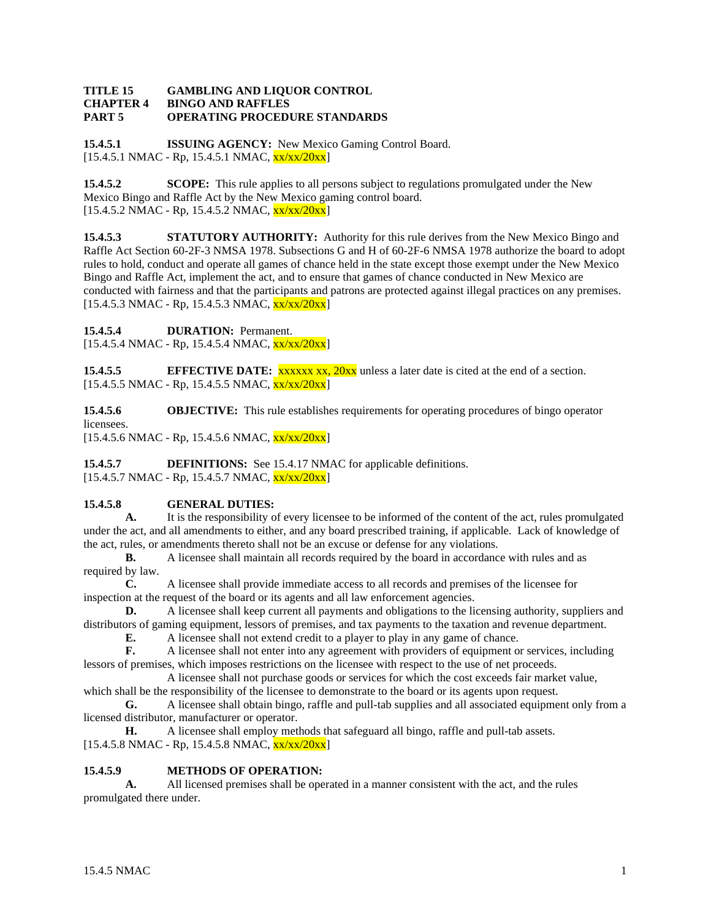#### **TITLE 15 GAMBLING AND LIQUOR CONTROL CHAPTER 4 BINGO AND RAFFLES PART 5 OPERATING PROCEDURE STANDARDS**

**15.4.5.1 ISSUING AGENCY:** New Mexico Gaming Control Board.  $[15.4.5.1 \text{ NMAC} - \text{Rp}, 15.4.5.1 \text{ NMAC}, \frac{\text{xx}}{\text{xx}}/20 \text{xx}]$ 

**15.4.5.2 SCOPE:** This rule applies to all persons subject to regulations promulgated under the New Mexico Bingo and Raffle Act by the New Mexico gaming control board.  $[15.4.5.2 \text{ NMAC - Rp}, 15.4.5.2 \text{ NMAC}, \frac{\text{xx}}{\text{xx}}/20 \text{xx}]$ 

**15.4.5.3 STATUTORY AUTHORITY:** Authority for this rule derives from the New Mexico Bingo and Raffle Act Section 60-2F-3 NMSA 1978. Subsections G and H of 60-2F-6 NMSA 1978 authorize the board to adopt rules to hold, conduct and operate all games of chance held in the state except those exempt under the New Mexico Bingo and Raffle Act, implement the act, and to ensure that games of chance conducted in New Mexico are conducted with fairness and that the participants and patrons are protected against illegal practices on any premises.  $[15.4.5.3 \text{ NMAC - Rp}, 15.4.5.3 \text{ NMAC}, \frac{\text{xx}}{\text{xx}}/20 \text{xx}]$ 

**15.4.5.4 DURATION:** Permanent.

 $[15.4.5.4 \text{ NMAC - Rp}, 15.4.5.4 \text{ NMAC}, \frac{\text{xx}{\text{xx}}/20 \text{xx}}{15.4.5.4 \text{ NMAC}}]$ 

**15.4.5.5 EFFECTIVE DATE: xxxxx xx, 20xx** unless a later date is cited at the end of a section.  $[15.4.5.5 \text{ NMAC - Rp}, 15.4.5.5 \text{ NMAC}, \frac{\text{xx}}{\text{xx}}/20 \text{xx}]$ 

**15.4.5.6 OBJECTIVE:** This rule establishes requirements for operating procedures of bingo operator licensees.

 $[15.4.5.6 \text{ NMAC} - \text{Rp}, 15.4.5.6 \text{ NMAC}, \frac{\text{xx}}{\text{xx}}/20 \text{xx}]$ 

**15.4.5.7 DEFINITIONS:** See 15.4.17 NMAC for applicable definitions. [15.4.5.7 NMAC - Rp, 15.4.5.7 NMAC, xx/xx/20xx]

# **15.4.5.8 GENERAL DUTIES:**

**A.** It is the responsibility of every licensee to be informed of the content of the act, rules promulgated under the act, and all amendments to either, and any board prescribed training, if applicable. Lack of knowledge of the act, rules, or amendments thereto shall not be an excuse or defense for any violations.

**B.** A licensee shall maintain all records required by the board in accordance with rules and as required by law.

**C.** A licensee shall provide immediate access to all records and premises of the licensee for inspection at the request of the board or its agents and all law enforcement agencies.

**D.** A licensee shall keep current all payments and obligations to the licensing authority, suppliers and distributors of gaming equipment, lessors of premises, and tax payments to the taxation and revenue department.

**E.** A licensee shall not extend credit to a player to play in any game of chance.<br> **F.** A licensee shall not enter into any agreement with providers of equipment or

**F.** A licensee shall not enter into any agreement with providers of equipment or services, including lessors of premises, which imposes restrictions on the licensee with respect to the use of net proceeds.

A licensee shall not purchase goods or services for which the cost exceeds fair market value, which shall be the responsibility of the licensee to demonstrate to the board or its agents upon request.

**G.** A licensee shall obtain bingo, raffle and pull-tab supplies and all associated equipment only from a licensed distributor, manufacturer or operator.

**H.** A licensee shall employ methods that safeguard all bingo, raffle and pull-tab assets.  $[15.4.5.8 \text{ NMAC - Rp}, 15.4.5.8 \text{ NMAC}, \frac{\text{xx}}{\text{xx}}/20\text{xx}]$ 

# **15.4.5.9 METHODS OF OPERATION:**

**A.** All licensed premises shall be operated in a manner consistent with the act, and the rules promulgated there under.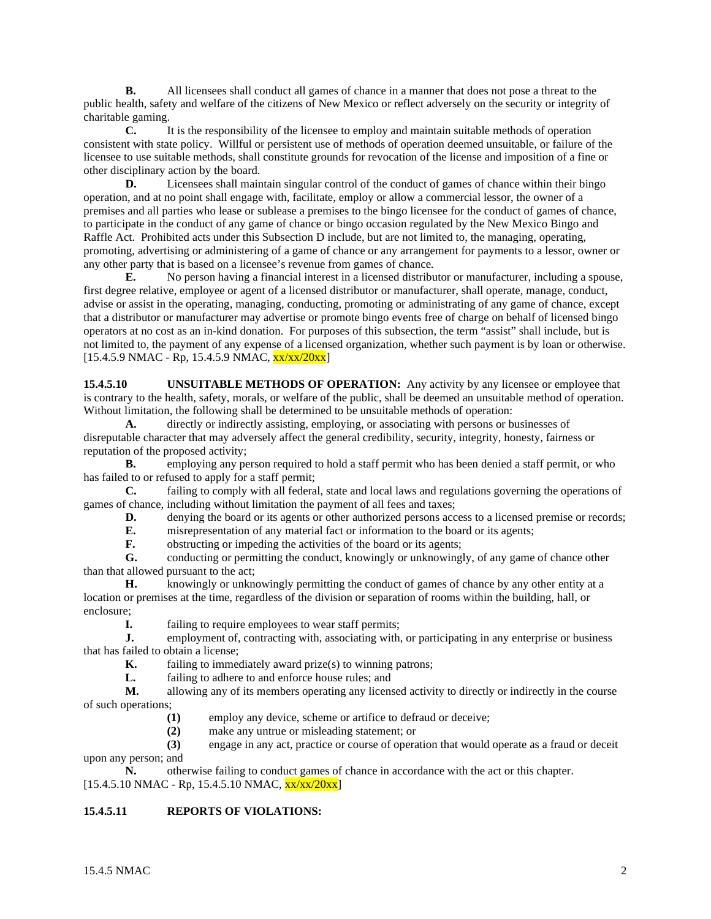**B.** All licensees shall conduct all games of chance in a manner that does not pose a threat to the public health, safety and welfare of the citizens of New Mexico or reflect adversely on the security or integrity of charitable gaming.

**C.** It is the responsibility of the licensee to employ and maintain suitable methods of operation consistent with state policy. Willful or persistent use of methods of operation deemed unsuitable, or failure of the licensee to use suitable methods, shall constitute grounds for revocation of the license and imposition of a fine or other disciplinary action by the board.

**D.** Licensees shall maintain singular control of the conduct of games of chance within their bingo operation, and at no point shall engage with, facilitate, employ or allow a commercial lessor, the owner of a premises and all parties who lease or sublease a premises to the bingo licensee for the conduct of games of chance, to participate in the conduct of any game of chance or bingo occasion regulated by the New Mexico Bingo and Raffle Act. Prohibited acts under this Subsection D include, but are not limited to, the managing, operating, promoting, advertising or administering of a game of chance or any arrangement for payments to a lessor, owner or any other party that is based on a licensee's revenue from games of chance.

**E.** No person having a financial interest in a licensed distributor or manufacturer, including a spouse, first degree relative, employee or agent of a licensed distributor or manufacturer, shall operate, manage, conduct, advise or assist in the operating, managing, conducting, promoting or administrating of any game of chance, except that a distributor or manufacturer may advertise or promote bingo events free of charge on behalf of licensed bingo operators at no cost as an in-kind donation. For purposes of this subsection, the term "assist" shall include, but is not limited to, the payment of any expense of a licensed organization, whether such payment is by loan or otherwise.  $[15.4.5.9 \text{ NMAC} - \text{Rp}, 15.4.5.9 \text{ NMAC}, \frac{\text{xx}}{\text{xx}}/20 \text{xx}]$ 

**15.4.5.10 UNSUITABLE METHODS OF OPERATION:** Any activity by any licensee or employee that is contrary to the health, safety, morals, or welfare of the public, shall be deemed an unsuitable method of operation. Without limitation, the following shall be determined to be unsuitable methods of operation:

**A.** directly or indirectly assisting, employing, or associating with persons or businesses of disreputable character that may adversely affect the general credibility, security, integrity, honesty, fairness or reputation of the proposed activity;

**B.** employing any person required to hold a staff permit who has been denied a staff permit, or who has failed to or refused to apply for a staff permit;

**C.** failing to comply with all federal, state and local laws and regulations governing the operations of games of chance, including without limitation the payment of all fees and taxes;

**D.** denying the board or its agents or other authorized persons access to a licensed premise or records;<br>**E.** misrepresentation of any material fact or information to the board or its agents:

**E.** misrepresentation of any material fact or information to the board or its agents;<br>**F.** obstructing or impeding the activities of the board or its agents:

betructing or impeding the activities of the board or its agents;

**G.** conducting or permitting the conduct, knowingly or unknowingly, of any game of chance other than that allowed pursuant to the act;

**H.** knowingly or unknowingly permitting the conduct of games of chance by any other entity at a location or premises at the time, regardless of the division or separation of rooms within the building, hall, or enclosure;

**I.** failing to require employees to wear staff permits;<br>**J.** employment of, contracting with, associating with.

employment of, contracting with, associating with, or participating in any enterprise or business that has failed to obtain a license;

**K.** failing to immediately award prize(s) to winning patrons;

**L.** failing to adhere to and enforce house rules; and

**M.** allowing any of its members operating any licensed activity to directly or indirectly in the course of such operations;

**(1)** employ any device, scheme or artifice to defraud or deceive;

**(2)** make any untrue or misleading statement; or

**(3)** engage in any act, practice or course of operation that would operate as a fraud or deceit upon any person; and

**N.** otherwise failing to conduct games of chance in accordance with the act or this chapter.  $[15.4.5.10 \text{ NMAC} - \text{Rp}, 15.4.5.10 \text{ NMAC}, \frac{\text{xx}{\text{xx}}}{20 \text{xx}}]$ 

# **15.4.5.11 REPORTS OF VIOLATIONS:**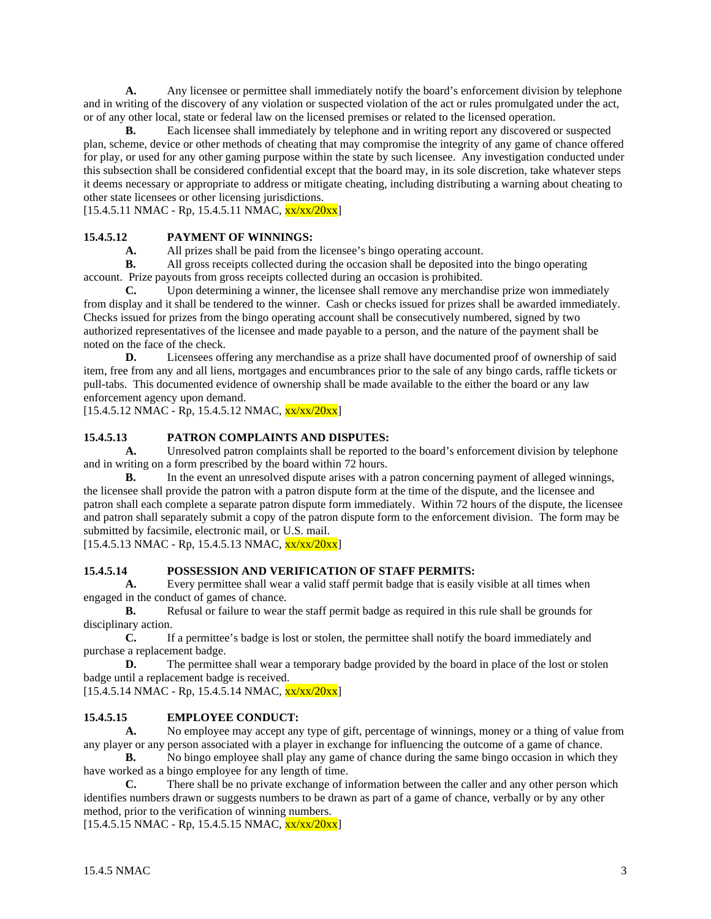**A.** Any licensee or permittee shall immediately notify the board's enforcement division by telephone and in writing of the discovery of any violation or suspected violation of the act or rules promulgated under the act, or of any other local, state or federal law on the licensed premises or related to the licensed operation.

**B.** Each licensee shall immediately by telephone and in writing report any discovered or suspected plan, scheme, device or other methods of cheating that may compromise the integrity of any game of chance offered for play, or used for any other gaming purpose within the state by such licensee. Any investigation conducted under this subsection shall be considered confidential except that the board may, in its sole discretion, take whatever steps it deems necessary or appropriate to address or mitigate cheating, including distributing a warning about cheating to other state licensees or other licensing jurisdictions.

 $[15.4.5.11 \text{ NMAC} - \text{Rp}, 15.4.5.11 \text{ NMAC}, \frac{\text{xx}}{\text{xx}}/20 \text{xx}]$ 

# **15.4.5.12 PAYMENT OF WINNINGS:**

**A.** All prizes shall be paid from the licensee's bingo operating account.

**B.** All gross receipts collected during the occasion shall be deposited into the bingo operating account. Prize payouts from gross receipts collected during an occasion is prohibited.

**C.** Upon determining a winner, the licensee shall remove any merchandise prize won immediately from display and it shall be tendered to the winner. Cash or checks issued for prizes shall be awarded immediately. Checks issued for prizes from the bingo operating account shall be consecutively numbered, signed by two authorized representatives of the licensee and made payable to a person, and the nature of the payment shall be noted on the face of the check.

**D.** Licensees offering any merchandise as a prize shall have documented proof of ownership of said item, free from any and all liens, mortgages and encumbrances prior to the sale of any bingo cards, raffle tickets or pull-tabs. This documented evidence of ownership shall be made available to the either the board or any law enforcement agency upon demand.

 $[15.4.5.12 \text{ NMAC} - \text{Rp}, 15.4.5.12 \text{ NMAC}, \frac{\text{xx}{\text{xx}}/20 \text{xx}}{\text{NMR}}]$ 

# **15.4.5.13 PATRON COMPLAINTS AND DISPUTES:**

**A.** Unresolved patron complaints shall be reported to the board's enforcement division by telephone and in writing on a form prescribed by the board within 72 hours.

**B.** In the event an unresolved dispute arises with a patron concerning payment of alleged winnings, the licensee shall provide the patron with a patron dispute form at the time of the dispute, and the licensee and patron shall each complete a separate patron dispute form immediately. Within 72 hours of the dispute, the licensee and patron shall separately submit a copy of the patron dispute form to the enforcement division. The form may be submitted by facsimile, electronic mail, or U.S. mail.

 $[15.4.5.13 \text{ NMAC} - \text{Rp}, 15.4.5.13 \text{ NMAC}, \frac{\text{xx}}{\text{xx}}/20 \text{xx}]$ 

# **15.4.5.14 POSSESSION AND VERIFICATION OF STAFF PERMITS:**

**A.** Every permittee shall wear a valid staff permit badge that is easily visible at all times when engaged in the conduct of games of chance.

**B.** Refusal or failure to wear the staff permit badge as required in this rule shall be grounds for disciplinary action.

**C.** If a permittee's badge is lost or stolen, the permittee shall notify the board immediately and purchase a replacement badge.

**D.** The permittee shall wear a temporary badge provided by the board in place of the lost or stolen badge until a replacement badge is received.

 $[15.4.5.14 \text{ NMAC} - \text{Rp}, 15.4.5.14 \text{ NMAC}, \frac{\text{xx}}{\text{xx}}/20 \text{xx}]$ 

# **15.4.5.15 EMPLOYEE CONDUCT:**

**A.** No employee may accept any type of gift, percentage of winnings, money or a thing of value from any player or any person associated with a player in exchange for influencing the outcome of a game of chance.

**B.** No bingo employee shall play any game of chance during the same bingo occasion in which they have worked as a bingo employee for any length of time.

**C.** There shall be no private exchange of information between the caller and any other person which identifies numbers drawn or suggests numbers to be drawn as part of a game of chance, verbally or by any other method, prior to the verification of winning numbers.

 $[15.4.5.15 \text{ NMAC} - \text{Rp}, 15.4.5.15 \text{ NMAC}, \frac{\text{xx} \cdot \text{xx} / 20 \text{xx}]}{20 \text{xx}]}$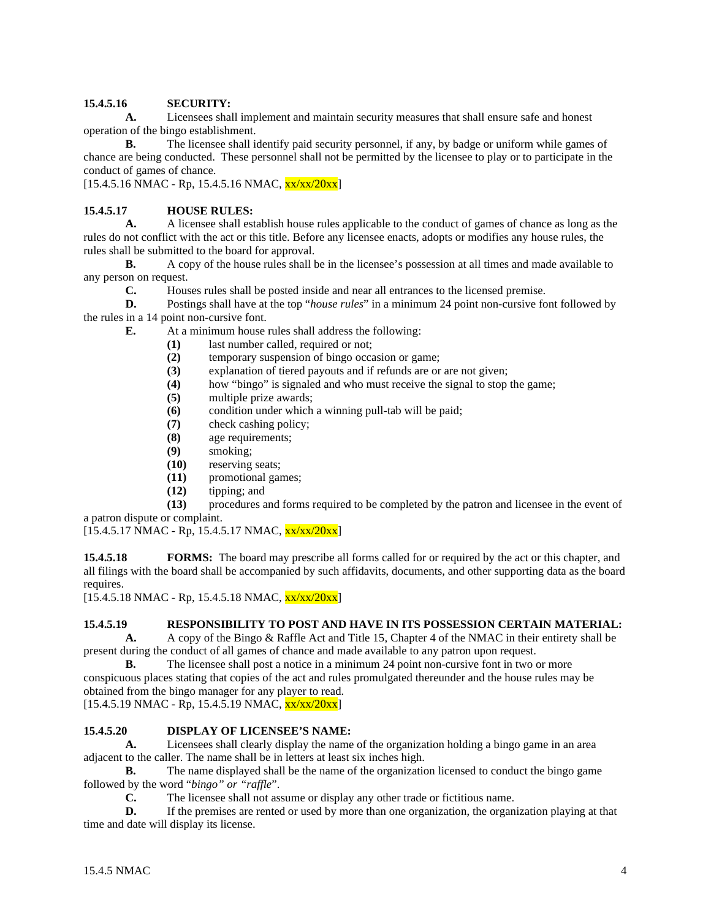# **15.4.5.16 SECURITY:**

**A.** Licensees shall implement and maintain security measures that shall ensure safe and honest operation of the bingo establishment.

**B.** The licensee shall identify paid security personnel, if any, by badge or uniform while games of chance are being conducted. These personnel shall not be permitted by the licensee to play or to participate in the conduct of games of chance.

 $[15.4.5.16 \text{ NMAC} - \text{Rp}, 15.4.5.16 \text{ NMAC}, \frac{\text{xx}{\text{xx}}/20 \text{xx}}{15.4.5.16 \text{ NMAC}}]$ 

# **15.4.5.17 HOUSE RULES:**

**A.** A licensee shall establish house rules applicable to the conduct of games of chance as long as the rules do not conflict with the act or this title. Before any licensee enacts, adopts or modifies any house rules, the rules shall be submitted to the board for approval.

**B.** A copy of the house rules shall be in the licensee's possession at all times and made available to any person on request.

**C.** Houses rules shall be posted inside and near all entrances to the licensed premise.

**D.** Postings shall have at the top "*house rules*" in a minimum 24 point non-cursive font followed by the rules in a 14 point non-cursive font.

- **E.** At a minimum house rules shall address the following:
	- (1) last number called, required or not;<br>(2) temporary suspension of bingo occa
	- (2) temporary suspension of bingo occasion or game;<br>(3) explanation of tiered payouts and if refunds are or
	- explanation of tiered payouts and if refunds are or are not given;
	- **(4)** how "bingo" is signaled and who must receive the signal to stop the game;
	- **(5)** multiple prize awards;
	- **(6)** condition under which a winning pull-tab will be paid;
	- **(7)** check cashing policy;
	- **(8)** age requirements;
	- **(9)** smoking;
	- **(10)** reserving seats;
	- **(11)** promotional games;
	- **(12)** tipping; and

**(13)** procedures and forms required to be completed by the patron and licensee in the event of a patron dispute or complaint.

 $[15.4.5.17 \text{ NMAC} - \text{Rp}, 15.4.5.17 \text{ NMAC}, \frac{\text{xx}}{\text{xx}}/20 \text{xx}]$ 

**15.4.5.18 FORMS:** The board may prescribe all forms called for or required by the act or this chapter, and all filings with the board shall be accompanied by such affidavits, documents, and other supporting data as the board requires.

 $[15.4.5.18 \text{ NMAC} - \text{Rp}, 15.4.5.18 \text{ NMAC}, \frac{\text{xx}}{\text{xx}}/20 \text{xx}]$ 

# **15.4.5.19 RESPONSIBILITY TO POST AND HAVE IN ITS POSSESSION CERTAIN MATERIAL:**

**A.** A copy of the Bingo & Raffle Act and Title 15, Chapter 4 of the NMAC in their entirety shall be present during the conduct of all games of chance and made available to any patron upon request.

**B.** The licensee shall post a notice in a minimum 24 point non-cursive font in two or more conspicuous places stating that copies of the act and rules promulgated thereunder and the house rules may be obtained from the bingo manager for any player to read.

 $[15.4.5.19 \text{ NMAC} - \text{Rp}, 15.4.5.19 \text{ NMAC}, \frac{\text{xx}}{\text{xx}}/20 \text{xx}]$ 

# **15.4.5.20 DISPLAY OF LICENSEE'S NAME:**

**A.** Licensees shall clearly display the name of the organization holding a bingo game in an area adjacent to the caller. The name shall be in letters at least six inches high.

**B.** The name displayed shall be the name of the organization licensed to conduct the bingo game followed by the word "*bingo" or "raffle*".

**C.** The licensee shall not assume or display any other trade or fictitious name.<br> **D.** If the premises are repted or used by more than one organization, the organ

**D.** If the premises are rented or used by more than one organization, the organization playing at that time and date will display its license.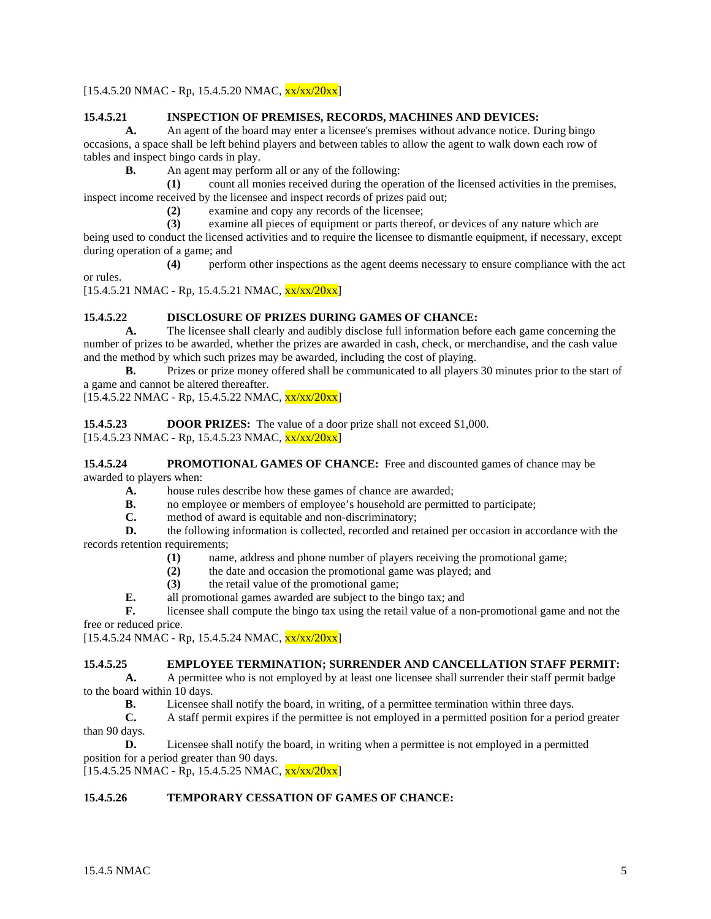# $[15.4.5.20 \text{ NMAC} - \text{Rp}, 15.4.5.20 \text{ NMAC}, \frac{\text{xx}}{\text{xx}}/20 \text{xx}]$

#### **15.4.5.21 INSPECTION OF PREMISES, RECORDS, MACHINES AND DEVICES:**

**A.** An agent of the board may enter a licensee's premises without advance notice. During bingo occasions, a space shall be left behind players and between tables to allow the agent to walk down each row of tables and inspect bingo cards in play.

**B.** An agent may perform all or any of the following:

**(1)** count all monies received during the operation of the licensed activities in the premises, inspect income received by the licensee and inspect records of prizes paid out;

**(2)** examine and copy any records of the licensee;

**(3)** examine all pieces of equipment or parts thereof, or devices of any nature which are

being used to conduct the licensed activities and to require the licensee to dismantle equipment, if necessary, except during operation of a game; and

**(4)** perform other inspections as the agent deems necessary to ensure compliance with the act or rules.

 $[15.4.5.21 \text{ NMAC} - \text{Rp}, 15.4.5.21 \text{ NMAC}, \frac{\text{xx}}{\text{xx}}/20 \text{xx}]$ 

# **15.4.5.22 DISCLOSURE OF PRIZES DURING GAMES OF CHANCE:**

**A.** The licensee shall clearly and audibly disclose full information before each game concerning the number of prizes to be awarded, whether the prizes are awarded in cash, check, or merchandise, and the cash value and the method by which such prizes may be awarded, including the cost of playing.

**B.** Prizes or prize money offered shall be communicated to all players 30 minutes prior to the start of a game and cannot be altered thereafter.

 $[15.4.5.22 \text{ NMAC - Rp}, 15.4.5.22 \text{ NMAC}, \frac{\text{xx}}{\text{xx}}/20 \text{xx}]$ 

**15.4.5.23 DOOR PRIZES:** The value of a door prize shall not exceed \$1,000.  $[15.4.5.23 \text{ NMAC - Rp}, 15.4.5.23 \text{ NMAC}, \frac{\text{xx}}{\text{xx}}/20 \text{xx}]$ 

**15.4.5.24 PROMOTIONAL GAMES OF CHANCE:** Free and discounted games of chance may be awarded to players when:

- **A.** house rules describe how these games of chance are awarded;
- **B.** no employee or members of employee's household are permitted to participate;
- **C.** method of award is equitable and non-discriminatory;<br>**D.** the following information is collected, recorded and re

**D.** the following information is collected, recorded and retained per occasion in accordance with the records retention requirements;

- **(1)** name, address and phone number of players receiving the promotional game;
- **(2)** the date and occasion the promotional game was played; and
- **(3)** the retail value of the promotional game;
- **E.** all promotional games awarded are subject to the bingo tax; and

**F.** licensee shall compute the bingo tax using the retail value of a non-promotional game and not the free or reduced price.

[15.4.5.24 NMAC - Rp, 15.4.5.24 NMAC, xx/xx/20xx]

#### **15.4.5.25 EMPLOYEE TERMINATION; SURRENDER AND CANCELLATION STAFF PERMIT:**

**A.** A permittee who is not employed by at least one licensee shall surrender their staff permit badge to the board within 10 days.

**B.** Licensee shall notify the board, in writing, of a permittee termination within three days.

**C.** A staff permit expires if the permittee is not employed in a permitted position for a period greater than 90 days.

**D.** Licensee shall notify the board, in writing when a permittee is not employed in a permitted position for a period greater than 90 days.

 $[15.4.5.25 \text{ NMAC} - \text{Rp}, 15.4.5.25 \text{ NMAC}, \frac{\text{xx}}{\text{xx}}/20 \text{xx}]$ 

# **15.4.5.26 TEMPORARY CESSATION OF GAMES OF CHANCE:**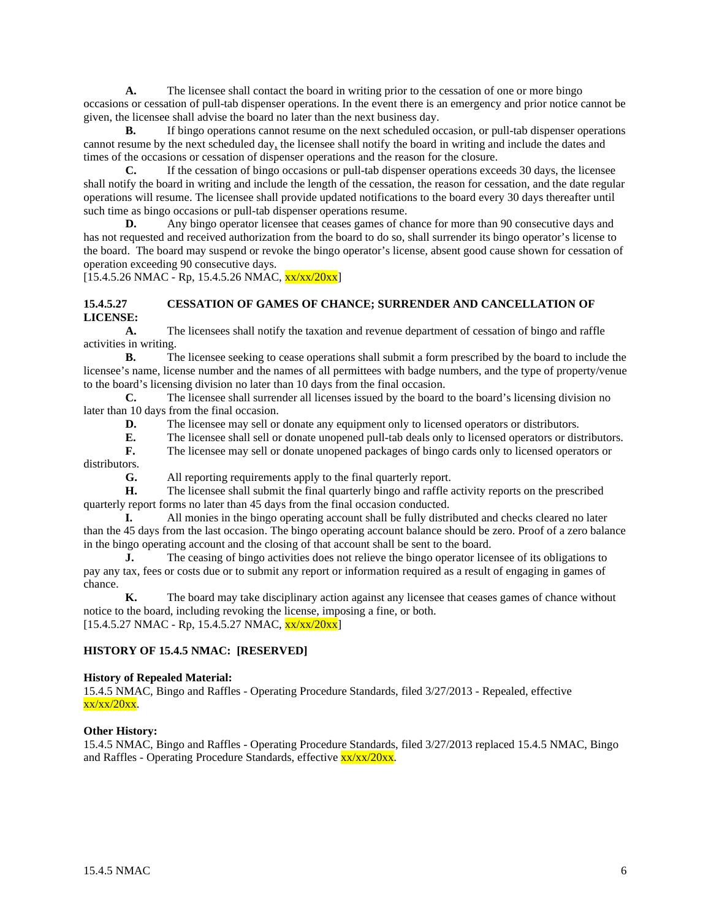**A.** The licensee shall contact the board in writing prior to the cessation of one or more bingo occasions or cessation of pull-tab dispenser operations. In the event there is an emergency and prior notice cannot be given, the licensee shall advise the board no later than the next business day.

**B.** If bingo operations cannot resume on the next scheduled occasion, or pull-tab dispenser operations cannot resume by the next scheduled day, the licensee shall notify the board in writing and include the dates and times of the occasions or cessation of dispenser operations and the reason for the closure.

**C.** If the cessation of bingo occasions or pull-tab dispenser operations exceeds 30 days, the licensee shall notify the board in writing and include the length of the cessation, the reason for cessation, and the date regular operations will resume. The licensee shall provide updated notifications to the board every 30 days thereafter until such time as bingo occasions or pull-tab dispenser operations resume.

**D.** Any bingo operator licensee that ceases games of chance for more than 90 consecutive days and has not requested and received authorization from the board to do so, shall surrender its bingo operator's license to the board. The board may suspend or revoke the bingo operator's license, absent good cause shown for cessation of operation exceeding 90 consecutive days.

 $[15.4.5.26 \text{ NMAC} - \text{Rp}, 15.4.5.26 \text{ NMAC}, \frac{\text{xx}}{\text{xx}}/20 \text{xx}]$ 

# **15.4.5.27 CESSATION OF GAMES OF CHANCE; SURRENDER AND CANCELLATION OF LICENSE:**

**A.** The licensees shall notify the taxation and revenue department of cessation of bingo and raffle activities in writing.

**B.** The licensee seeking to cease operations shall submit a form prescribed by the board to include the licensee's name, license number and the names of all permittees with badge numbers, and the type of property/venue to the board's licensing division no later than 10 days from the final occasion.

**C.** The licensee shall surrender all licenses issued by the board to the board's licensing division no later than 10 days from the final occasion.

**D.** The licensee may sell or donate any equipment only to licensed operators or distributors.

**E.** The licensee shall sell or donate unopened pull-tab deals only to licensed operators or distributors.<br> **F.** The licensee may sell or donate unopened packages of bingo cards only to licensed operators or

**F.** The licensee may sell or donate unopened packages of bingo cards only to licensed operators or

distributors.

**G.** All reporting requirements apply to the final quarterly report.

**H.** The licensee shall submit the final quarterly bingo and raffle activity reports on the prescribed quarterly report forms no later than 45 days from the final occasion conducted.

**I.** All monies in the bingo operating account shall be fully distributed and checks cleared no later than the 45 days from the last occasion. The bingo operating account balance should be zero. Proof of a zero balance in the bingo operating account and the closing of that account shall be sent to the board.

**J.** The ceasing of bingo activities does not relieve the bingo operator licensee of its obligations to pay any tax, fees or costs due or to submit any report or information required as a result of engaging in games of chance.

**K.** The board may take disciplinary action against any licensee that ceases games of chance without notice to the board, including revoking the license, imposing a fine, or both.  $[15.4.5.27 \text{ NMAC} - \text{Rp}, 15.4.5.27 \text{ NMAC}, \frac{\text{xx} \cdot \text{xx} / 20 \text{xx}]}{20 \text{m}}]$ 

# **HISTORY OF 15.4.5 NMAC: [RESERVED]**

#### **History of Repealed Material:**

15.4.5 NMAC, Bingo and Raffles - Operating Procedure Standards, filed 3/27/2013 - Repealed, effective  $xx/xx/20xx$ .

#### **Other History:**

15.4.5 NMAC, Bingo and Raffles - Operating Procedure Standards, filed 3/27/2013 replaced 15.4.5 NMAC, Bingo and Raffles - Operating Procedure Standards, effective  $\frac{xx}{xx}/\frac{20xx}{x}$ .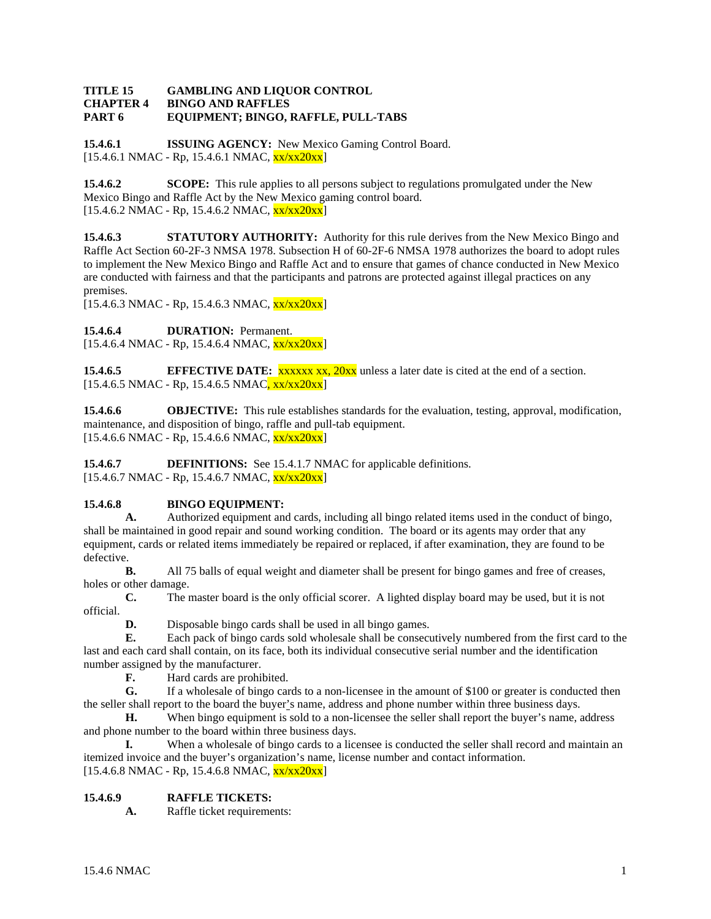#### **TITLE 15 GAMBLING AND LIQUOR CONTROL CHAPTER 4 BINGO AND RAFFLES PART 6 EQUIPMENT; BINGO, RAFFLE, PULL-TABS**

**15.4.6.1 ISSUING AGENCY:** New Mexico Gaming Control Board. [15.4.6.1 NMAC - Rp, 15.4.6.1 NMAC, xx/xx20xx]

**15.4.6.2 SCOPE:** This rule applies to all persons subject to regulations promulgated under the New Mexico Bingo and Raffle Act by the New Mexico gaming control board.  $[15.4.6.2 \text{ NMAC - Rp}, 15.4.6.2 \text{ NMAC}, \frac{\text{xx}}{\text{xx}20 \text{xx}}]$ 

**15.4.6.3 STATUTORY AUTHORITY:** Authority for this rule derives from the New Mexico Bingo and Raffle Act Section 60-2F-3 NMSA 1978. Subsection H of 60-2F-6 NMSA 1978 authorizes the board to adopt rules to implement the New Mexico Bingo and Raffle Act and to ensure that games of chance conducted in New Mexico are conducted with fairness and that the participants and patrons are protected against illegal practices on any premises.

 $[15.4.6.3 \text{ NMAC} - \text{Rp}, 15.4.6.3 \text{ NMAC}, \frac{\text{xx}}{\text{xx}} \times 20 \text{xx}]$ 

15.4.6.4 **DURATION:** Permanent.

 $[15.4.6.4 \text{ NMAC} - \text{Rp}, 15.4.6.4 \text{ NMAC}, \frac{\text{xx} \cdot \text{xx} 20 \text{xx} \cdot \text{px}}{15.4.6.4 \text{ NMAC}}]$ 

**15.4.6.5 EFFECTIVE DATE:** xxxxx xx, 20xx unless a later date is cited at the end of a section.  $[15.4.6.5 \text{ NMAC} - \text{Rp}, 15.4.6.5 \text{ NMAC}, xx/xx20xx]$ 

**15.4.6.6 OBJECTIVE:** This rule establishes standards for the evaluation, testing, approval, modification, maintenance, and disposition of bingo, raffle and pull-tab equipment.  $[15.4.6.6 \text{ NMAC - Rp}, 15.4.6.6 \text{ NMAC}, \frac{\text{xx}}{\text{xx}} \cdot 20 \text{xx}]$ 

**15.4.6.7 DEFINITIONS:** See 15.4.1.7 NMAC for applicable definitions. [15.4.6.7 NMAC - Rp, 15.4.6.7 NMAC, xx/xx20xx]

# **15.4.6.8 BINGO EQUIPMENT:**

**A.** Authorized equipment and cards, including all bingo related items used in the conduct of bingo, shall be maintained in good repair and sound working condition. The board or its agents may order that any equipment, cards or related items immediately be repaired or replaced, if after examination, they are found to be defective.

**B.** All 75 balls of equal weight and diameter shall be present for bingo games and free of creases, holes or other damage.

**C.** The master board is the only official scorer. A lighted display board may be used, but it is not official.

**D.** Disposable bingo cards shall be used in all bingo games.

**E.** Each pack of bingo cards sold wholesale shall be consecutively numbered from the first card to the last and each card shall contain, on its face, both its individual consecutive serial number and the identification number assigned by the manufacturer.

**F.** Hard cards are prohibited.<br> **G.** If a wholesale of bingo can

**G.** If a wholesale of bingo cards to a non-licensee in the amount of \$100 or greater is conducted then the seller shall report to the board the buyer's name, address and phone number within three business days.

**H.** When bingo equipment is sold to a non-licensee the seller shall report the buyer's name, address and phone number to the board within three business days.

**I.** When a wholesale of bingo cards to a licensee is conducted the seller shall record and maintain an itemized invoice and the buyer's organization's name, license number and contact information.  $[15.4.6.8 \text{ NMAC} - \text{Rp}, 15.4.6.8 \text{ NMAC}, \frac{\text{xx}}{\text{xx}} \cdot \frac{20 \text{xx}}{\text{N}}]$ 

# **15.4.6.9 RAFFLE TICKETS:**

**A.** Raffle ticket requirements: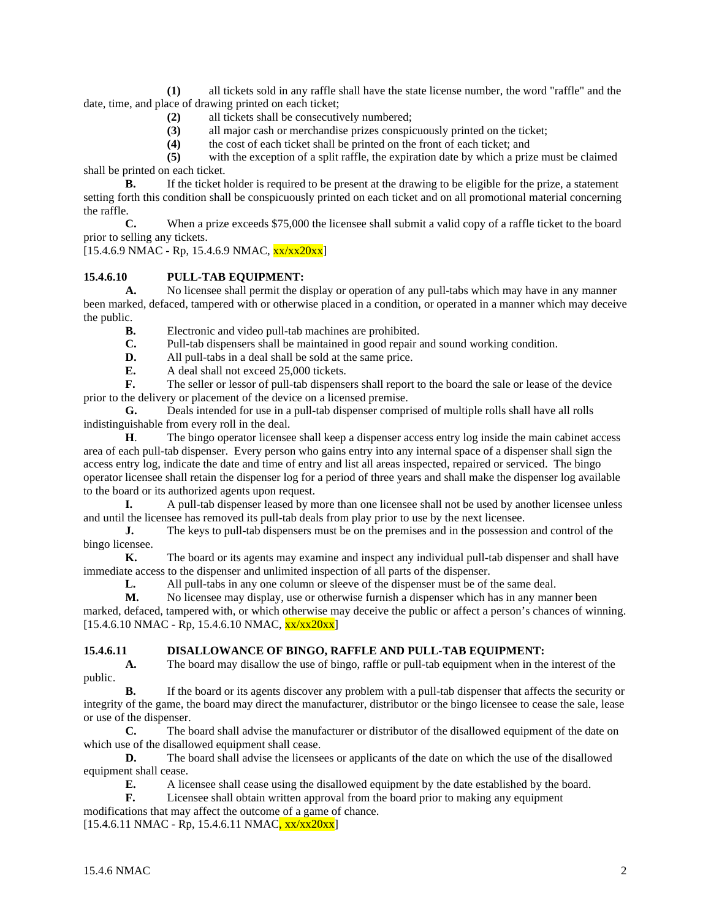**(1)** all tickets sold in any raffle shall have the state license number, the word "raffle" and the date, time, and place of drawing printed on each ticket;

- **(2)** all tickets shall be consecutively numbered;
- **(3)** all major cash or merchandise prizes conspicuously printed on the ticket;
- **(4)** the cost of each ticket shall be printed on the front of each ticket; and

**(5)** with the exception of a split raffle, the expiration date by which a prize must be claimed shall be printed on each ticket.

**B.** If the ticket holder is required to be present at the drawing to be eligible for the prize, a statement setting forth this condition shall be conspicuously printed on each ticket and on all promotional material concerning the raffle.

**C.** When a prize exceeds \$75,000 the licensee shall submit a valid copy of a raffle ticket to the board prior to selling any tickets.

 $[15.4.6.9 \text{ NMAC} - \text{Rp}, 15.4.6.9 \text{ NMAC}, \frac{\text{xx}}{\text{xx}} \times 20 \text{xx}]$ 

# **15.4.6.10 PULL-TAB EQUIPMENT:**

**A.** No licensee shall permit the display or operation of any pull-tabs which may have in any manner been marked, defaced, tampered with or otherwise placed in a condition, or operated in a manner which may deceive the public.

**B.** Electronic and video pull-tab machines are prohibited.<br>**C.** Pull-tab dispensers shall be maintained in good repair a

- **C.** Pull-tab dispensers shall be maintained in good repair and sound working condition.<br>**D.** All pull-tabs in a deal shall be sold at the same price.
- **D.** All pull-tabs in a deal shall be sold at the same price.<br>**E.** A deal shall not exceed 25,000 tickets.
- **E.** A deal shall not exceed 25,000 tickets.

**F.** The seller or lessor of pull-tab dispensers shall report to the board the sale or lease of the device prior to the delivery or placement of the device on a licensed premise.

**G.** Deals intended for use in a pull-tab dispenser comprised of multiple rolls shall have all rolls indistinguishable from every roll in the deal.

**H**. The bingo operator licensee shall keep a dispenser access entry log inside the main cabinet access area of each pull-tab dispenser. Every person who gains entry into any internal space of a dispenser shall sign the access entry log, indicate the date and time of entry and list all areas inspected, repaired or serviced. The bingo operator licensee shall retain the dispenser log for a period of three years and shall make the dispenser log available to the board or its authorized agents upon request.

**I.** A pull-tab dispenser leased by more than one licensee shall not be used by another licensee unless and until the licensee has removed its pull-tab deals from play prior to use by the next licensee.

**J.** The keys to pull-tab dispensers must be on the premises and in the possession and control of the bingo licensee.

**K.** The board or its agents may examine and inspect any individual pull-tab dispenser and shall have immediate access to the dispenser and unlimited inspection of all parts of the dispenser.

**L.** All pull-tabs in any one column or sleeve of the dispenser must be of the same deal.

**M.** No licensee may display, use or otherwise furnish a dispenser which has in any manner been marked, defaced, tampered with, or which otherwise may deceive the public or affect a person's chances of winning.  $[15.4.6.10 \text{ NMAC} - \text{Rp}, 15.4.6.10 \text{ NMAC}, \frac{\text{xx} \cdot \text{xx} 20 \text{xx} \cdot \text{px}}{15.4.6.10 \text{ NMAC}}]$ 

# **15.4.6.11 DISALLOWANCE OF BINGO, RAFFLE AND PULL-TAB EQUIPMENT:**

**A.** The board may disallow the use of bingo, raffle or pull-tab equipment when in the interest of the public.

**B.** If the board or its agents discover any problem with a pull-tab dispenser that affects the security or integrity of the game, the board may direct the manufacturer, distributor or the bingo licensee to cease the sale, lease or use of the dispenser.<br> **C.** The h

**C.** The board shall advise the manufacturer or distributor of the disallowed equipment of the date on which use of the disallowed equipment shall cease.

**D.** The board shall advise the licensees or applicants of the date on which the use of the disallowed equipment shall cease.

**E.** A licensee shall cease using the disallowed equipment by the date established by the board.

**F.** Licensee shall obtain written approval from the board prior to making any equipment

modifications that may affect the outcome of a game of chance.  $[15.4.6.11 \text{ NMAC} - \text{Rp}, 15.4.6.11 \text{ NMAC}, xx/xx20xx]$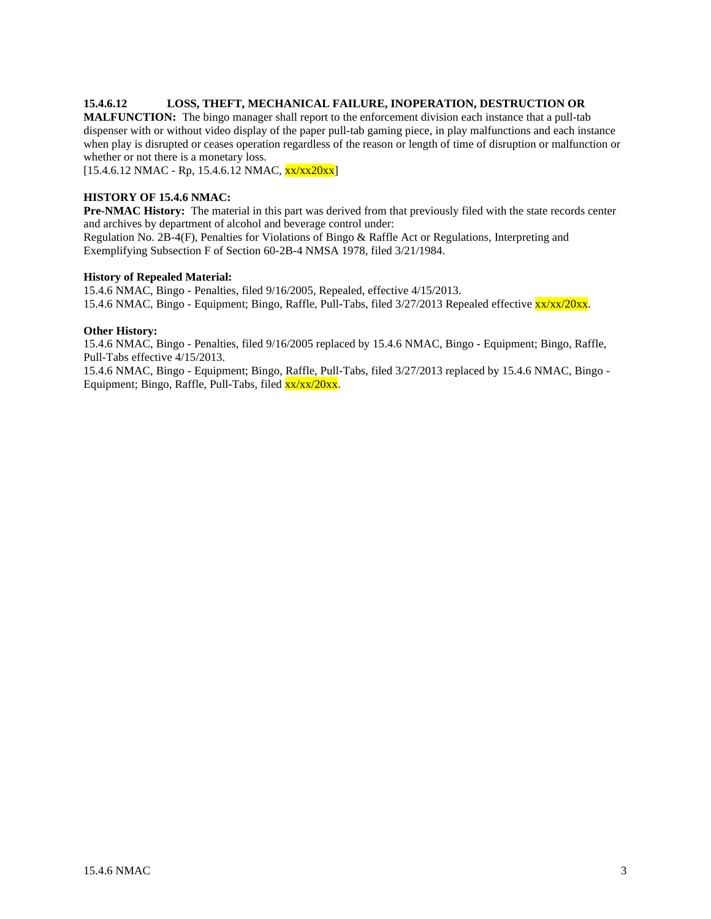### **15.4.6.12 LOSS, THEFT, MECHANICAL FAILURE, INOPERATION, DESTRUCTION OR**

**MALFUNCTION:** The bingo manager shall report to the enforcement division each instance that a pull-tab dispenser with or without video display of the paper pull-tab gaming piece, in play malfunctions and each instance when play is disrupted or ceases operation regardless of the reason or length of time of disruption or malfunction or whether or not there is a monetary loss.

 $[15.4.6.12 \text{ NMAC} - \text{Rp}, 15.4.6.12 \text{ NMAC}, \frac{\text{xx} \cdot \text{xx} 20 \text{xx} \cdot \text{px}}{15.4.6.12 \text{ NMAC}}]$ 

#### **HISTORY OF 15.4.6 NMAC:**

**Pre-NMAC History:** The material in this part was derived from that previously filed with the state records center and archives by department of alcohol and beverage control under:

Regulation No. 2B-4(F), Penalties for Violations of Bingo & Raffle Act or Regulations, Interpreting and Exemplifying Subsection F of Section 60-2B-4 NMSA 1978, filed 3/21/1984.

#### **History of Repealed Material:**

15.4.6 NMAC, Bingo - Penalties, filed 9/16/2005, Repealed, effective 4/15/2013. 15.4.6 NMAC, Bingo - Equipment; Bingo, Raffle, Pull-Tabs, filed 3/27/2013 Repealed effective xx/xx/20xx.

#### **Other History:**

15.4.6 NMAC, Bingo - Penalties, filed 9/16/2005 replaced by 15.4.6 NMAC, Bingo - Equipment; Bingo, Raffle, Pull-Tabs effective 4/15/2013.

15.4.6 NMAC, Bingo - Equipment; Bingo, Raffle, Pull-Tabs, filed 3/27/2013 replaced by 15.4.6 NMAC, Bingo - Equipment; Bingo, Raffle, Pull-Tabs, filed  $\frac{xx}{xx}/20xx$ .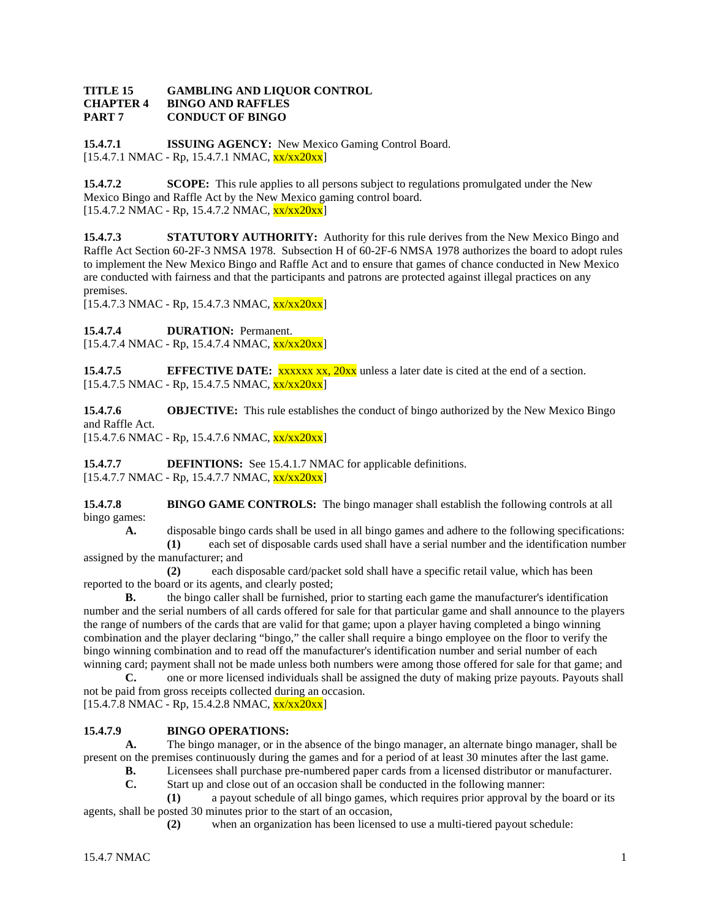### **TITLE 15 GAMBLING AND LIQUOR CONTROL CHAPTER 4 BINGO AND RAFFLES PART 7 CONDUCT OF BINGO**

**15.4.7.1 ISSUING AGENCY:** New Mexico Gaming Control Board. [15.4.7.1 NMAC - Rp, 15.4.7.1 NMAC, xx/xx20xx]

**15.4.7.2 SCOPE:** This rule applies to all persons subject to regulations promulgated under the New Mexico Bingo and Raffle Act by the New Mexico gaming control board.  $[15.4.7.2 \text{ NMAC - Rp}, 15.4.7.2 \text{ NMAC}, \frac{\text{xx}}{\text{xx}20 \text{xx}}]$ 

**15.4.7.3 STATUTORY AUTHORITY:** Authority for this rule derives from the New Mexico Bingo and Raffle Act Section 60-2F-3 NMSA 1978. Subsection H of 60-2F-6 NMSA 1978 authorizes the board to adopt rules to implement the New Mexico Bingo and Raffle Act and to ensure that games of chance conducted in New Mexico are conducted with fairness and that the participants and patrons are protected against illegal practices on any premises.

 $[15.4.7.3 \text{ NMAC} - \text{Rp}, 15.4.7.3 \text{ NMAC}, \frac{\text{xx}}{\text{xx}} \frac{20 \text{xx}}{\text{N}}]$ 

15.4.7.4 **DURATION:** Permanent.

 $[15.4.7.4 \text{ NMAC} - \text{Rp}, 15.4.7.4 \text{ NMAC}, \frac{\text{xx} \cdot \text{xx} 20 \text{xx} \cdot \text{px}}{15.4.7.4 \text{ NMAC}}]$ 

**15.4.7.5 EFFECTIVE DATE:** xxxxx xx, 20xx unless a later date is cited at the end of a section.  $[15.4.7.5 \text{ NMAC} - \text{Rp}, 15.4.7.5 \text{ NMAC}, \frac{\text{xx}}{\text{xx}20 \text{xx}}]$ 

**15.4.7.6 OBJECTIVE:** This rule establishes the conduct of bingo authorized by the New Mexico Bingo and Raffle Act.

 $[15.4.7.6 \text{ NMAC - Rp}, 15.4.7.6 \text{ NMAC}, \frac{\text{xx}}{\text{xx}}20\text{xx}]$ 

**15.4.7.7 DEFINTIONS:** See 15.4.1.7 NMAC for applicable definitions.  $[15.4.7.7 \text{ NMAC - Rp}, 15.4.7.7 \text{ NMAC}, \frac{\text{xx}}{\text{xx}}20\text{xx}]$ 

**15.4.7.8 BINGO GAME CONTROLS:** The bingo manager shall establish the following controls at all bingo games:

A. disposable bingo cards shall be used in all bingo games and adhere to the following specifications:

**(1)** each set of disposable cards used shall have a serial number and the identification number assigned by the manufacturer; and

**(2)** each disposable card/packet sold shall have a specific retail value, which has been reported to the board or its agents, and clearly posted;

**B.** the bingo caller shall be furnished, prior to starting each game the manufacturer's identification number and the serial numbers of all cards offered for sale for that particular game and shall announce to the players the range of numbers of the cards that are valid for that game; upon a player having completed a bingo winning combination and the player declaring "bingo," the caller shall require a bingo employee on the floor to verify the bingo winning combination and to read off the manufacturer's identification number and serial number of each winning card; payment shall not be made unless both numbers were among those offered for sale for that game; and

**C.** one or more licensed individuals shall be assigned the duty of making prize payouts. Payouts shall not be paid from gross receipts collected during an occasion.  $[15.4.7.8 \text{ NMAC} - \text{Rp}, 15.4.2.8 \text{ NMAC}, \frac{\text{xx}}{\text{xx}} \frac{20 \text{xx}}{\text{N}}]$ 

# **15.4.7.9 BINGO OPERATIONS:**

**A.** The bingo manager, or in the absence of the bingo manager, an alternate bingo manager, shall be present on the premises continuously during the games and for a period of at least 30 minutes after the last game.

- **B.** Licensees shall purchase pre-numbered paper cards from a licensed distributor or manufacturer.
- **C.** Start up and close out of an occasion shall be conducted in the following manner:

**(1)** a payout schedule of all bingo games, which requires prior approval by the board or its agents, shall be posted 30 minutes prior to the start of an occasion,

**(2)** when an organization has been licensed to use a multi-tiered payout schedule: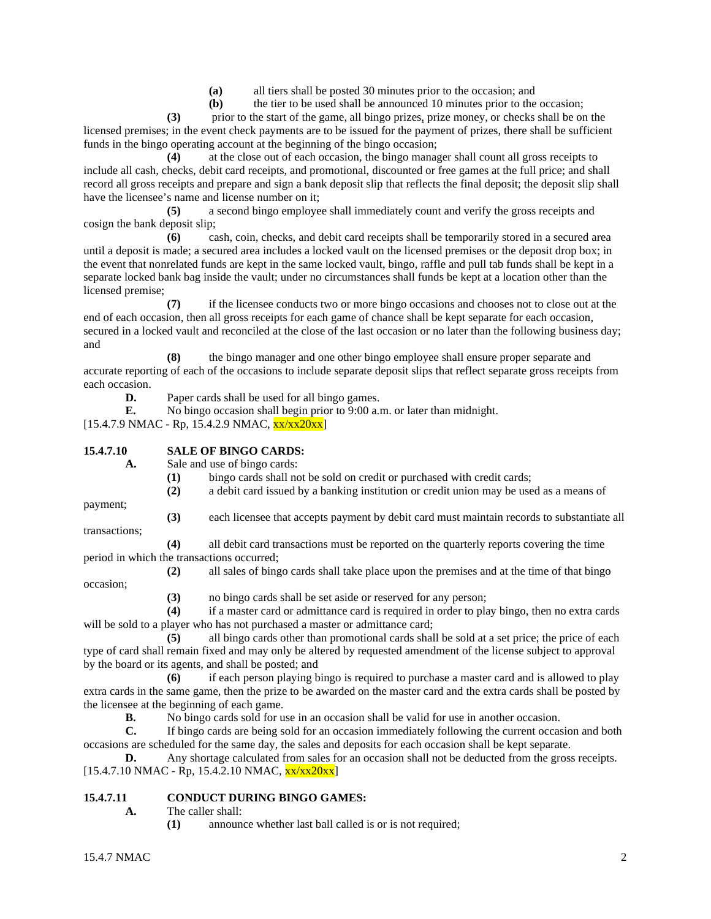**(a)** all tiers shall be posted 30 minutes prior to the occasion; and

**(b)** the tier to be used shall be announced 10 minutes prior to the occasion;

**(3)** prior to the start of the game, all bingo prizes, prize money, or checks shall be on the licensed premises; in the event check payments are to be issued for the payment of prizes, there shall be sufficient funds in the bingo operating account at the beginning of the bingo occasion;

**(4)** at the close out of each occasion, the bingo manager shall count all gross receipts to include all cash, checks, debit card receipts, and promotional, discounted or free games at the full price; and shall record all gross receipts and prepare and sign a bank deposit slip that reflects the final deposit; the deposit slip shall have the licensee's name and license number on it;

**(5)** a second bingo employee shall immediately count and verify the gross receipts and cosign the bank deposit slip;

**(6)** cash, coin, checks, and debit card receipts shall be temporarily stored in a secured area until a deposit is made; a secured area includes a locked vault on the licensed premises or the deposit drop box; in the event that nonrelated funds are kept in the same locked vault, bingo, raffle and pull tab funds shall be kept in a separate locked bank bag inside the vault; under no circumstances shall funds be kept at a location other than the licensed premise;

**(7)** if the licensee conducts two or more bingo occasions and chooses not to close out at the end of each occasion, then all gross receipts for each game of chance shall be kept separate for each occasion, secured in a locked vault and reconciled at the close of the last occasion or no later than the following business day; and

**(8)** the bingo manager and one other bingo employee shall ensure proper separate and accurate reporting of each of the occasions to include separate deposit slips that reflect separate gross receipts from each occasion.

**D.** Paper cards shall be used for all bingo games.

**E.** No bingo occasion shall begin prior to 9:00 a.m. or later than midnight.

 $[15.4.7.9 \text{ NMAC} - \text{Rp}, 15.4.2.9 \text{ NMAC}, \frac{\text{xx}}{\text{xx}20 \text{xx}}]$ 

**15.4.7.10 SALE OF BINGO CARDS:**

**A.** Sale and use of bingo cards:

- **(1)** bingo cards shall not be sold on credit or purchased with credit cards;
- **(2)** a debit card issued by a banking institution or credit union may be used as a means of

payment;

occasion;

**(3)** each licensee that accepts payment by debit card must maintain records to substantiate all transactions;

**(4)** all debit card transactions must be reported on the quarterly reports covering the time period in which the transactions occurred;

- **(2)** all sales of bingo cards shall take place upon the premises and at the time of that bingo
	- **(3)** no bingo cards shall be set aside or reserved for any person;

**(4)** if a master card or admittance card is required in order to play bingo, then no extra cards will be sold to a player who has not purchased a master or admittance card;

**(5)** all bingo cards other than promotional cards shall be sold at a set price; the price of each type of card shall remain fixed and may only be altered by requested amendment of the license subject to approval by the board or its agents, and shall be posted; and

**(6)** if each person playing bingo is required to purchase a master card and is allowed to play extra cards in the same game, then the prize to be awarded on the master card and the extra cards shall be posted by the licensee at the beginning of each game.

**B.** No bingo cards sold for use in an occasion shall be valid for use in another occasion.

**C.** If bingo cards are being sold for an occasion immediately following the current occasion and both occasions are scheduled for the same day, the sales and deposits for each occasion shall be kept separate.

**D.** Any shortage calculated from sales for an occasion shall not be deducted from the gross receipts.  $[15.4.7.10 NMAC - Rp, 15.4.2.10 NMAC, xx/xx20xx]$ 

# **15.4.7.11 CONDUCT DURING BINGO GAMES:**

- **A.** The caller shall:
	- **(1)** announce whether last ball called is or is not required;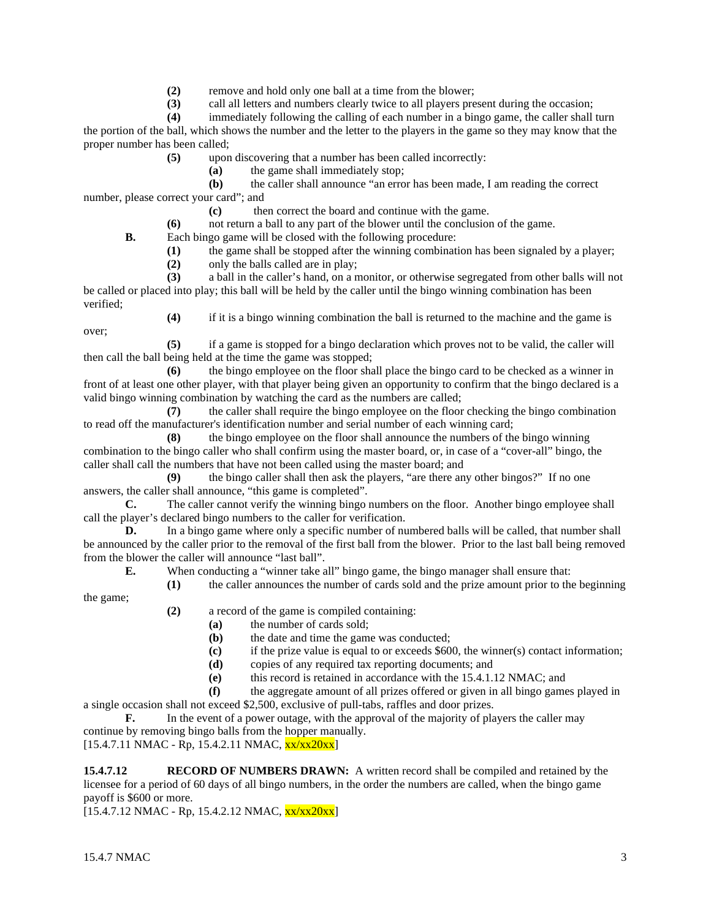**(2)** remove and hold only one ball at a time from the blower;

**(3)** call all letters and numbers clearly twice to all players present during the occasion;

**(4)** immediately following the calling of each number in a bingo game, the caller shall turn the portion of the ball, which shows the number and the letter to the players in the game so they may know that the proper number has been called;

**(5)** upon discovering that a number has been called incorrectly:

**(a)** the game shall immediately stop;

**(b)** the caller shall announce "an error has been made, I am reading the correct number, please correct your card"; and

**(c)** then correct the board and continue with the game.

**(6)** not return a ball to any part of the blower until the conclusion of the game.

**B.** Each bingo game will be closed with the following procedure:

**(1)** the game shall be stopped after the winning combination has been signaled by a player;

**(2)** only the balls called are in play;

**(3)** a ball in the caller's hand, on a monitor, or otherwise segregated from other balls will not be called or placed into play; this ball will be held by the caller until the bingo winning combination has been verified;

over;

**(4)** if it is a bingo winning combination the ball is returned to the machine and the game is

**(5)** if a game is stopped for a bingo declaration which proves not to be valid, the caller will then call the ball being held at the time the game was stopped;

**(6)** the bingo employee on the floor shall place the bingo card to be checked as a winner in front of at least one other player, with that player being given an opportunity to confirm that the bingo declared is a valid bingo winning combination by watching the card as the numbers are called;

**(7)** the caller shall require the bingo employee on the floor checking the bingo combination to read off the manufacturer's identification number and serial number of each winning card;

**(8)** the bingo employee on the floor shall announce the numbers of the bingo winning combination to the bingo caller who shall confirm using the master board, or, in case of a "cover-all" bingo, the caller shall call the numbers that have not been called using the master board; and

**(9)** the bingo caller shall then ask the players, "are there any other bingos?" If no one answers, the caller shall announce, "this game is completed".

**C.** The caller cannot verify the winning bingo numbers on the floor. Another bingo employee shall call the player's declared bingo numbers to the caller for verification.

**D.** In a bingo game where only a specific number of numbered balls will be called, that number shall be announced by the caller prior to the removal of the first ball from the blower. Prior to the last ball being removed from the blower the caller will announce "last ball".

**E.** When conducting a "winner take all" bingo game, the bingo manager shall ensure that:

**(1)** the caller announces the number of cards sold and the prize amount prior to the beginning

the game;

- **(2)** a record of the game is compiled containing:
	- **(a)** the number of cards sold;
	- **(b)** the date and time the game was conducted;
	- **(c)** if the prize value is equal to or exceeds \$600, the winner(s) contact information;
	- **(d)** copies of any required tax reporting documents; and
	- **(e)** this record is retained in accordance with the 15.4.1.12 NMAC; and
- **(f)** the aggregate amount of all prizes offered or given in all bingo games played in a single occasion shall not exceed \$2,500, exclusive of pull-tabs, raffles and door prizes.

**F.** In the event of a power outage, with the approval of the majority of players the caller may continue by removing bingo balls from the hopper manually.

 $[15.4.7.11 \text{ NMAC} - \text{Rp}, 15.4.2.11 \text{ NMAC}, \frac{\text{xx} \times \text{xx} 20 \text{xx}}{\text{NMR}}]$ 

**15.4.7.12 RECORD OF NUMBERS DRAWN:** A written record shall be compiled and retained by the licensee for a period of 60 days of all bingo numbers, in the order the numbers are called, when the bingo game payoff is \$600 or more.

 $[15.4.7.12 \text{ NMAC} - \text{Rp}, 15.4.2.12 \text{ NMAC}, \frac{\text{xx}}{\text{xx}} \times 20 \text{xx}]$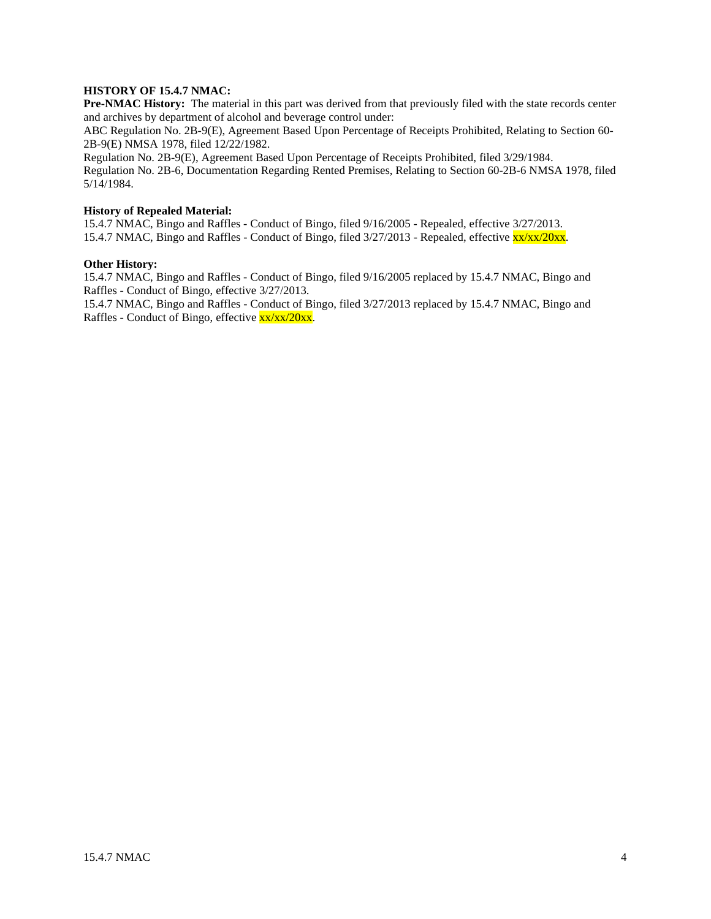# **HISTORY OF 15.4.7 NMAC:**

**Pre-NMAC History:** The material in this part was derived from that previously filed with the state records center and archives by department of alcohol and beverage control under:

ABC Regulation No. 2B-9(E), Agreement Based Upon Percentage of Receipts Prohibited, Relating to Section 60- 2B-9(E) NMSA 1978, filed 12/22/1982.

Regulation No. 2B-9(E), Agreement Based Upon Percentage of Receipts Prohibited, filed 3/29/1984.

Regulation No. 2B-6, Documentation Regarding Rented Premises, Relating to Section 60-2B-6 NMSA 1978, filed 5/14/1984.

#### **History of Repealed Material:**

15.4.7 NMAC, Bingo and Raffles - Conduct of Bingo, filed 9/16/2005 - Repealed, effective 3/27/2013. 15.4.7 NMAC, Bingo and Raffles - Conduct of Bingo, filed 3/27/2013 - Repealed, effective xx/xx/20xx.

#### **Other History:**

15.4.7 NMAC, Bingo and Raffles - Conduct of Bingo, filed 9/16/2005 replaced by 15.4.7 NMAC, Bingo and Raffles - Conduct of Bingo, effective 3/27/2013.

15.4.7 NMAC, Bingo and Raffles - Conduct of Bingo, filed 3/27/2013 replaced by 15.4.7 NMAC, Bingo and Raffles - Conduct of Bingo, effective xx/xx/20xx.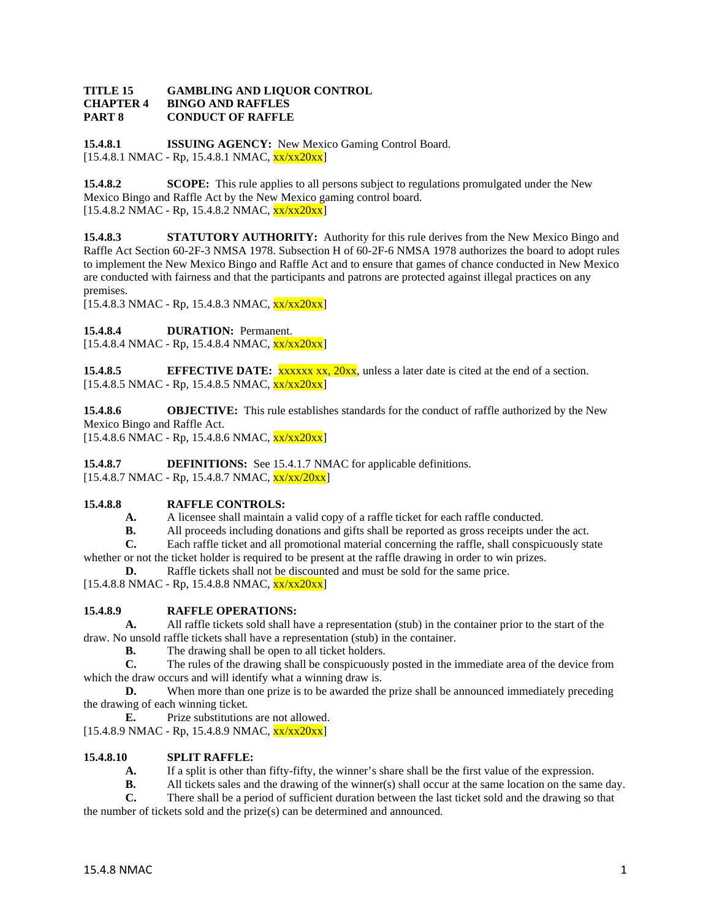#### **TITLE 15 GAMBLING AND LIQUOR CONTROL CHAPTER 4 BINGO AND RAFFLES PART 8 CONDUCT OF RAFFLE**

**15.4.8.1 ISSUING AGENCY:** New Mexico Gaming Control Board.  $[15.4.8.1 \text{ NMAC} - \text{Rp}, 15.4.8.1 \text{ NMAC}, \frac{\text{xx}}{\text{xx}20 \text{xx}}]$ 

**15.4.8.2 SCOPE:** This rule applies to all persons subject to regulations promulgated under the New Mexico Bingo and Raffle Act by the New Mexico gaming control board.  $[15.4.8.2 \text{ NMAC - Rp}, 15.4.8.2 \text{ NMAC}, \frac{\text{xx}}{\text{xx}20 \text{xx}}]$ 

**15.4.8.3 STATUTORY AUTHORITY:** Authority for this rule derives from the New Mexico Bingo and Raffle Act Section 60-2F-3 NMSA 1978. Subsection H of 60-2F-6 NMSA 1978 authorizes the board to adopt rules to implement the New Mexico Bingo and Raffle Act and to ensure that games of chance conducted in New Mexico are conducted with fairness and that the participants and patrons are protected against illegal practices on any premises.

 $[15.4.8.3 \text{ NMAC} - \text{Rp}, 15.4.8.3 \text{ NMAC}, \frac{\text{xx}}{\text{xx}} \frac{20 \text{xx}}{\text{N}}]$ 

15.4.8.4 **DURATION:** Permanent.

 $[15.4.8.4 \text{ NMAC - Rp}, 15.4.8.4 \text{ NMAC}, \frac{\text{xx}}{\text{xx}20\text{xx}}]$ 

**15.4.8.5 EFFECTIVE DATE:** xxxxx xx, 20xx, unless a later date is cited at the end of a section.  $[15.4.8.5 \text{ NMAC} - \text{Rp}, 15.4.8.5 \text{ NMAC}, \frac{\text{xx}}{\text{xx}20 \text{xx}}]$ 

**15.4.8.6 OBJECTIVE:** This rule establishes standards for the conduct of raffle authorized by the New Mexico Bingo and Raffle Act.  $[15.4.8.6 \text{ NMAC} - \text{Rp}, 15.4.8.6 \text{ NMAC}, \frac{\text{xx}}{\text{xx}} \frac{20 \text{xx}}{\text{N}}]$ 

**15.4.8.7 DEFINITIONS:** See 15.4.1.7 NMAC for applicable definitions.  $[15.4.8.7 \text{ NMAC - Rp}, 15.4.8.7 \text{ NMAC}, \frac{\text{xx}}{\text{xx}}/20 \text{xx}]$ 

# **15.4.8.8 RAFFLE CONTROLS:**

**A.** A licensee shall maintain a valid copy of a raffle ticket for each raffle conducted.<br>**B.** All proceeds including donations and gifts shall be reported as gross receipts under

**B.** All proceeds including donations and gifts shall be reported as gross receipts under the act.<br> **C.** Each raffle ticket and all promotional material concerning the raffle, shall conspicuously sta

**C.** Each raffle ticket and all promotional material concerning the raffle, shall conspicuously state whether or not the ticket holder is required to be present at the raffle drawing in order to win prizes.

**D.** Raffle tickets shall not be discounted and must be sold for the same price.

 $[15.4.8.8 \text{ NMAC - Rp}, 15.4.8.8 \text{ NMAC}, \frac{\text{xx}}{\text{xx}20\text{xx}}]$ 

# **15.4.8.9 RAFFLE OPERATIONS:**

**A.** All raffle tickets sold shall have a representation (stub) in the container prior to the start of the draw. No unsold raffle tickets shall have a representation (stub) in the container.<br> **B.** The drawing shall be open to all ticket holders

The drawing shall be open to all ticket holders.

**C.** The rules of the drawing shall be conspicuously posted in the immediate area of the device from which the draw occurs and will identify what a winning draw is.

**D.** When more than one prize is to be awarded the prize shall be announced immediately preceding the drawing of each winning ticket.

**E.** Prize substitutions are not allowed.

[15.4.8.9 NMAC - Rp, 15.4.8.9 NMAC, xx/xx20xx]

# **15.4.8.10 SPLIT RAFFLE:**

**A.** If a split is other than fifty-fifty, the winner's share shall be the first value of the expression.

**B.** All tickets sales and the drawing of the winner(s) shall occur at the same location on the same day.

**C.** There shall be a period of sufficient duration between the last ticket sold and the drawing so that the number of tickets sold and the prize(s) can be determined and announced.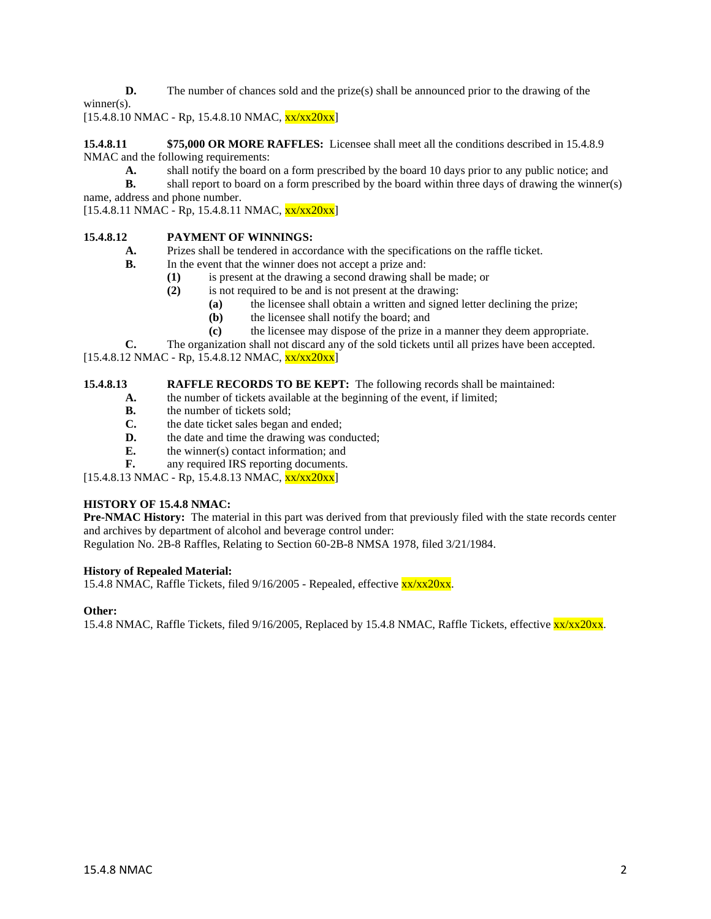**D.** The number of chances sold and the prize(s) shall be announced prior to the drawing of the

winner(s).

 $[15.4.8.10 \text{ NMAC} - \text{Rp}, 15.4.8.10 \text{ NMAC}, \frac{\text{xx}}{\text{xx}}20\text{xx}]$ 

**15.4.8.11 \$75,000 OR MORE RAFFLES:** Licensee shall meet all the conditions described in 15.4.8.9 NMAC and the following requirements:

**A.** shall notify the board on a form prescribed by the board 10 days prior to any public notice; and

**B.** shall report to board on a form prescribed by the board within three days of drawing the winner(s) name, address and phone number.

 $[15.4.8.11 \text{ NMAC} - \text{Rp}, 15.4.8.11 \text{ NMAC}, \frac{\text{xx}}{\text{xx}}20\text{xx}]$ 

# **15.4.8.12 PAYMENT OF WINNINGS:**

- **A.** Prizes shall be tendered in accordance with the specifications on the raffle ticket.
- **B.** In the event that the winner does not accept a prize and:
	- **(1)** is present at the drawing a second drawing shall be made; or
	- **(2)** is not required to be and is not present at the drawing:
		- **(a)** the licensee shall obtain a written and signed letter declining the prize;
		- **(b)** the licensee shall notify the board; and
		- **(c)** the licensee may dispose of the prize in a manner they deem appropriate.
- **C.** The organization shall not discard any of the sold tickets until all prizes have been accepted.

 $[15.4.8.12 \text{ NMAC} - \text{Rp}, 15.4.8.12 \text{ NMAC}, \frac{\text{xx}}{\text{xx}20 \text{xx}}]$ 

#### **15.4.8.13 RAFFLE RECORDS TO BE KEPT:** The following records shall be maintained:

- **A.** the number of tickets available at the beginning of the event, if limited;
- **B.** the number of tickets sold:
- **C.** the date ticket sales began and ended;
- **D.** the date and time the drawing was conducted;
- **E.** the winner(s) contact information; and
- **F.** any required IRS reporting documents.

 $[15.4.8.13 \text{ NMAC} - \text{Rp}, 15.4.8.13 \text{ NMAC}, \frac{\text{xx}}{\text{xx}20\text{xx}}]$ 

# **HISTORY OF 15.4.8 NMAC:**

**Pre-NMAC History:** The material in this part was derived from that previously filed with the state records center and archives by department of alcohol and beverage control under:

Regulation No. 2B-8 Raffles, Relating to Section 60-2B-8 NMSA 1978, filed 3/21/1984.

#### **History of Repealed Material:**

15.4.8 NMAC, Raffle Tickets, filed 9/16/2005 - Repealed, effective xx/xx20xx.

#### **Other:**

15.4.8 NMAC, Raffle Tickets, filed 9/16/2005, Replaced by 15.4.8 NMAC, Raffle Tickets, effective  $\frac{xx}{xx}$ 20xx.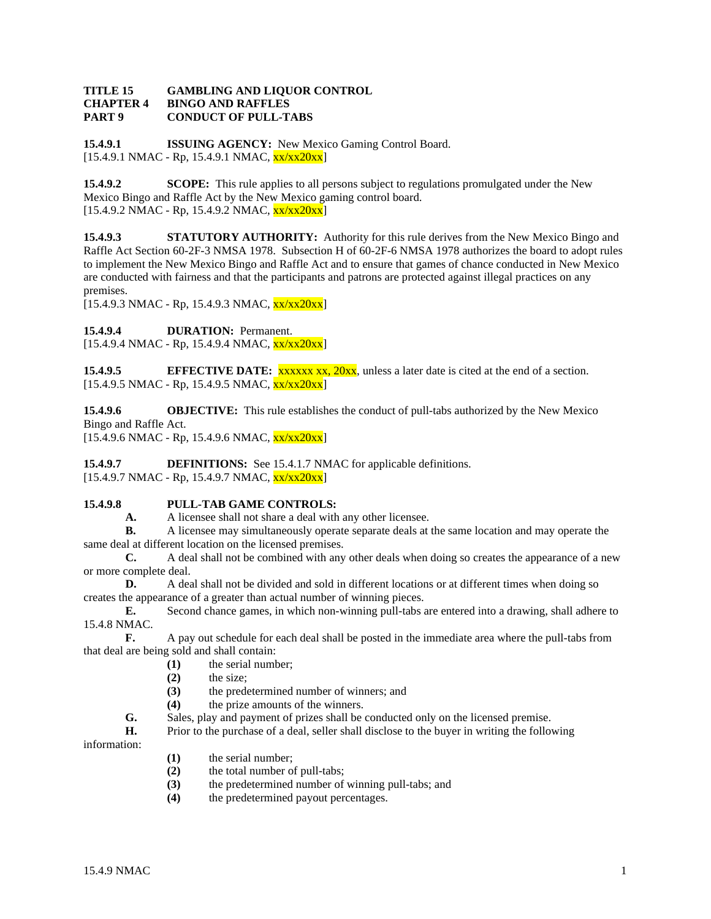#### **TITLE 15 GAMBLING AND LIQUOR CONTROL CHAPTER 4 BINGO AND RAFFLES PART 9 CONDUCT OF PULL-TABS**

**15.4.9.1 ISSUING AGENCY:** New Mexico Gaming Control Board. [15.4.9.1 NMAC - Rp, 15.4.9.1 NMAC, xx/xx20xx]

**15.4.9.2 SCOPE:** This rule applies to all persons subject to regulations promulgated under the New Mexico Bingo and Raffle Act by the New Mexico gaming control board.  $[15.4.9.2 \text{ NMAC - Rp}, 15.4.9.2 \text{ NMAC}, \frac{\text{xx}}{\text{xx}20 \text{xx}}]$ 

**15.4.9.3 STATUTORY AUTHORITY:** Authority for this rule derives from the New Mexico Bingo and Raffle Act Section 60-2F-3 NMSA 1978. Subsection H of 60-2F-6 NMSA 1978 authorizes the board to adopt rules to implement the New Mexico Bingo and Raffle Act and to ensure that games of chance conducted in New Mexico are conducted with fairness and that the participants and patrons are protected against illegal practices on any premises.

 $[15.4.9.3 \text{ NMAC} - \text{Rp}, 15.4.9.3 \text{ NMAC}, \frac{\text{xx}}{\text{xx}} \frac{20 \text{xx}}{\text{N}}]$ 

**15.4.9.4 DURATION:** Permanent.

 $[15.4.9.4 \text{ NMAC - Rp}, 15.4.9.4 \text{ NMAC}, \frac{\text{xx}}{\text{xx}20\text{xx}}]$ 

**15.4.9.5 EFFECTIVE DATE:** xxxxx xx, 20xx, unless a later date is cited at the end of a section.  $[15.4.9.5 \text{ NMAC} - \text{Rp}, 15.4.9.5 \text{ NMAC}, \frac{\text{xx}}{\text{xx}20 \text{xx}}]$ 

**15.4.9.6 OBJECTIVE:** This rule establishes the conduct of pull-tabs authorized by the New Mexico Bingo and Raffle Act.

 $[15.4.9.6 \text{ NMAC - Rp}, 15.4.9.6 \text{ NMAC}, \frac{\text{xx}}{\text{xx}}20\text{xx}]$ 

**15.4.9.7 DEFINITIONS:** See 15.4.1.7 NMAC for applicable definitions. [15.4.9.7 NMAC - Rp, 15.4.9.7 NMAC, xx/xx20xx]

# **15.4.9.8 PULL-TAB GAME CONTROLS:**

**A.** A licensee shall not share a deal with any other licensee.<br>**B.** A licensee may simultaneously operate separate deals at

**B.** A licensee may simultaneously operate separate deals at the same location and may operate the same deal at different location on the licensed premises.

**C.** A deal shall not be combined with any other deals when doing so creates the appearance of a new or more complete deal.

**D.** A deal shall not be divided and sold in different locations or at different times when doing so creates the appearance of a greater than actual number of winning pieces.

**E.** Second chance games, in which non-winning pull-tabs are entered into a drawing, shall adhere to 15.4.8 NMAC.

**F.** A pay out schedule for each deal shall be posted in the immediate area where the pull-tabs from that deal are being sold and shall contain:

- **(1)** the serial number;
- **(2)** the size;
- **(3)** the predetermined number of winners; and
- **(4)** the prize amounts of the winners.
- **G.** Sales, play and payment of prizes shall be conducted only on the licensed premise.<br>**H.** Prior to the purchase of a deal seller shall disclose to the buyer in writing the follow

**H.** Prior to the purchase of a deal, seller shall disclose to the buyer in writing the following

information:

- **(1)** the serial number;
- **(2)** the total number of pull-tabs;
- (3) the predetermined number of winning pull-tabs; and (4) the predetermined payout percentages.
- **(4)** the predetermined payout percentages.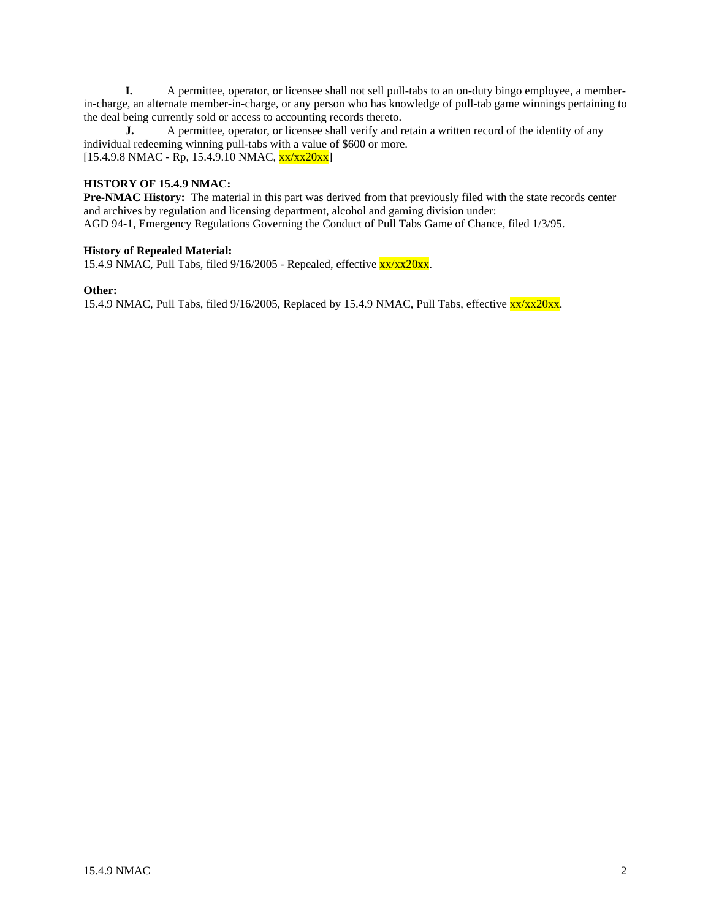**I.** A permittee, operator, or licensee shall not sell pull-tabs to an on-duty bingo employee, a memberin-charge, an alternate member-in-charge, or any person who has knowledge of pull-tab game winnings pertaining to the deal being currently sold or access to accounting records thereto.<br> **I.** A permittee, operator, or licensee shall verify and r

**J.** A permittee, operator, or licensee shall verify and retain a written record of the identity of any individual redeeming winning pull-tabs with a value of \$600 or more.  $[15.4.9.8 \text{ NMAC} - \text{Rp}, 15.4.9.10 \text{ NMAC}, \frac{\text{xx}}{\text{xx}}20\text{xx}]$ 

# **HISTORY OF 15.4.9 NMAC:**

**Pre-NMAC History:** The material in this part was derived from that previously filed with the state records center and archives by regulation and licensing department, alcohol and gaming division under:

AGD 94-1, Emergency Regulations Governing the Conduct of Pull Tabs Game of Chance, filed 1/3/95.

# **History of Repealed Material:**

15.4.9 NMAC, Pull Tabs, filed  $9/16/2005$  - Repealed, effective  $\frac{xx}{xx}20xx$ .

#### **Other:**

15.4.9 NMAC, Pull Tabs, filed 9/16/2005, Replaced by 15.4.9 NMAC, Pull Tabs, effective  $\frac{xx}{xx20xx}$ .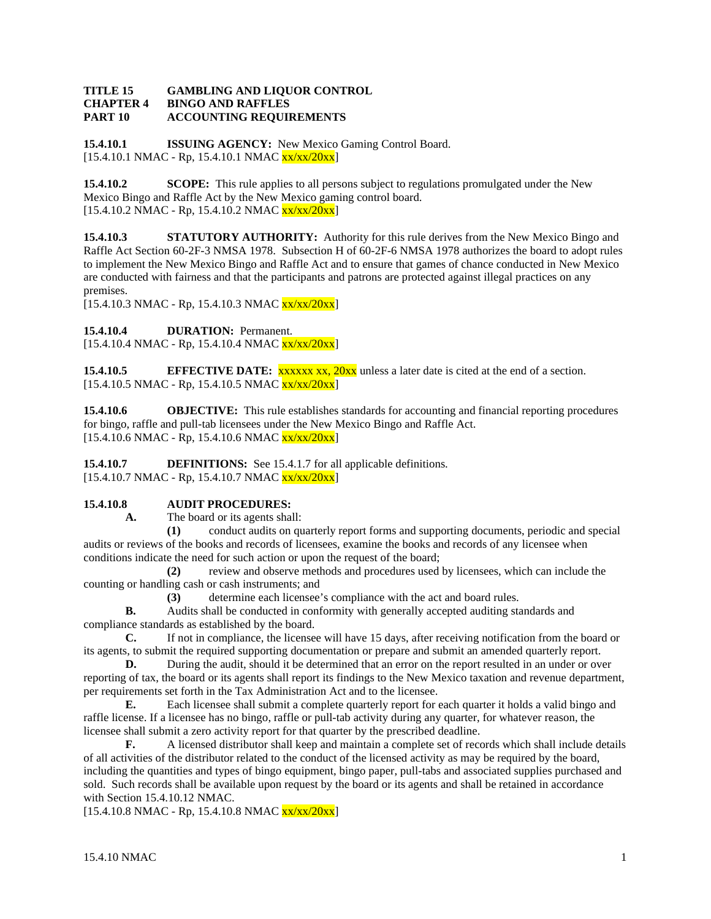### **TITLE 15 GAMBLING AND LIQUOR CONTROL CHAPTER 4 BINGO AND RAFFLES PART 10 ACCOUNTING REQUIREMENTS**

**15.4.10.1 ISSUING AGENCY:** New Mexico Gaming Control Board.  $[15.4.10.1 \text{ NMAC} - \text{Rp}, 15.4.10.1 \text{ NMAC} \text{xx}/\text{xx}/20\text{xx}]$ 

**15.4.10.2 SCOPE:** This rule applies to all persons subject to regulations promulgated under the New Mexico Bingo and Raffle Act by the New Mexico gaming control board.  $[15.4.10.2 \text{ NMAC - Rp}, 15.4.10.2 \text{ NMAC } \frac{\text{xx}}{\text{xx}}/20 \text{xx}]$ 

**15.4.10.3 STATUTORY AUTHORITY:** Authority for this rule derives from the New Mexico Bingo and Raffle Act Section 60-2F-3 NMSA 1978. Subsection H of 60-2F-6 NMSA 1978 authorizes the board to adopt rules to implement the New Mexico Bingo and Raffle Act and to ensure that games of chance conducted in New Mexico are conducted with fairness and that the participants and patrons are protected against illegal practices on any premises.

 $[15.4.10.3 \text{ NMAC} - \text{Rp}, 15.4.10.3 \text{ NMAC} \text{xx}/\text{xx}/20\text{xx}]$ 

15.4.10.4 **DURATION:** Permanent.

 $[15.4.10.4 \text{ NMAC - Rp}, 15.4.10.4 \text{ NMAC xxx/20xx}]$ 

**15.4.10.5 EFFECTIVE DATE:** xxxxx xx, 20xx unless a later date is cited at the end of a section.  $[15.4.10.5 \text{ NMAC} - \text{Rp}, 15.4.10.5 \text{ NMAC} \text{xx}/\text{xx}/20\text{xx}]$ 

**15.4.10.6 OBJECTIVE:** This rule establishes standards for accounting and financial reporting procedures for bingo, raffle and pull-tab licensees under the New Mexico Bingo and Raffle Act.  $[15.4.10.6 \text{ NMAC} - \text{Rp}, 15.4.10.6 \text{ NMAC} \text{xx}/\text{xx}/20\text{xx}]$ 

**15.4.10.7 DEFINITIONS:** See 15.4.1.7 for all applicable definitions.  $[15.4.10.7 \text{ NMAC - Rp}, 15.4.10.7 \text{ NMAC }$  $\frac{\text{xx}}{\text{xx}}/20\text{xx}]$ 

# **15.4.10.8 AUDIT PROCEDURES:**

**A.** The board or its agents shall:

**(1)** conduct audits on quarterly report forms and supporting documents, periodic and special audits or reviews of the books and records of licensees, examine the books and records of any licensee when conditions indicate the need for such action or upon the request of the board;

**(2)** review and observe methods and procedures used by licensees, which can include the counting or handling cash or cash instruments; and

**(3)** determine each licensee's compliance with the act and board rules.

**B.** Audits shall be conducted in conformity with generally accepted auditing standards and compliance standards as established by the board.

**C.** If not in compliance, the licensee will have 15 days, after receiving notification from the board or its agents, to submit the required supporting documentation or prepare and submit an amended quarterly report.

**D.** During the audit, should it be determined that an error on the report resulted in an under or over reporting of tax, the board or its agents shall report its findings to the New Mexico taxation and revenue department, per requirements set forth in the Tax Administration Act and to the licensee.

**E.** Each licensee shall submit a complete quarterly report for each quarter it holds a valid bingo and raffle license. If a licensee has no bingo, raffle or pull-tab activity during any quarter, for whatever reason, the licensee shall submit a zero activity report for that quarter by the prescribed deadline.

**F.** A licensed distributor shall keep and maintain a complete set of records which shall include details of all activities of the distributor related to the conduct of the licensed activity as may be required by the board, including the quantities and types of bingo equipment, bingo paper, pull-tabs and associated supplies purchased and sold. Such records shall be available upon request by the board or its agents and shall be retained in accordance with Section 15.4.10.12 NMAC.

 $[15.4.10.8 \text{ NMAC - Rp}, 15.4.10.8 \text{ NMAC xxx/20xx}]$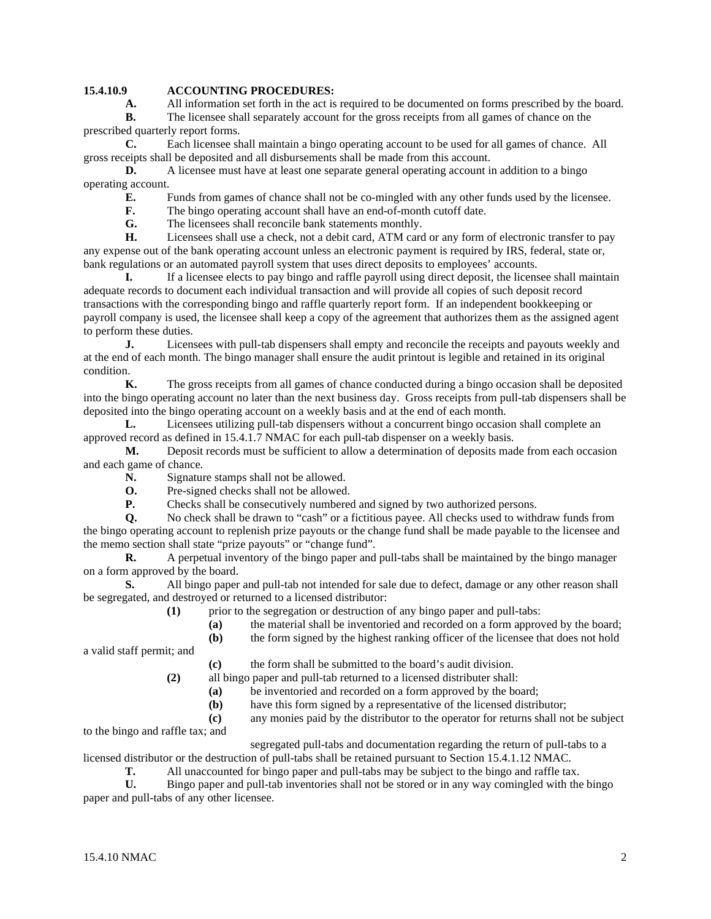# **15.4.10.9 ACCOUNTING PROCEDURES:**

**A.** All information set forth in the act is required to be documented on forms prescribed by the board. **B.** The licensee shall separately account for the gross receipts from all games of chance on the

prescribed quarterly report forms.

**C.** Each licensee shall maintain a bingo operating account to be used for all games of chance. All gross receipts shall be deposited and all disbursements shall be made from this account.

**D.** A licensee must have at least one separate general operating account in addition to a bingo operating account.

**E.** Funds from games of chance shall not be co-mingled with any other funds used by the licensee.<br> **F.** The bingo operating account shall have an end-of-month cutoff date.

The bingo operating account shall have an end-of-month cutoff date.

**G.** The licensees shall reconcile bank statements monthly.

**H.** Licensees shall use a check, not a debit card, ATM card or any form of electronic transfer to pay any expense out of the bank operating account unless an electronic payment is required by IRS, federal, state or, bank regulations or an automated payroll system that uses direct deposits to employees' accounts.

**I.** If a licensee elects to pay bingo and raffle payroll using direct deposit, the licensee shall maintain adequate records to document each individual transaction and will provide all copies of such deposit record transactions with the corresponding bingo and raffle quarterly report form. If an independent bookkeeping or payroll company is used, the licensee shall keep a copy of the agreement that authorizes them as the assigned agent to perform these duties.

**J.** Licensees with pull-tab dispensers shall empty and reconcile the receipts and payouts weekly and at the end of each month. The bingo manager shall ensure the audit printout is legible and retained in its original condition.

**K.** The gross receipts from all games of chance conducted during a bingo occasion shall be deposited into the bingo operating account no later than the next business day. Gross receipts from pull-tab dispensers shall be deposited into the bingo operating account on a weekly basis and at the end of each month.

**L.** Licensees utilizing pull-tab dispensers without a concurrent bingo occasion shall complete an approved record as defined in 15.4.1.7 NMAC for each pull-tab dispenser on a weekly basis.

**M.** Deposit records must be sufficient to allow a determination of deposits made from each occasion and each game of chance.

- **N.** Signature stamps shall not be allowed.
- **O.** Pre-signed checks shall not be allowed.<br>**P.** Checks shall be consecutively numbered
- **P.** Checks shall be consecutively numbered and signed by two authorized persons.

**Q.** No check shall be drawn to "cash" or a fictitious payee. All checks used to withdraw funds from the bingo operating account to replenish prize payouts or the change fund shall be made payable to the licensee and the memo section shall state "prize payouts" or "change fund".

**R.** A perpetual inventory of the bingo paper and pull-tabs shall be maintained by the bingo manager on a form approved by the board.

**S.** All bingo paper and pull-tab not intended for sale due to defect, damage or any other reason shall be segregated, and destroyed or returned to a licensed distributor:

- **(1)** prior to the segregation or destruction of any bingo paper and pull-tabs:
	- **(a)** the material shall be inventoried and recorded on a form approved by the board;<br>**(b)** the form signed by the highest ranking officer of the licensee that does not hold
	- **(b)** the form signed by the highest ranking officer of the licensee that does not hold

a valid staff permit; and

**(c)** the form shall be submitted to the board's audit division.

**(2)** all bingo paper and pull-tab returned to a licensed distributer shall:

**(a)** be inventoried and recorded on a form approved by the board;

**(b)** have this form signed by a representative of the licensed distributor;

**(c)** any monies paid by the distributor to the operator for returns shall not be subject

to the bingo and raffle tax; and

segregated pull-tabs and documentation regarding the return of pull-tabs to a

licensed distributor or the destruction of pull-tabs shall be retained pursuant to Section 15.4.1.12 NMAC.

**T.** All unaccounted for bingo paper and pull-tabs may be subject to the bingo and raffle tax.

**U.** Bingo paper and pull-tab inventories shall not be stored or in any way comingled with the bingo paper and pull-tabs of any other licensee.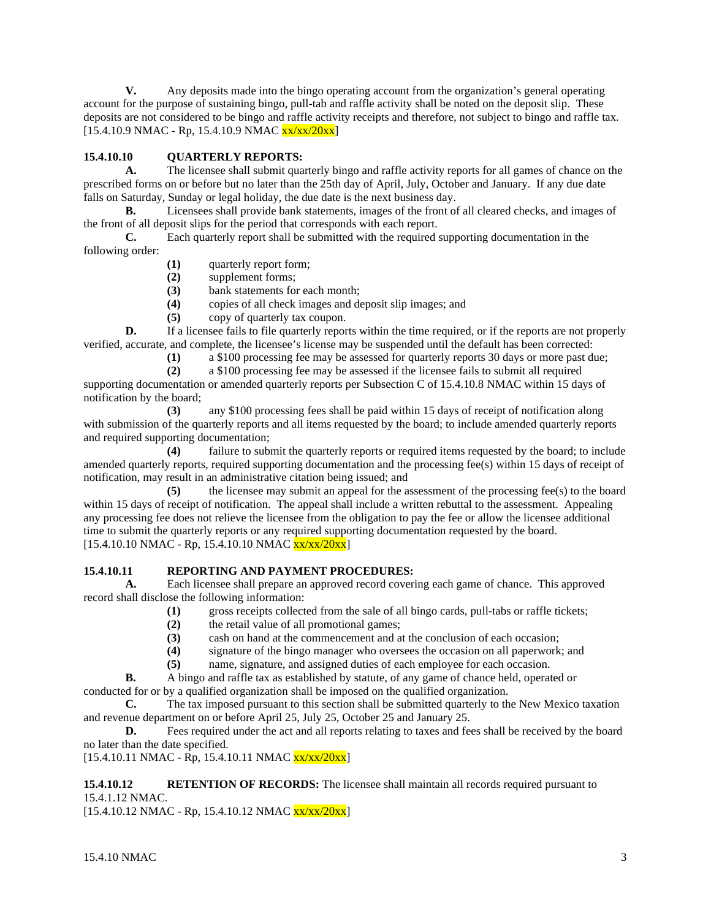**V.** Any deposits made into the bingo operating account from the organization's general operating account for the purpose of sustaining bingo, pull-tab and raffle activity shall be noted on the deposit slip. These deposits are not considered to be bingo and raffle activity receipts and therefore, not subject to bingo and raffle tax.  $[15.4.10.9 \text{ NMAC - Rp}, 15.4.10.9 \text{ NMAC x} \text{xx}/\text{xx}/20 \text{xx}]$ 

# **15.4.10.10 QUARTERLY REPORTS:**

**A.** The licensee shall submit quarterly bingo and raffle activity reports for all games of chance on the prescribed forms on or before but no later than the 25th day of April, July, October and January. If any due date falls on Saturday, Sunday or legal holiday, the due date is the next business day.

**B.** Licensees shall provide bank statements, images of the front of all cleared checks, and images of the front of all deposit slips for the period that corresponds with each report.

**C.** Each quarterly report shall be submitted with the required supporting documentation in the following order:

- **(1)** quarterly report form;
- **(2)** supplement forms;
- **(3)** bank statements for each month;
- **(4)** copies of all check images and deposit slip images; and
- **(5)** copy of quarterly tax coupon.

**D.** If a licensee fails to file quarterly reports within the time required, or if the reports are not properly verified, accurate, and complete, the licensee's license may be suspended until the default has been corrected:

**(1)** a \$100 processing fee may be assessed for quarterly reports 30 days or more past due;

**(2)** a \$100 processing fee may be assessed if the licensee fails to submit all required

supporting documentation or amended quarterly reports per Subsection C of 15.4.10.8 NMAC within 15 days of notification by the board;

**(3)** any \$100 processing fees shall be paid within 15 days of receipt of notification along with submission of the quarterly reports and all items requested by the board; to include amended quarterly reports and required supporting documentation;

**(4)** failure to submit the quarterly reports or required items requested by the board; to include amended quarterly reports, required supporting documentation and the processing fee(s) within 15 days of receipt of notification, may result in an administrative citation being issued; and

**(5)** the licensee may submit an appeal for the assessment of the processing fee(s) to the board within 15 days of receipt of notification. The appeal shall include a written rebuttal to the assessment. Appealing any processing fee does not relieve the licensee from the obligation to pay the fee or allow the licensee additional time to submit the quarterly reports or any required supporting documentation requested by the board.  $[15.4.10.10 NMAC - Rp, 15.4.10.10 NMAC <sub>XX/XX/20XX</sub>]$ 

# **15.4.10.11 REPORTING AND PAYMENT PROCEDURES:**

**A.** Each licensee shall prepare an approved record covering each game of chance. This approved record shall disclose the following information:

- **(1)** gross receipts collected from the sale of all bingo cards, pull-tabs or raffle tickets;
	- **(2)** the retail value of all promotional games;
	- (3) cash on hand at the commencement and at the conclusion of each occasion;<br>(4) signature of the bingo manager who oversees the occasion on all paperwork
	- **(4)** signature of the bingo manager who oversees the occasion on all paperwork; and
	- **(5)** name, signature, and assigned duties of each employee for each occasion.

**B.** A bingo and raffle tax as established by statute, of any game of chance held, operated or conducted for or by a qualified organization shall be imposed on the qualified organization.

**C.** The tax imposed pursuant to this section shall be submitted quarterly to the New Mexico taxation and revenue department on or before April 25, July 25, October 25 and January 25.<br>
D. Fees required under the act and all reports relating to taxes and fee

Fees required under the act and all reports relating to taxes and fees shall be received by the board no later than the date specified.

 $[15.4.10.11 \text{ NMAC} - \text{Rp}, 15.4.10.11 \text{ NMAC} \text{xx}/\text{xx}/20 \text{xx}]$ 

**15.4.10.12 RETENTION OF RECORDS:** The licensee shall maintain all records required pursuant to 15.4.1.12 NMAC.

 $[15.4.10.12 \text{ NMAC} - \text{Rp}, 15.4.10.12 \text{ NMAC} \text{xx}/\text{xx}/20 \text{xx}]$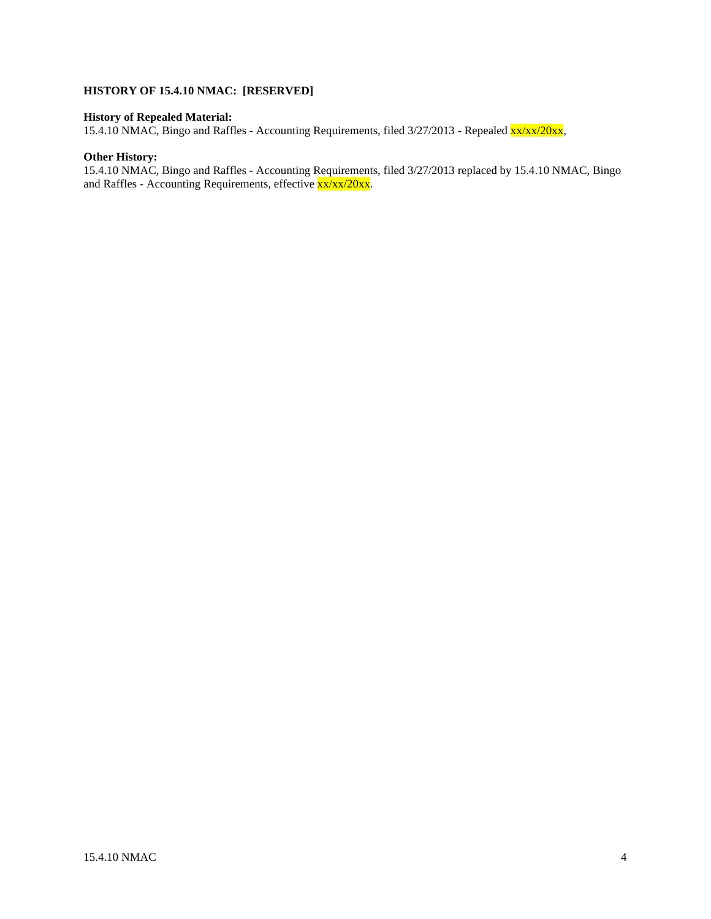# **HISTORY OF 15.4.10 NMAC: [RESERVED]**

# **History of Repealed Material:**

15.4.10 NMAC, Bingo and Raffles - Accounting Requirements, filed 3/27/2013 - Repealed xx/xx/20xx,

#### **Other History:**

15.4.10 NMAC, Bingo and Raffles - Accounting Requirements, filed 3/27/2013 replaced by 15.4.10 NMAC, Bingo and Raffles - Accounting Requirements, effective  $\frac{x}{xx}/\frac{x}{x}/20x$ .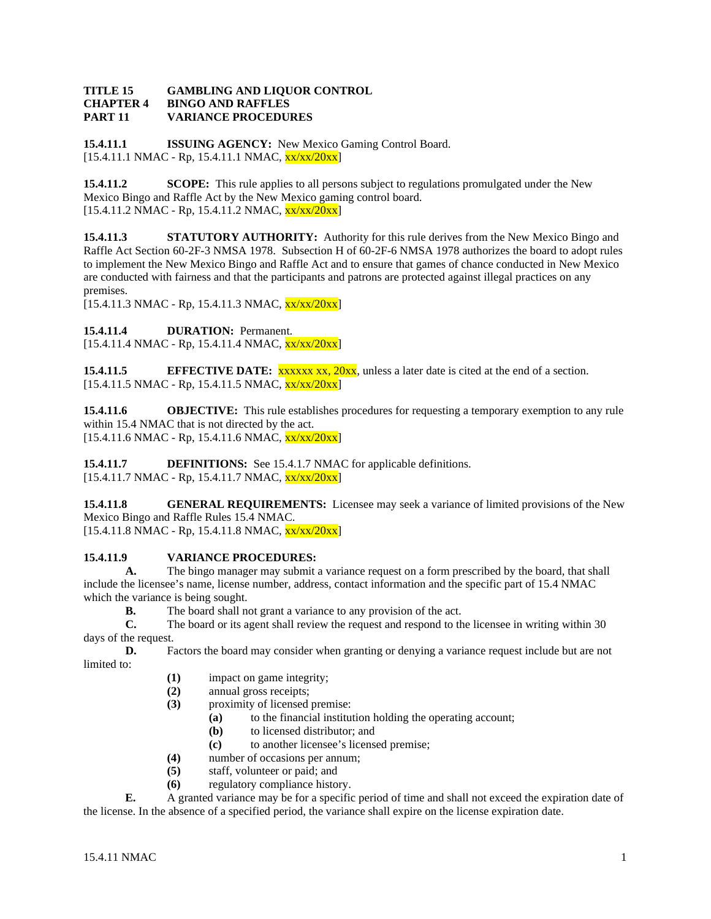#### **TITLE 15 GAMBLING AND LIQUOR CONTROL CHAPTER 4 BINGO AND RAFFLES PART 11 VARIANCE PROCEDURES**

**15.4.11.1 ISSUING AGENCY:** New Mexico Gaming Control Board. [15.4.11.1 NMAC - Rp, 15.4.11.1 NMAC, xx/xx/20xx]

**15.4.11.2 SCOPE:** This rule applies to all persons subject to regulations promulgated under the New Mexico Bingo and Raffle Act by the New Mexico gaming control board.  $[15.4.11.2 \text{ NMAC} - \text{Rp}, 15.4.11.2 \text{ NMAC}, \frac{\text{xx}}{\text{xx}}/20 \text{xx}]$ 

**15.4.11.3 STATUTORY AUTHORITY:** Authority for this rule derives from the New Mexico Bingo and Raffle Act Section 60-2F-3 NMSA 1978. Subsection H of 60-2F-6 NMSA 1978 authorizes the board to adopt rules to implement the New Mexico Bingo and Raffle Act and to ensure that games of chance conducted in New Mexico are conducted with fairness and that the participants and patrons are protected against illegal practices on any premises.

 $[15.4.11.3 \text{ NMAC} - \text{Rp}, 15.4.11.3 \text{ NMAC}, \frac{\text{xx}}{\text{xx}}/20 \text{xx}]$ 

15.4.11.4 **DURATION:** Permanent.

 $[15.4.11.4 \text{ NMAC} - \text{Rp}, 15.4.11.4 \text{ NMAC}, \frac{\text{xx}{\text{xx}}/20 \text{xx}}{15.4.11.4 \text{ NMAC}}]$ 

**15.4.11.5 EFFECTIVE DATE:** xxxxx xx, 20xx, unless a later date is cited at the end of a section.  $[15.4.11.5 \text{ NMAC} - \text{Rp}, 15.4.11.5 \text{ NMAC}, \frac{\text{xx}}{\text{xx}}/20 \text{xx}]$ 

**15.4.11.6 OBJECTIVE:** This rule establishes procedures for requesting a temporary exemption to any rule within 15.4 NMAC that is not directed by the act.  $[15.4.11.6 \text{ NMAC} - \text{Rp}, 15.4.11.6 \text{ NMAC}, \frac{\text{xx}}{\text{xx}}/20 \text{xx}]$ 

**15.4.11.7 DEFINITIONS:** See 15.4.1.7 NMAC for applicable definitions. [15.4.11.7 NMAC - Rp, 15.4.11.7 NMAC, xx/xx/20xx]

**15.4.11.8 GENERAL REQUIREMENTS:** Licensee may seek a variance of limited provisions of the New Mexico Bingo and Raffle Rules 15.4 NMAC.  $[15.4.11.8 \text{ NMAC} - \text{Rp}, 15.4.11.8 \text{ NMAC}, \frac{\text{xx}}{\text{xx}}/20 \text{xx}]$ 

# **15.4.11.9 VARIANCE PROCEDURES:**

**A.** The bingo manager may submit a variance request on a form prescribed by the board, that shall include the licensee's name, license number, address, contact information and the specific part of 15.4 NMAC which the variance is being sought.

**B.** The board shall not grant a variance to any provision of the act.

**C.** The board or its agent shall review the request and respond to the licensee in writing within 30 days of the request.<br> $\mathbf{D}$ .

**D.** Factors the board may consider when granting or denying a variance request include but are not limited to:

- **(1)** impact on game integrity;<br>**(2)** annual gross receipts;
- **(2)** annual gross receipts;
- **(3)** proximity of licensed premise:
	- **(a)** to the financial institution holding the operating account;
	- **(b)** to licensed distributor; and
	- **(c)** to another licensee's licensed premise;
- **(4)** number of occasions per annum;
- **(5)** staff, volunteer or paid; and
- **(6)** regulatory compliance history.

**E.** A granted variance may be for a specific period of time and shall not exceed the expiration date of the license. In the absence of a specified period, the variance shall expire on the license expiration date.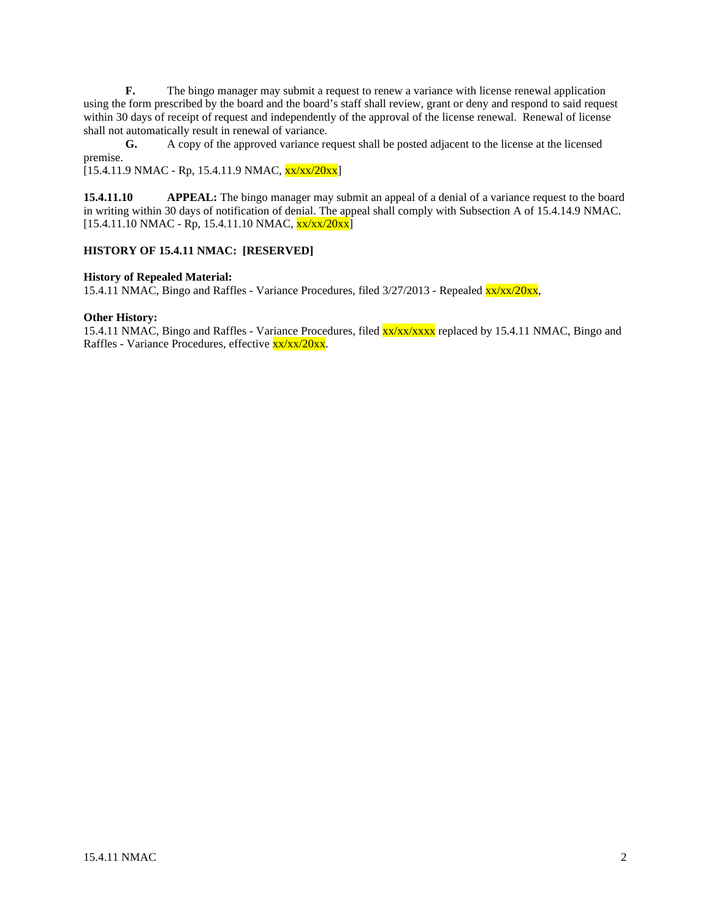**F.** The bingo manager may submit a request to renew a variance with license renewal application using the form prescribed by the board and the board's staff shall review, grant or deny and respond to said request within 30 days of receipt of request and independently of the approval of the license renewal. Renewal of license shall not automatically result in renewal of variance.

**G.** A copy of the approved variance request shall be posted adjacent to the license at the licensed premise.

 $[15.4.11.9 \text{ NMAC} - \text{Rp}, 15.4.11.9 \text{ NMAC}, \frac{\text{xx}}{\text{xx}}/20 \text{xx}]$ 

**15.4.11.10 APPEAL:** The bingo manager may submit an appeal of a denial of a variance request to the board in writing within 30 days of notification of denial. The appeal shall comply with Subsection A of 15.4.14.9 NMAC.  $[15.4.11.10 NMAC - Rp, 15.4.11.10 NMAC,  $\frac{xx}{xx}/20xx]$$ 

# **HISTORY OF 15.4.11 NMAC: [RESERVED]**

#### **History of Repealed Material:**

15.4.11 NMAC, Bingo and Raffles - Variance Procedures, filed  $3/27/2013$  - Repealed  $x \frac{x}{x^2/20x^2}$ ,

#### **Other History:**

15.4.11 NMAC, Bingo and Raffles - Variance Procedures, filed  $\frac{xx}{xx}$  xx/xxxx replaced by 15.4.11 NMAC, Bingo and Raffles - Variance Procedures, effective xx/xx/20xx.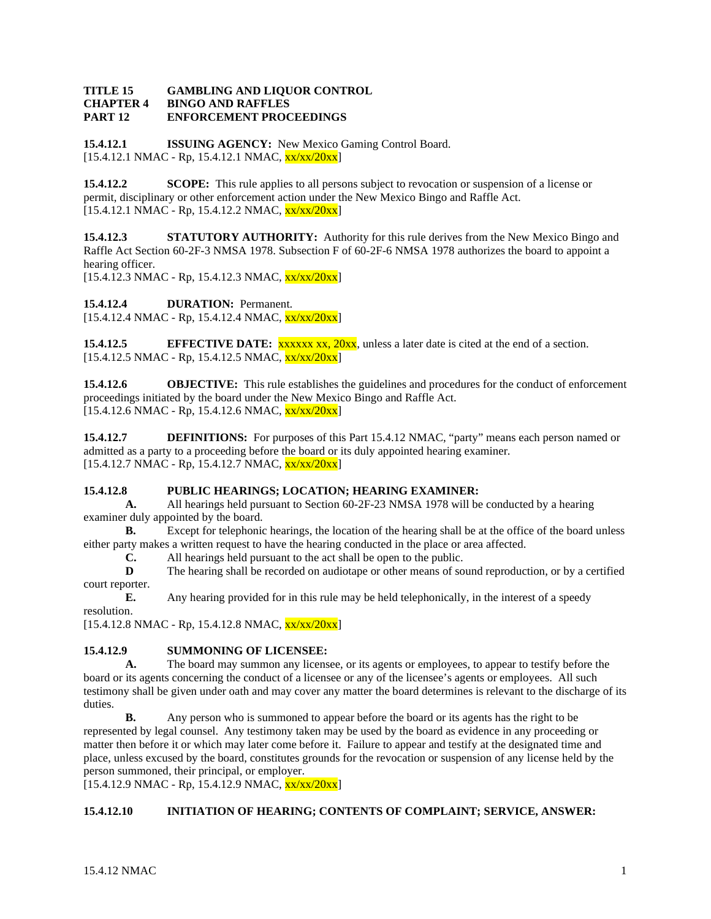#### **TITLE 15 GAMBLING AND LIQUOR CONTROL CHAPTER 4 BINGO AND RAFFLES PART 12 ENFORCEMENT PROCEEDINGS**

**15.4.12.1 ISSUING AGENCY:** New Mexico Gaming Control Board.  $[15.4.12.1 \text{ NMAC} - \text{Rp}, 15.4.12.1 \text{ NMAC}, \frac{\text{xx} \cdot \text{xx} / 20 \text{xx}]}{20 \text{m}}]$ 

**15.4.12.2 SCOPE:** This rule applies to all persons subject to revocation or suspension of a license or permit, disciplinary or other enforcement action under the New Mexico Bingo and Raffle Act.  $[15.4.12.1 \text{ NMAC} - \text{Rp}, 15.4.12.2 \text{ NMAC}, \frac{\text{xx} \cdot \text{xx} / 20 \text{xx}}{2}]$ 

**15.4.12.3 STATUTORY AUTHORITY:** Authority for this rule derives from the New Mexico Bingo and Raffle Act Section 60-2F-3 NMSA 1978. Subsection F of 60-2F-6 NMSA 1978 authorizes the board to appoint a hearing officer.

 $[15.4.12.3 \text{ NMAC} - \text{Rp}, 15.4.12.3 \text{ NMAC}, \frac{\text{xx}}{\text{xx}}/20 \text{xx}]$ 

**15.4.12.4 DURATION:** Permanent.

 $[15.4.12.4 \text{ NMAC} - \text{Rp}, 15.4.12.4 \text{ NMAC}, \frac{\text{xx}}{\text{xx}}/20 \text{xx}]$ 

**15.4.12.5 EFFECTIVE DATE:** xxxxx xx, 20xx, unless a later date is cited at the end of a section.  $[15.4.12.5 \text{ NMAC} - \text{Rp}, 15.4.12.5 \text{ NMAC}, \frac{\text{xx}}{\text{xx}}/20 \text{xx}]$ 

**15.4.12.6 OBJECTIVE:** This rule establishes the guidelines and procedures for the conduct of enforcement proceedings initiated by the board under the New Mexico Bingo and Raffle Act.  $[15.4.12.6 \text{ NMAC} - \text{Rp}, 15.4.12.6 \text{ NMAC}, \frac{\text{xx}}{\text{xx}}/20 \text{xx}]$ 

**15.4.12.7 DEFINITIONS:** For purposes of this Part 15.4.12 NMAC, "party" means each person named or admitted as a party to a proceeding before the board or its duly appointed hearing examiner.  $[15.4.12.7 \text{ NMAC} - \text{Rp}, 15.4.12.7 \text{ NMAC}, \frac{\text{xx}}{\text{xx}}/20 \text{xx}]$ 

# **15.4.12.8 PUBLIC HEARINGS; LOCATION; HEARING EXAMINER:**

**A.** All hearings held pursuant to Section 60-2F-23 NMSA 1978 will be conducted by a hearing examiner duly appointed by the board.

**B.** Except for telephonic hearings, the location of the hearing shall be at the office of the board unless either party makes a written request to have the hearing conducted in the place or area affected.

**C.** All hearings held pursuant to the act shall be open to the public.

**D** The hearing shall be recorded on audiotape or other means of sound reproduction, or by a certified court reporter.

**E.** Any hearing provided for in this rule may be held telephonically, in the interest of a speedy resolution.

 $[15.4.12.8 \text{ NMAC - Rp}, 15.4.12.8 \text{ NMAC}, \frac{\text{xx}}{\text{xx}}/20 \text{xx}]$ 

# **15.4.12.9 SUMMONING OF LICENSEE:**

**A.** The board may summon any licensee, or its agents or employees, to appear to testify before the board or its agents concerning the conduct of a licensee or any of the licensee's agents or employees. All such testimony shall be given under oath and may cover any matter the board determines is relevant to the discharge of its duties.

**B.** Any person who is summoned to appear before the board or its agents has the right to be represented by legal counsel. Any testimony taken may be used by the board as evidence in any proceeding or matter then before it or which may later come before it. Failure to appear and testify at the designated time and place, unless excused by the board, constitutes grounds for the revocation or suspension of any license held by the person summoned, their principal, or employer.

 $[15.4.12.9 \text{ NMAC - Rp}, 15.4.12.9 \text{ NMAC}, \frac{\text{xx}}{\text{xx}}/20 \text{xx}]$ 

# **15.4.12.10 INITIATION OF HEARING; CONTENTS OF COMPLAINT; SERVICE, ANSWER:**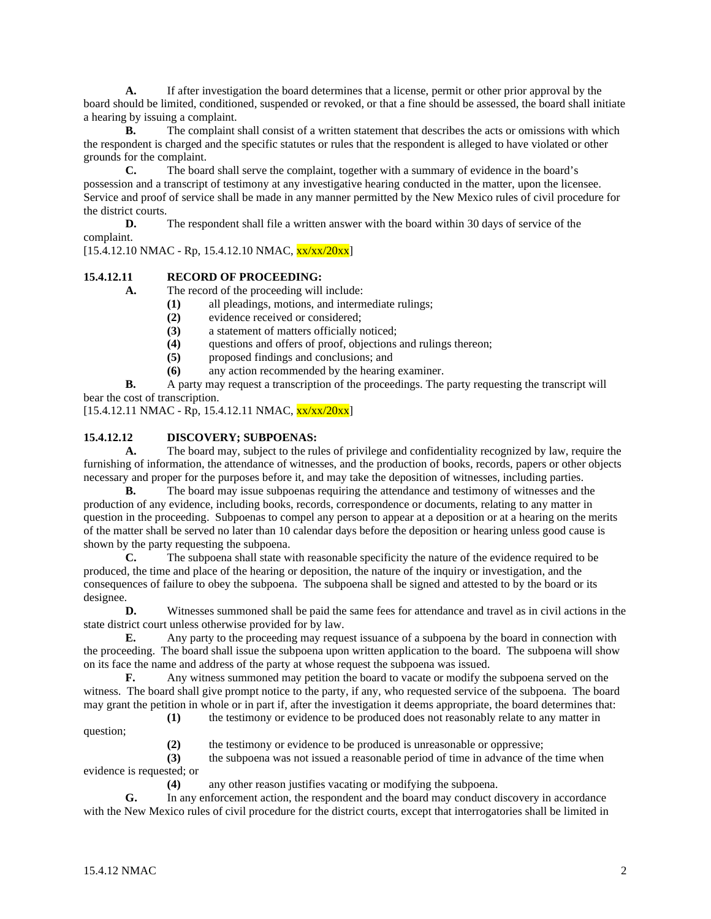**A.** If after investigation the board determines that a license, permit or other prior approval by the board should be limited, conditioned, suspended or revoked, or that a fine should be assessed, the board shall initiate a hearing by issuing a complaint.

**B.** The complaint shall consist of a written statement that describes the acts or omissions with which the respondent is charged and the specific statutes or rules that the respondent is alleged to have violated or other grounds for the complaint.

**C.** The board shall serve the complaint, together with a summary of evidence in the board's possession and a transcript of testimony at any investigative hearing conducted in the matter, upon the licensee. Service and proof of service shall be made in any manner permitted by the New Mexico rules of civil procedure for the district courts.

**D.** The respondent shall file a written answer with the board within 30 days of service of the complaint.

 $[15.4.12.10 \text{ NMAC} - \text{Rp}, 15.4.12.10 \text{ NMAC}, \frac{\text{xx}}{\text{xx}}/20 \text{xx}]$ 

# **15.4.12.11 RECORD OF PROCEEDING:**

**A.** The record of the proceeding will include:

- **(1)** all pleadings, motions, and intermediate rulings;
- **(2)** evidence received or considered;
- **(3)** a statement of matters officially noticed;
- (4) questions and offers of proof, objections and rulings thereon;<br>(5) proposed findings and conclusions; and
- **(5)** proposed findings and conclusions; and
- **(6)** any action recommended by the hearing examiner.

**B.** A party may request a transcription of the proceedings. The party requesting the transcript will bear the cost of transcription.

 $[15.4.12.11 \text{ NMAC} - \text{Rp}, 15.4.12.11 \text{ NMAC}, \frac{\text{xx}}{\text{xx}}/20 \text{xx}]$ 

# **15.4.12.12 DISCOVERY; SUBPOENAS:**

**A.** The board may, subject to the rules of privilege and confidentiality recognized by law, require the furnishing of information, the attendance of witnesses, and the production of books, records, papers or other objects necessary and proper for the purposes before it, and may take the deposition of witnesses, including parties.

**B.** The board may issue subpoenas requiring the attendance and testimony of witnesses and the production of any evidence, including books, records, correspondence or documents, relating to any matter in question in the proceeding. Subpoenas to compel any person to appear at a deposition or at a hearing on the merits of the matter shall be served no later than 10 calendar days before the deposition or hearing unless good cause is shown by the party requesting the subpoena.

**C.** The subpoena shall state with reasonable specificity the nature of the evidence required to be produced, the time and place of the hearing or deposition, the nature of the inquiry or investigation, and the consequences of failure to obey the subpoena. The subpoena shall be signed and attested to by the board or its designee.

**D.** Witnesses summoned shall be paid the same fees for attendance and travel as in civil actions in the state district court unless otherwise provided for by law.

**E.** Any party to the proceeding may request issuance of a subpoena by the board in connection with the proceeding. The board shall issue the subpoena upon written application to the board. The subpoena will show on its face the name and address of the party at whose request the subpoena was issued.

**F.** Any witness summoned may petition the board to vacate or modify the subpoena served on the witness. The board shall give prompt notice to the party, if any, who requested service of the subpoena. The board may grant the petition in whole or in part if, after the investigation it deems appropriate, the board determines that:

**(1)** the testimony or evidence to be produced does not reasonably relate to any matter in

question;

**(2)** the testimony or evidence to be produced is unreasonable or oppressive;

**(3)** the subpoena was not issued a reasonable period of time in advance of the time when evidence is requested; or

**(4)** any other reason justifies vacating or modifying the subpoena.

**G.** In any enforcement action, the respondent and the board may conduct discovery in accordance with the New Mexico rules of civil procedure for the district courts, except that interrogatories shall be limited in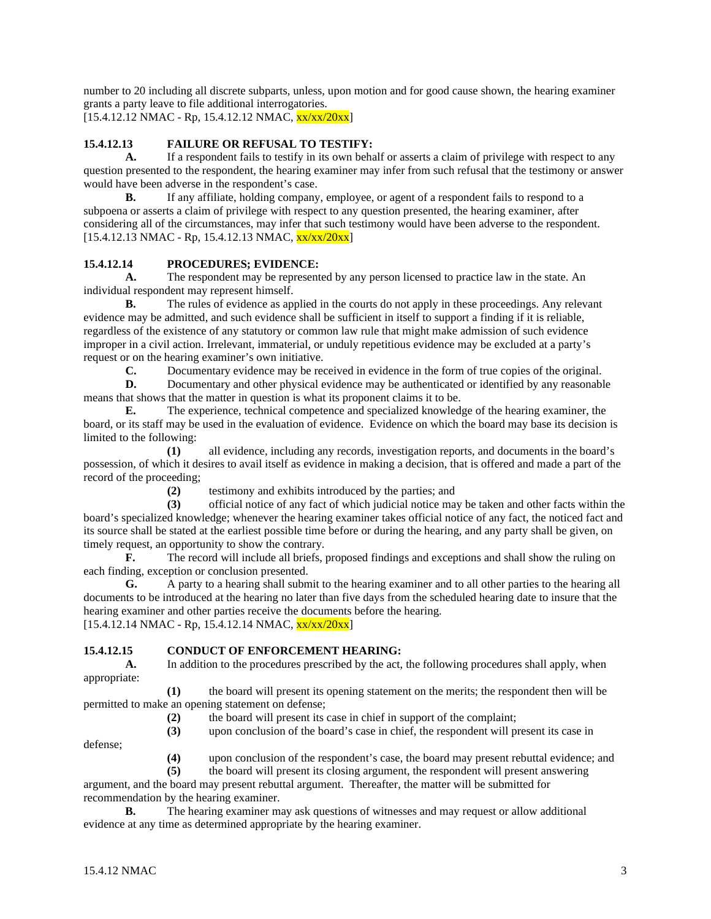number to 20 including all discrete subparts, unless, upon motion and for good cause shown, the hearing examiner grants a party leave to file additional interrogatories.  $[15.4.12.12 \text{ NMAC} - \text{Rp}, 15.4.12.12 \text{ NMAC}, \frac{\text{xx}}{\text{xx}}/20 \text{xx}]$ 

# **15.4.12.13 FAILURE OR REFUSAL TO TESTIFY:**

**A.** If a respondent fails to testify in its own behalf or asserts a claim of privilege with respect to any question presented to the respondent, the hearing examiner may infer from such refusal that the testimony or answer would have been adverse in the respondent's case.

**B.** If any affiliate, holding company, employee, or agent of a respondent fails to respond to a subpoena or asserts a claim of privilege with respect to any question presented, the hearing examiner, after considering all of the circumstances, may infer that such testimony would have been adverse to the respondent.  $[15.4.12.13 \text{ NMAC} - \text{Rp}, 15.4.12.13 \text{ NMAC}, \frac{\text{xx}}{\text{xx}}/20 \text{xx}]$ 

# **15.4.12.14 PROCEDURES; EVIDENCE:**

**A.** The respondent may be represented by any person licensed to practice law in the state. An individual respondent may represent himself.

**B.** The rules of evidence as applied in the courts do not apply in these proceedings. Any relevant evidence may be admitted, and such evidence shall be sufficient in itself to support a finding if it is reliable, regardless of the existence of any statutory or common law rule that might make admission of such evidence improper in a civil action. Irrelevant, immaterial, or unduly repetitious evidence may be excluded at a party's request or on the hearing examiner's own initiative.

**C.** Documentary evidence may be received in evidence in the form of true copies of the original.

**D.** Documentary and other physical evidence may be authenticated or identified by any reasonable means that shows that the matter in question is what its proponent claims it to be.

**E.** The experience, technical competence and specialized knowledge of the hearing examiner, the board, or its staff may be used in the evaluation of evidence. Evidence on which the board may base its decision is limited to the following:

**(1)** all evidence, including any records, investigation reports, and documents in the board's possession, of which it desires to avail itself as evidence in making a decision, that is offered and made a part of the record of the proceeding;

**(2)** testimony and exhibits introduced by the parties; and

**(3)** official notice of any fact of which judicial notice may be taken and other facts within the board's specialized knowledge; whenever the hearing examiner takes official notice of any fact, the noticed fact and its source shall be stated at the earliest possible time before or during the hearing, and any party shall be given, on timely request, an opportunity to show the contrary.

**F.** The record will include all briefs, proposed findings and exceptions and shall show the ruling on each finding, exception or conclusion presented.

**G.** A party to a hearing shall submit to the hearing examiner and to all other parties to the hearing all documents to be introduced at the hearing no later than five days from the scheduled hearing date to insure that the hearing examiner and other parties receive the documents before the hearing.  $[15.4.12.14 \text{ NMAC} - \text{Rp}, 15.4.12.14 \text{ NMAC}, \frac{\text{xx}}{\text{xx}}/20 \text{xx}]$ 

# **15.4.12.15 CONDUCT OF ENFORCEMENT HEARING:**

**A.** In addition to the procedures prescribed by the act, the following procedures shall apply, when appropriate:

**(1)** the board will present its opening statement on the merits; the respondent then will be permitted to make an opening statement on defense;

**(2)** the board will present its case in chief in support of the complaint;

**(3)** upon conclusion of the board's case in chief, the respondent will present its case in

defense;

**(4)** upon conclusion of the respondent's case, the board may present rebuttal evidence; and

**(5)** the board will present its closing argument, the respondent will present answering argument, and the board may present rebuttal argument. Thereafter, the matter will be submitted for

recommendation by the hearing examiner.<br>**B.** The hearing examiner ma The hearing examiner may ask questions of witnesses and may request or allow additional evidence at any time as determined appropriate by the hearing examiner.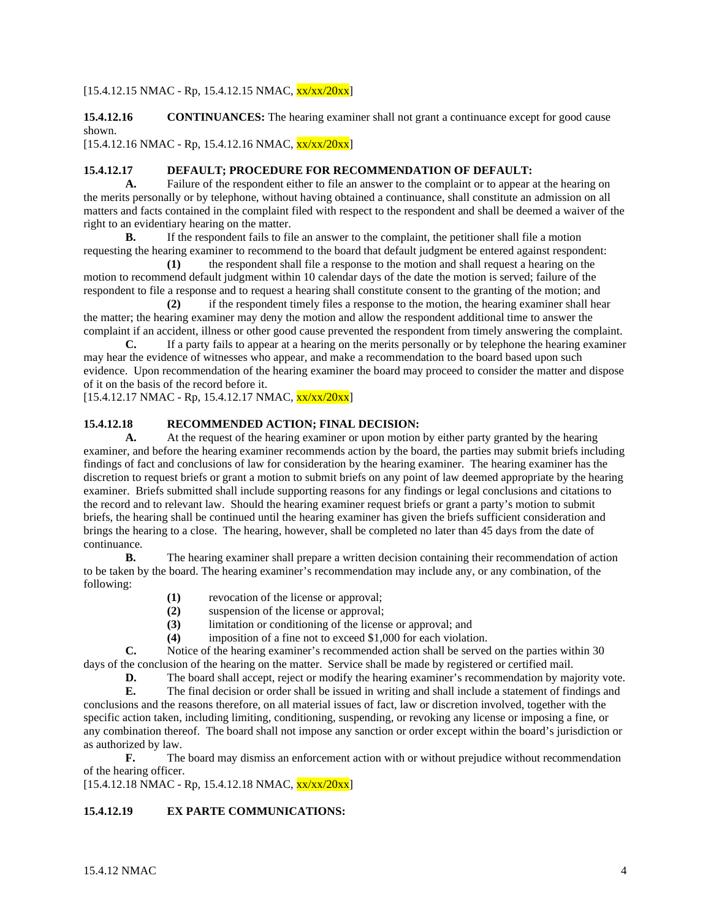# $[15.4.12.15 \text{ NMAC} - \text{Rp}, 15.4.12.15 \text{ NMAC}, \frac{\text{xx}}{\text{xx}}/20 \text{xx}]$

**15.4.12.16 CONTINUANCES:** The hearing examiner shall not grant a continuance except for good cause shown.

 $[15.4.12.16 \text{ NMAC} - \text{Rp}, 15.4.12.16 \text{ NMAC}, \frac{\text{xx}}{\text{xx}}/20 \text{xx}]$ 

### **15.4.12.17 DEFAULT; PROCEDURE FOR RECOMMENDATION OF DEFAULT:**

**A.** Failure of the respondent either to file an answer to the complaint or to appear at the hearing on the merits personally or by telephone, without having obtained a continuance, shall constitute an admission on all matters and facts contained in the complaint filed with respect to the respondent and shall be deemed a waiver of the right to an evidentiary hearing on the matter.

**B.** If the respondent fails to file an answer to the complaint, the petitioner shall file a motion requesting the hearing examiner to recommend to the board that default judgment be entered against respondent:

**(1)** the respondent shall file a response to the motion and shall request a hearing on the motion to recommend default judgment within 10 calendar days of the date the motion is served; failure of the respondent to file a response and to request a hearing shall constitute consent to the granting of the motion; and

**(2)** if the respondent timely files a response to the motion, the hearing examiner shall hear the matter; the hearing examiner may deny the motion and allow the respondent additional time to answer the complaint if an accident, illness or other good cause prevented the respondent from timely answering the complaint.

**C.** If a party fails to appear at a hearing on the merits personally or by telephone the hearing examiner may hear the evidence of witnesses who appear, and make a recommendation to the board based upon such evidence. Upon recommendation of the hearing examiner the board may proceed to consider the matter and dispose of it on the basis of the record before it.

 $[15.4.12.17 \text{ NMAC} - \text{Rp}, 15.4.12.17 \text{ NMAC}, \frac{\text{xx}}{\text{xx}}/20 \text{xx}]$ 

# **15.4.12.18 RECOMMENDED ACTION; FINAL DECISION:**

**A.** At the request of the hearing examiner or upon motion by either party granted by the hearing examiner, and before the hearing examiner recommends action by the board, the parties may submit briefs including findings of fact and conclusions of law for consideration by the hearing examiner. The hearing examiner has the discretion to request briefs or grant a motion to submit briefs on any point of law deemed appropriate by the hearing examiner. Briefs submitted shall include supporting reasons for any findings or legal conclusions and citations to the record and to relevant law. Should the hearing examiner request briefs or grant a party's motion to submit briefs, the hearing shall be continued until the hearing examiner has given the briefs sufficient consideration and brings the hearing to a close. The hearing, however, shall be completed no later than 45 days from the date of continuance.

**B.** The hearing examiner shall prepare a written decision containing their recommendation of action to be taken by the board. The hearing examiner's recommendation may include any, or any combination, of the following:

- **(1)** revocation of the license or approval;
- **(2)** suspension of the license or approval;
- **(3)** limitation or conditioning of the license or approval; and
- **(4)** imposition of a fine not to exceed \$1,000 for each violation.

**C.** Notice of the hearing examiner's recommended action shall be served on the parties within 30 days of the conclusion of the hearing on the matter. Service shall be made by registered or certified mail.

**D.** The board shall accept, reject or modify the hearing examiner's recommendation by majority vote.<br>**E.** The final decision or order shall be issued in writing and shall include a statement of findings and

**E.** The final decision or order shall be issued in writing and shall include a statement of findings and conclusions and the reasons therefore, on all material issues of fact, law or discretion involved, together with the specific action taken, including limiting, conditioning, suspending, or revoking any license or imposing a fine, or any combination thereof. The board shall not impose any sanction or order except within the board's jurisdiction or as authorized by law.

**F.** The board may dismiss an enforcement action with or without prejudice without recommendation of the hearing officer.

 $[15.4.12.18 \text{ NMAC} - \text{Rp}, 15.4.12.18 \text{ NMAC}, \frac{\text{xx}}{\text{xx}}/20 \text{xx}]$ 

# **15.4.12.19 EX PARTE COMMUNICATIONS:**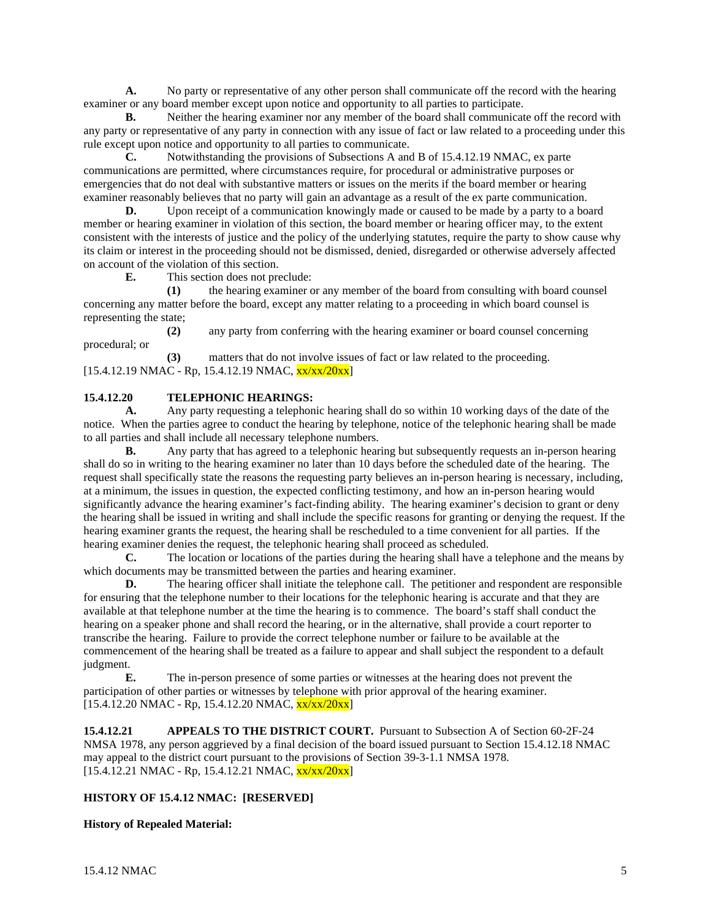**A.** No party or representative of any other person shall communicate off the record with the hearing examiner or any board member except upon notice and opportunity to all parties to participate.

**B.** Neither the hearing examiner nor any member of the board shall communicate off the record with any party or representative of any party in connection with any issue of fact or law related to a proceeding under this rule except upon notice and opportunity to all parties to communicate.

**C.** Notwithstanding the provisions of Subsections A and B of 15.4.12.19 NMAC, ex parte communications are permitted, where circumstances require, for procedural or administrative purposes or emergencies that do not deal with substantive matters or issues on the merits if the board member or hearing examiner reasonably believes that no party will gain an advantage as a result of the ex parte communication.

**D.** Upon receipt of a communication knowingly made or caused to be made by a party to a board member or hearing examiner in violation of this section, the board member or hearing officer may, to the extent consistent with the interests of justice and the policy of the underlying statutes, require the party to show cause why its claim or interest in the proceeding should not be dismissed, denied, disregarded or otherwise adversely affected on account of the violation of this section.

**E.** This section does not preclude:

**(1)** the hearing examiner or any member of the board from consulting with board counsel concerning any matter before the board, except any matter relating to a proceeding in which board counsel is representing the state;

**(2)** any party from conferring with the hearing examiner or board counsel concerning procedural; or

**(3)** matters that do not involve issues of fact or law related to the proceeding.  $[15.4.12.19 \text{ NMAC} - \text{Rp}, 15.4.12.19 \text{ NMAC}, \frac{\text{xx}}{\text{xx}}/20 \text{xx}]$ 

# **15.4.12.20 TELEPHONIC HEARINGS:**

**A.** Any party requesting a telephonic hearing shall do so within 10 working days of the date of the notice. When the parties agree to conduct the hearing by telephone, notice of the telephonic hearing shall be made to all parties and shall include all necessary telephone numbers.

**B.** Any party that has agreed to a telephonic hearing but subsequently requests an in-person hearing shall do so in writing to the hearing examiner no later than 10 days before the scheduled date of the hearing. The request shall specifically state the reasons the requesting party believes an in-person hearing is necessary, including, at a minimum, the issues in question, the expected conflicting testimony, and how an in-person hearing would significantly advance the hearing examiner's fact-finding ability. The hearing examiner's decision to grant or deny the hearing shall be issued in writing and shall include the specific reasons for granting or denying the request. If the hearing examiner grants the request, the hearing shall be rescheduled to a time convenient for all parties. If the hearing examiner denies the request, the telephonic hearing shall proceed as scheduled.

**C.** The location or locations of the parties during the hearing shall have a telephone and the means by which documents may be transmitted between the parties and hearing examiner.

**D.** The hearing officer shall initiate the telephone call. The petitioner and respondent are responsible for ensuring that the telephone number to their locations for the telephonic hearing is accurate and that they are available at that telephone number at the time the hearing is to commence. The board's staff shall conduct the hearing on a speaker phone and shall record the hearing, or in the alternative, shall provide a court reporter to transcribe the hearing. Failure to provide the correct telephone number or failure to be available at the commencement of the hearing shall be treated as a failure to appear and shall subject the respondent to a default judgment.

**E.** The in-person presence of some parties or witnesses at the hearing does not prevent the participation of other parties or witnesses by telephone with prior approval of the hearing examiner.  $[15.4.12.20 \text{ NMAC} - \text{Rp}, 15.4.12.20 \text{ NMAC}, \frac{\text{xx}}{\text{xx}}/20 \text{xx}]$ 

**15.4.12.21 APPEALS TO THE DISTRICT COURT.** Pursuant to Subsection A of Section 60-2F-24 NMSA 1978, any person aggrieved by a final decision of the board issued pursuant to Section 15.4.12.18 NMAC may appeal to the district court pursuant to the provisions of Section 39-3-1.1 NMSA 1978.  $[15.4.12.21 \text{ NMAC} - \text{Rp}, 15.4.12.21 \text{ NMAC}, \frac{\text{xx}}{\text{xx}}/20 \text{xx}]$ 

# **HISTORY OF 15.4.12 NMAC: [RESERVED]**

# **History of Repealed Material:**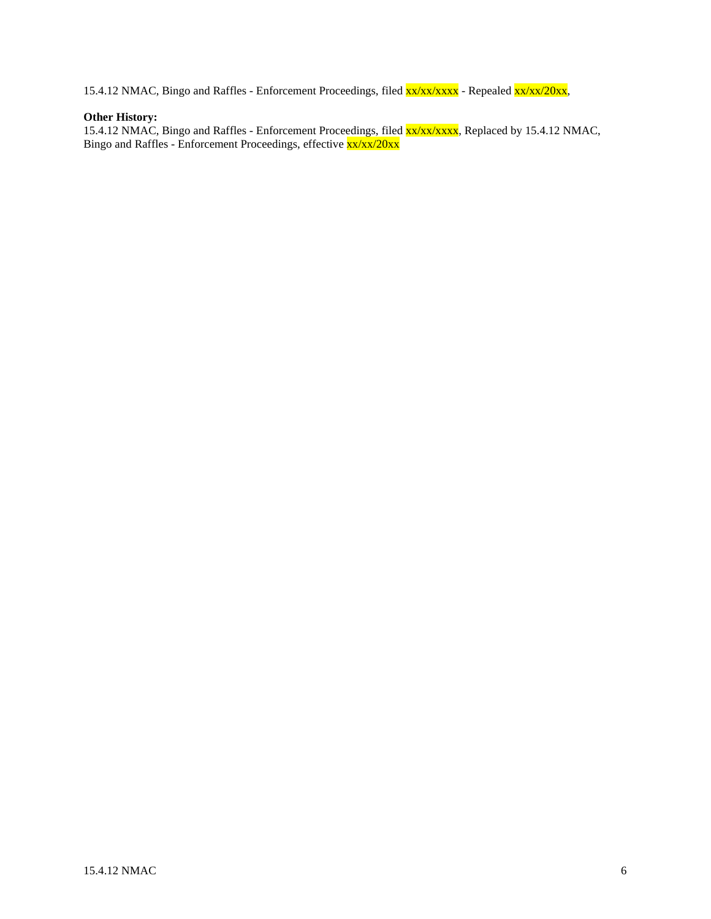15.4.12 NMAC, Bingo and Raffles - Enforcement Proceedings, filed  $\frac{xx}{xx}/\frac{xxx}{x}$  - Repealed  $\frac{xx}{xx}/\frac{xx}{20xx}$ ,

# **Other History:**

15.4.12 NMAC, Bingo and Raffles - Enforcement Proceedings, filed xx/xx/xxxx, Replaced by 15.4.12 NMAC, Bingo and Raffles - Enforcement Proceedings, effective  $\frac{xx}{xx}/\frac{x}{x}/\frac{20xx}{x}$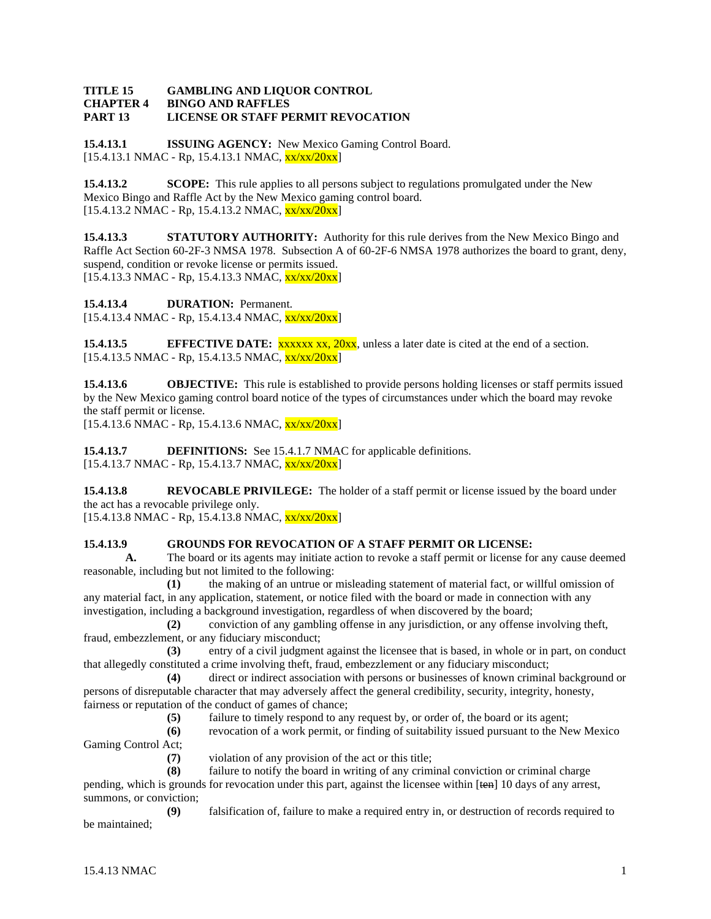#### **TITLE 15 GAMBLING AND LIQUOR CONTROL CHAPTER 4 BINGO AND RAFFLES PART 13 LICENSE OR STAFF PERMIT REVOCATION**

**15.4.13.1 ISSUING AGENCY:** New Mexico Gaming Control Board. [15.4.13.1 NMAC - Rp, 15.4.13.1 NMAC, xx/xx/20xx]

**15.4.13.2 SCOPE:** This rule applies to all persons subject to regulations promulgated under the New Mexico Bingo and Raffle Act by the New Mexico gaming control board.  $[15.4.13.2 \text{ NMAC} - \text{Rp}, 15.4.13.2 \text{ NMAC}, \frac{\text{xx} \cdot \text{xx} \cdot \text{20} \cdot \text{xx} \cdot \text{PR}}{20.81}]$ 

**15.4.13.3 STATUTORY AUTHORITY:** Authority for this rule derives from the New Mexico Bingo and Raffle Act Section 60-2F-3 NMSA 1978. Subsection A of 60-2F-6 NMSA 1978 authorizes the board to grant, deny, suspend, condition or revoke license or permits issued.  $[15.4.13.3 \text{ NMAC} - \text{Rp}, 15.4.13.3 \text{ NMAC}, \frac{\text{xx}}{\text{xx}}/20 \text{xx}]$ 

**15.4.13.4 DURATION:** Permanent.

[15.4.13.4 NMAC - Rp, 15.4.13.4 NMAC, xx/xx/20xx]

**15.4.13.5 EFFECTIVE DATE:** xxxxx xx, 20xx, unless a later date is cited at the end of a section.  $[15.4.13.5 \text{ NMAC} - \text{Rp}, 15.4.13.5 \text{ NMAC}, \frac{\text{xx}}{\text{xx}}/20 \text{xx}]$ 

**15.4.13.6 OBJECTIVE:** This rule is established to provide persons holding licenses or staff permits issued by the New Mexico gaming control board notice of the types of circumstances under which the board may revoke the staff permit or license.

 $[15.4.13.6 \text{ NMAC - Rp}, 15.4.13.6 \text{ NMAC}, \frac{\text{xx}}{\text{xx}}/20 \text{xx}]$ 

**15.4.13.7 DEFINITIONS:** See 15.4.1.7 NMAC for applicable definitions.  $[15.4.13.7 \text{ NMAC} - \text{Rp}, 15.4.13.7 \text{ NMAC}, \frac{\text{xx}{\text{xx}}/20 \text{xx}}{15.4.13.7 \text{ NMAC}}]$ 

**15.4.13.8 REVOCABLE PRIVILEGE:** The holder of a staff permit or license issued by the board under the act has a revocable privilege only.

 $[15.4.13.8 \text{ NMAC} - \text{Rp}, 15.4.13.8 \text{ NMAC}, \frac{\text{xx}{\text{xx}}/20 \text{xx}}{15.4.13.8 \text{ NMAC}}]$ 

# **15.4.13.9 GROUNDS FOR REVOCATION OF A STAFF PERMIT OR LICENSE:**

**A.** The board or its agents may initiate action to revoke a staff permit or license for any cause deemed reasonable, including but not limited to the following:

**(1)** the making of an untrue or misleading statement of material fact, or willful omission of any material fact, in any application, statement, or notice filed with the board or made in connection with any investigation, including a background investigation, regardless of when discovered by the board;

**(2)** conviction of any gambling offense in any jurisdiction, or any offense involving theft, fraud, embezzlement, or any fiduciary misconduct;

**(3)** entry of a civil judgment against the licensee that is based, in whole or in part, on conduct that allegedly constituted a crime involving theft, fraud, embezzlement or any fiduciary misconduct;

**(4)** direct or indirect association with persons or businesses of known criminal background or persons of disreputable character that may adversely affect the general credibility, security, integrity, honesty, fairness or reputation of the conduct of games of chance;

**(5)** failure to timely respond to any request by, or order of, the board or its agent;

**(6)** revocation of a work permit, or finding of suitability issued pursuant to the New Mexico Gaming Control Act;

**(7)** violation of any provision of the act or this title;

**(8)** failure to notify the board in writing of any criminal conviction or criminal charge pending, which is grounds for revocation under this part, against the licensee within [ten] 10 days of any arrest,

summons, or conviction; **(9)** falsification of, failure to make a required entry in, or destruction of records required to

be maintained;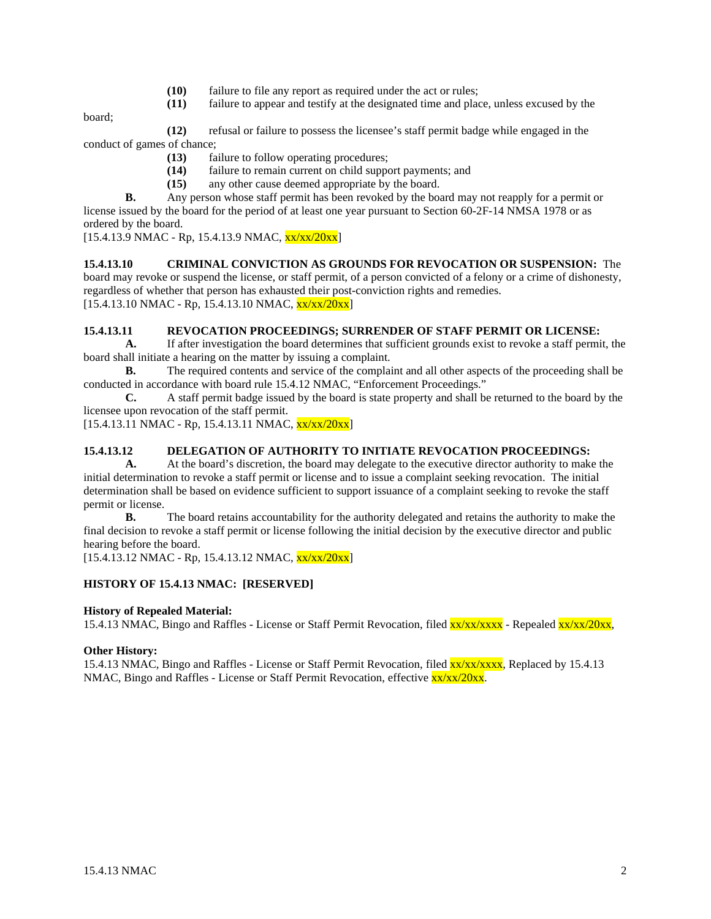- **(10)** failure to file any report as required under the act or rules;
- **(11)** failure to appear and testify at the designated time and place, unless excused by the

board;

- **(12)** refusal or failure to possess the licensee's staff permit badge while engaged in the conduct of games of chance;
	- **(13)** failure to follow operating procedures;
	- **(14)** failure to remain current on child support payments; and
	- **(15)** any other cause deemed appropriate by the board.

**B.** Any person whose staff permit has been revoked by the board may not reapply for a permit or license issued by the board for the period of at least one year pursuant to Section 60-2F-14 NMSA 1978 or as ordered by the board.

 $[15.4.13.9 \text{ NMAC - Rp}, 15.4.13.9 \text{ NMAC}, \frac{\text{xx}}{\text{xx}}/20 \text{xx}]$ 

**15.4.13.10 CRIMINAL CONVICTION AS GROUNDS FOR REVOCATION OR SUSPENSION:** The board may revoke or suspend the license, or staff permit, of a person convicted of a felony or a crime of dishonesty, regardless of whether that person has exhausted their post-conviction rights and remedies.  $[15.4.13.10 NMAC - Rp, 15.4.13.10 NMAC,  $\frac{xx}{xx}/20xx]$$ 

#### **15.4.13.11 REVOCATION PROCEEDINGS; SURRENDER OF STAFF PERMIT OR LICENSE:**

**A.** If after investigation the board determines that sufficient grounds exist to revoke a staff permit, the board shall initiate a hearing on the matter by issuing a complaint.

**B.** The required contents and service of the complaint and all other aspects of the proceeding shall be conducted in accordance with board rule 15.4.12 NMAC, "Enforcement Proceedings."

**C.** A staff permit badge issued by the board is state property and shall be returned to the board by the licensee upon revocation of the staff permit.

 $[15.4.13.11 \text{ NMAC} - \text{Rp}, 15.4.13.11 \text{ NMAC}, \frac{\text{xx}}{\text{xx}}/20 \text{xx}]$ 

# **15.4.13.12 DELEGATION OF AUTHORITY TO INITIATE REVOCATION PROCEEDINGS:**

**A.** At the board's discretion, the board may delegate to the executive director authority to make the initial determination to revoke a staff permit or license and to issue a complaint seeking revocation. The initial determination shall be based on evidence sufficient to support issuance of a complaint seeking to revoke the staff permit or license.

**B.** The board retains accountability for the authority delegated and retains the authority to make the final decision to revoke a staff permit or license following the initial decision by the executive director and public hearing before the board.

 $[15.4.13.12 \text{ NMAC} - \text{Rp}, 15.4.13.12 \text{ NMAC}, \frac{\text{xx}}{\text{xx}}/20 \text{xx}]$ 

# **HISTORY OF 15.4.13 NMAC: [RESERVED]**

# **History of Repealed Material:**

15.4.13 NMAC, Bingo and Raffles - License or Staff Permit Revocation, filed xx/xx/xxxx - Repealed xx/xx/20xx,

# **Other History:**

15.4.13 NMAC, Bingo and Raffles - License or Staff Permit Revocation, filed  $\frac{xx}{xx}/\frac{xxx}{xx}$ , Replaced by 15.4.13 NMAC, Bingo and Raffles - License or Staff Permit Revocation, effective  $\frac{xx}{xx/20xx}$ .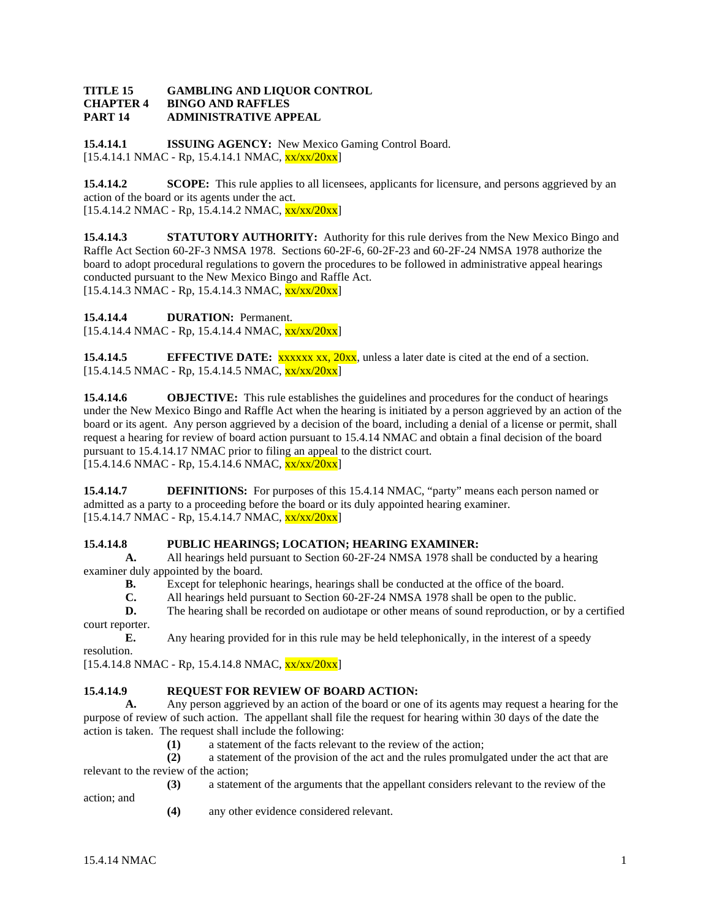#### **TITLE 15 GAMBLING AND LIQUOR CONTROL CHAPTER 4 BINGO AND RAFFLES PART 14 ADMINISTRATIVE APPEAL**

**15.4.14.1 ISSUING AGENCY:** New Mexico Gaming Control Board.  $[15.4.14.1 \text{ NMAC} - \text{Rp}, 15.4.14.1 \text{ NMAC}, \frac{\text{xx} \cdot \text{xx} / 20 \text{xx} \cdot \text{px}}{15.4.14.1 \text{ NMAC}}]$ 

**15.4.14.2 SCOPE:** This rule applies to all licensees, applicants for licensure, and persons aggrieved by an action of the board or its agents under the act.  $[15.4.14.2 \text{ NMAC} - \text{Rp}, 15.4.14.2 \text{ NMAC}, \frac{\text{xx}}{\text{xx}}/20 \text{xx}]$ 

**15.4.14.3 STATUTORY AUTHORITY:** Authority for this rule derives from the New Mexico Bingo and Raffle Act Section 60-2F-3 NMSA 1978. Sections 60-2F-6, 60-2F-23 and 60-2F-24 NMSA 1978 authorize the board to adopt procedural regulations to govern the procedures to be followed in administrative appeal hearings conducted pursuant to the New Mexico Bingo and Raffle Act.  $[15.4.14.3 \text{ NMAC} - \text{Rp}, 15.4.14.3 \text{ NMAC}, \frac{\text{xx}}{\text{xx}}/20 \text{xx}]$ 

**15.4.14.4 DURATION:** Permanent.

 $[15.4.14.4 \text{ NMAC} - \text{Rp}, 15.4.14.4 \text{ NMAC}, \frac{\text{xx}}{\text{xx}}/20 \text{xx}]$ 

**15.4.14.5 EFFECTIVE DATE:** xxxxx xx, 20xx, unless a later date is cited at the end of a section.  $[15.4.14.5 \text{ NMAC} - \text{Rp}, 15.4.14.5 \text{ NMAC}, \frac{\text{xx}}{\text{xx}}/20 \text{xx}]$ 

**15.4.14.6 OBJECTIVE:** This rule establishes the guidelines and procedures for the conduct of hearings under the New Mexico Bingo and Raffle Act when the hearing is initiated by a person aggrieved by an action of the board or its agent. Any person aggrieved by a decision of the board, including a denial of a license or permit, shall request a hearing for review of board action pursuant to 15.4.14 NMAC and obtain a final decision of the board pursuant to 15.4.14.17 NMAC prior to filing an appeal to the district court.  $[15.4.14.6 \text{ NMAC} - \text{Rp}, 15.4.14.6 \text{ NMAC}, \frac{\text{xx}}{\text{xx}}/20 \text{xx}]$ 

**15.4.14.7 DEFINITIONS:** For purposes of this 15.4.14 NMAC, "party" means each person named or admitted as a party to a proceeding before the board or its duly appointed hearing examiner.  $[15.4.14.7 \text{ NMAC} - \text{Rp}, 15.4.14.7 \text{ NMAC}, \frac{\text{xx} \cdot \text{xx} / 20 \text{xx}]}{20 \text{m}}]$ 

# **15.4.14.8 PUBLIC HEARINGS; LOCATION; HEARING EXAMINER:**

**A.** All hearings held pursuant to Section 60-2F-24 NMSA 1978 shall be conducted by a hearing examiner duly appointed by the board.

**B.** Except for telephonic hearings, hearings shall be conducted at the office of the board.

**C.** All hearings held pursuant to Section 60-2F-24 NMSA 1978 shall be open to the public.

**D.** The hearing shall be recorded on audiotape or other means of sound reproduction, or by a certified court reporter.

**E.** Any hearing provided for in this rule may be held telephonically, in the interest of a speedy resolution.

 $[15.4.14.8 \text{ NMAC} - \text{Rp}, 15.4.14.8 \text{ NMAC}, \frac{\text{xx}{\text{xx}}/20 \text{xx}}{15.4.14.8 \text{ NMAC}}]$ 

# **15.4.14.9 REQUEST FOR REVIEW OF BOARD ACTION:**

**A.** Any person aggrieved by an action of the board or one of its agents may request a hearing for the purpose of review of such action. The appellant shall file the request for hearing within 30 days of the date the action is taken. The request shall include the following:

**(1)** a statement of the facts relevant to the review of the action;

**(2)** a statement of the provision of the act and the rules promulgated under the act that are relevant to the review of the action;

**(3)** a statement of the arguments that the appellant considers relevant to the review of the action; and

**(4)** any other evidence considered relevant.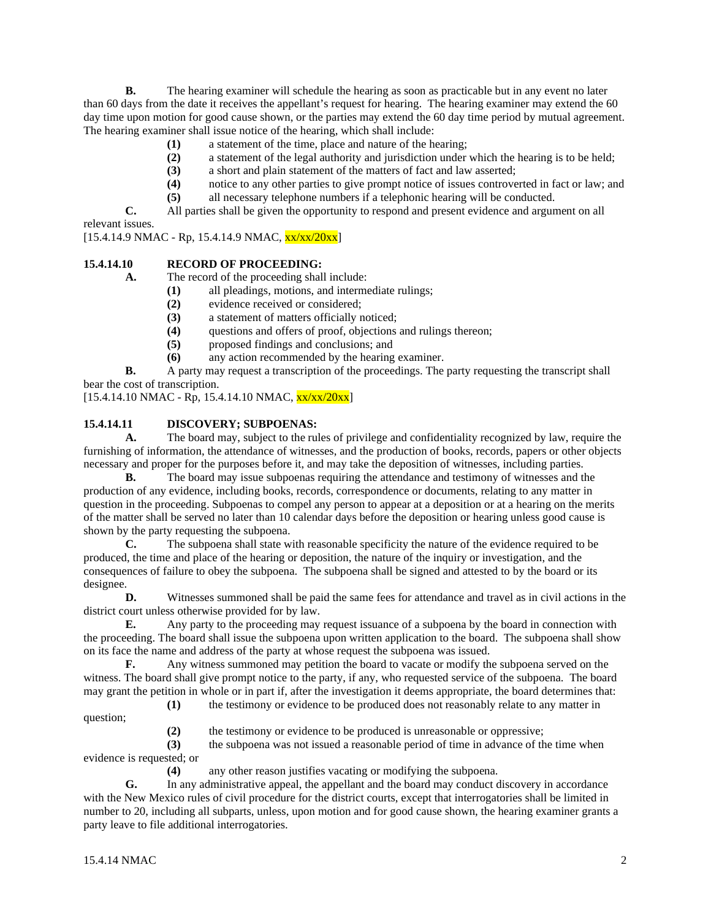**B.** The hearing examiner will schedule the hearing as soon as practicable but in any event no later than 60 days from the date it receives the appellant's request for hearing. The hearing examiner may extend the 60 day time upon motion for good cause shown, or the parties may extend the 60 day time period by mutual agreement. The hearing examiner shall issue notice of the hearing, which shall include:

- **(1)** a statement of the time, place and nature of the hearing;
- **(2)** a statement of the legal authority and jurisdiction under which the hearing is to be held;
- **(3)** a short and plain statement of the matters of fact and law asserted;
- (4) notice to any other parties to give prompt notice of issues controverted in fact or law; and (5) all necessary telephone numbers if a telephonic hearing will be conducted.
- **(5)** all necessary telephone numbers if a telephonic hearing will be conducted.

**C.** All parties shall be given the opportunity to respond and present evidence and argument on all relevant issues.

 $[15.4.14.9 \text{ NMAC} - \text{Rp}, 15.4.14.9 \text{ NMAC}, \frac{\text{xx}}{\text{xx}}/20 \text{xx}]$ 

# **15.4.14.10 RECORD OF PROCEEDING:**

**A.** The record of the proceeding shall include:

- **(1)** all pleadings, motions, and intermediate rulings;
- **(2)** evidence received or considered;
- **(3)** a statement of matters officially noticed;
- **(4)** questions and offers of proof, objections and rulings thereon;
- **(5)** proposed findings and conclusions; and
- **(6)** any action recommended by the hearing examiner.

**B.** A party may request a transcription of the proceedings. The party requesting the transcript shall bear the cost of transcription.

 $[15.4.14.10 \text{ NMAC} - \text{Rp}, 15.4.14.10 \text{ NMAC}, \frac{\text{xx}}{\text{xx}}/20 \text{xx}]$ 

# **15.4.14.11 DISCOVERY; SUBPOENAS:**

**A.** The board may, subject to the rules of privilege and confidentiality recognized by law, require the furnishing of information, the attendance of witnesses, and the production of books, records, papers or other objects necessary and proper for the purposes before it, and may take the deposition of witnesses, including parties.

**B.** The board may issue subpoenas requiring the attendance and testimony of witnesses and the production of any evidence, including books, records, correspondence or documents, relating to any matter in question in the proceeding. Subpoenas to compel any person to appear at a deposition or at a hearing on the merits of the matter shall be served no later than 10 calendar days before the deposition or hearing unless good cause is shown by the party requesting the subpoena.

**C.** The subpoena shall state with reasonable specificity the nature of the evidence required to be produced, the time and place of the hearing or deposition, the nature of the inquiry or investigation, and the consequences of failure to obey the subpoena. The subpoena shall be signed and attested to by the board or its designee.

**D.** Witnesses summoned shall be paid the same fees for attendance and travel as in civil actions in the district court unless otherwise provided for by law.

**E.** Any party to the proceeding may request issuance of a subpoena by the board in connection with the proceeding. The board shall issue the subpoena upon written application to the board. The subpoena shall show on its face the name and address of the party at whose request the subpoena was issued.

**F.** Any witness summoned may petition the board to vacate or modify the subpoena served on the witness. The board shall give prompt notice to the party, if any, who requested service of the subpoena. The board may grant the petition in whole or in part if, after the investigation it deems appropriate, the board determines that:

**(1)** the testimony or evidence to be produced does not reasonably relate to any matter in

**(2)** the testimony or evidence to be produced is unreasonable or oppressive;

**(3)** the subpoena was not issued a reasonable period of time in advance of the time when evidence is requested; or

**(4)** any other reason justifies vacating or modifying the subpoena.

**G.** In any administrative appeal, the appellant and the board may conduct discovery in accordance with the New Mexico rules of civil procedure for the district courts, except that interrogatories shall be limited in number to 20, including all subparts, unless, upon motion and for good cause shown, the hearing examiner grants a party leave to file additional interrogatories.

question;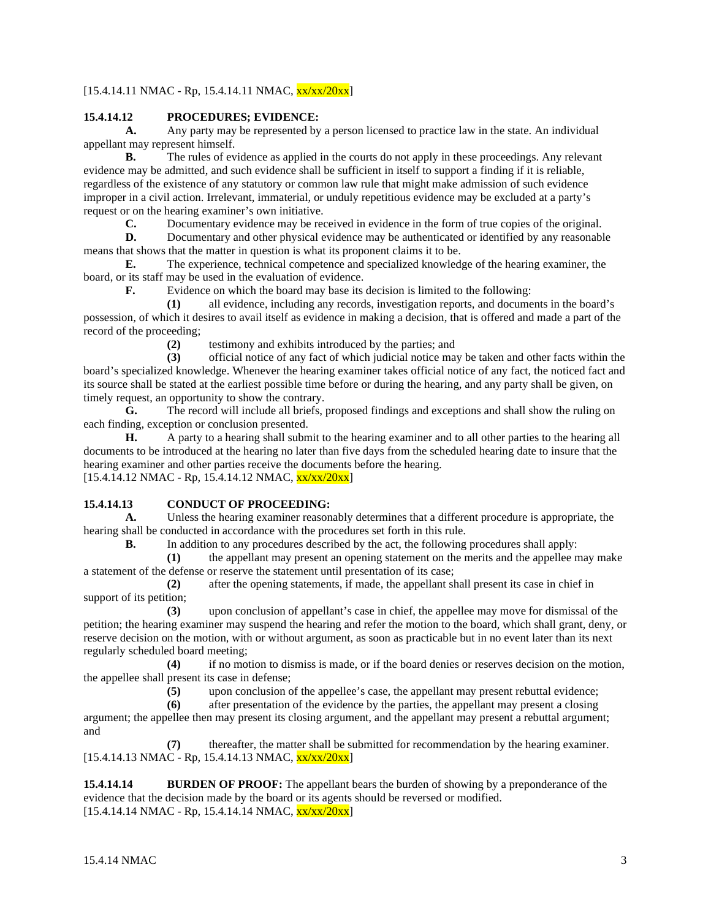# $[15.4.14.11 \text{ NMAC} - \text{Rp}, 15.4.14.11 \text{ NMAC}, \frac{\text{xx}}{\text{xx}}/20 \text{xx}]$

# **15.4.14.12 PROCEDURES; EVIDENCE:**

**A.** Any party may be represented by a person licensed to practice law in the state. An individual appellant may represent himself.

**B.** The rules of evidence as applied in the courts do not apply in these proceedings. Any relevant evidence may be admitted, and such evidence shall be sufficient in itself to support a finding if it is reliable, regardless of the existence of any statutory or common law rule that might make admission of such evidence improper in a civil action. Irrelevant, immaterial, or unduly repetitious evidence may be excluded at a party's request or on the hearing examiner's own initiative.

**C.** Documentary evidence may be received in evidence in the form of true copies of the original.

**D.** Documentary and other physical evidence may be authenticated or identified by any reasonable means that shows that the matter in question is what its proponent claims it to be.

**E.** The experience, technical competence and specialized knowledge of the hearing examiner, the board, or its staff may be used in the evaluation of evidence.

**F.** Evidence on which the board may base its decision is limited to the following:

**(1)** all evidence, including any records, investigation reports, and documents in the board's possession, of which it desires to avail itself as evidence in making a decision, that is offered and made a part of the record of the proceeding;

**(2)** testimony and exhibits introduced by the parties; and

**(3)** official notice of any fact of which judicial notice may be taken and other facts within the board's specialized knowledge. Whenever the hearing examiner takes official notice of any fact, the noticed fact and its source shall be stated at the earliest possible time before or during the hearing, and any party shall be given, on timely request, an opportunity to show the contrary.

**G.** The record will include all briefs, proposed findings and exceptions and shall show the ruling on each finding, exception or conclusion presented.

**H.** A party to a hearing shall submit to the hearing examiner and to all other parties to the hearing all documents to be introduced at the hearing no later than five days from the scheduled hearing date to insure that the hearing examiner and other parties receive the documents before the hearing.  $[15.4.14.12 \text{ NMAC} - \text{Rp}, 15.4.14.12 \text{ NMAC}, \frac{\text{xx}}{\text{xx}}/20 \text{xx}]$ 

## **15.4.14.13 CONDUCT OF PROCEEDING:**

**A.** Unless the hearing examiner reasonably determines that a different procedure is appropriate, the hearing shall be conducted in accordance with the procedures set forth in this rule.

**B.** In addition to any procedures described by the act, the following procedures shall apply:

**(1)** the appellant may present an opening statement on the merits and the appellee may make a statement of the defense or reserve the statement until presentation of its case;

**(2)** after the opening statements, if made, the appellant shall present its case in chief in support of its petition;

**(3)** upon conclusion of appellant's case in chief, the appellee may move for dismissal of the petition; the hearing examiner may suspend the hearing and refer the motion to the board, which shall grant, deny, or reserve decision on the motion, with or without argument, as soon as practicable but in no event later than its next regularly scheduled board meeting;

**(4)** if no motion to dismiss is made, or if the board denies or reserves decision on the motion, the appellee shall present its case in defense;<br> $(5)$  upon conclusion c

**(5)** upon conclusion of the appellee's case, the appellant may present rebuttal evidence;

**(6)** after presentation of the evidence by the parties, the appellant may present a closing argument; the appellee then may present its closing argument, and the appellant may present a rebuttal argument; and

**(7)** thereafter, the matter shall be submitted for recommendation by the hearing examiner.  $[15.4.14.13 \text{ NMAC} - \text{Rp}, 15.4.14.13 \text{ NMAC}, \frac{\text{xx}}{\text{xx}}/20 \text{xx}]$ 

**15.4.14.14 BURDEN OF PROOF:** The appellant bears the burden of showing by a preponderance of the evidence that the decision made by the board or its agents should be reversed or modified.  $[15.4.14.14 \text{ NMAC} - \text{Rp}, 15.4.14.14 \text{ NMAC}, \frac{\text{xx}}{\text{xx}}/20 \text{xx}]$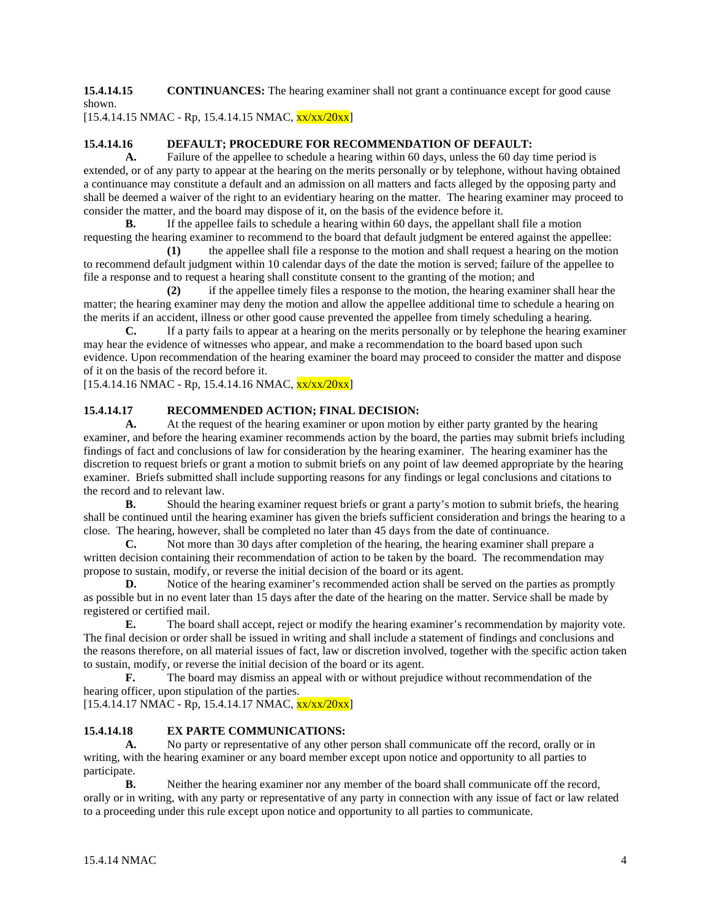**15.4.14.15 CONTINUANCES:** The hearing examiner shall not grant a continuance except for good cause shown.

 $[15.4.14.15 \text{ NMAC} - \text{Rp}, 15.4.14.15 \text{ NMAC}, \frac{\text{xx}}{\text{xx}}/20 \text{xx}]$ 

# **15.4.14.16 DEFAULT; PROCEDURE FOR RECOMMENDATION OF DEFAULT:**

**A.** Failure of the appellee to schedule a hearing within 60 days, unless the 60 day time period is extended, or of any party to appear at the hearing on the merits personally or by telephone, without having obtained a continuance may constitute a default and an admission on all matters and facts alleged by the opposing party and shall be deemed a waiver of the right to an evidentiary hearing on the matter. The hearing examiner may proceed to consider the matter, and the board may dispose of it, on the basis of the evidence before it.

**B.** If the appellee fails to schedule a hearing within 60 days, the appellant shall file a motion requesting the hearing examiner to recommend to the board that default judgment be entered against the appellee:

**(1)** the appellee shall file a response to the motion and shall request a hearing on the motion to recommend default judgment within 10 calendar days of the date the motion is served; failure of the appellee to file a response and to request a hearing shall constitute consent to the granting of the motion; and

**(2)** if the appellee timely files a response to the motion, the hearing examiner shall hear the matter; the hearing examiner may deny the motion and allow the appellee additional time to schedule a hearing on the merits if an accident, illness or other good cause prevented the appellee from timely scheduling a hearing.

**C.** If a party fails to appear at a hearing on the merits personally or by telephone the hearing examiner may hear the evidence of witnesses who appear, and make a recommendation to the board based upon such evidence. Upon recommendation of the hearing examiner the board may proceed to consider the matter and dispose of it on the basis of the record before it.

 $[15.4.14.16 \text{ NMAC} - \text{Rp}, 15.4.14.16 \text{ NMAC}, \frac{\text{xx}}{\text{xx}}/20 \text{xx}]$ 

# **15.4.14.17 RECOMMENDED ACTION; FINAL DECISION:**

**A.** At the request of the hearing examiner or upon motion by either party granted by the hearing examiner, and before the hearing examiner recommends action by the board, the parties may submit briefs including findings of fact and conclusions of law for consideration by the hearing examiner. The hearing examiner has the discretion to request briefs or grant a motion to submit briefs on any point of law deemed appropriate by the hearing examiner. Briefs submitted shall include supporting reasons for any findings or legal conclusions and citations to the record and to relevant law.

**B.** Should the hearing examiner request briefs or grant a party's motion to submit briefs, the hearing shall be continued until the hearing examiner has given the briefs sufficient consideration and brings the hearing to a close. The hearing, however, shall be completed no later than 45 days from the date of continuance.<br> **C.** Not more than 30 days after completion of the hearing. the hearing examiner shall

**C.** Not more than 30 days after completion of the hearing, the hearing examiner shall prepare a written decision containing their recommendation of action to be taken by the board. The recommendation may propose to sustain, modify, or reverse the initial decision of the board or its agent.

**D.** Notice of the hearing examiner's recommended action shall be served on the parties as promptly as possible but in no event later than 15 days after the date of the hearing on the matter. Service shall be made by registered or certified mail.

**E.** The board shall accept, reject or modify the hearing examiner's recommendation by majority vote. The final decision or order shall be issued in writing and shall include a statement of findings and conclusions and the reasons therefore, on all material issues of fact, law or discretion involved, together with the specific action taken to sustain, modify, or reverse the initial decision of the board or its agent.

**F.** The board may dismiss an appeal with or without prejudice without recommendation of the hearing officer, upon stipulation of the parties.

 $[15.4.14.17 \text{ NMAC} - \text{Rp}, 15.4.14.17 \text{ NMAC}, \frac{\text{xx}}{\text{xx}}/20 \text{xx}]$ 

# **15.4.14.18 EX PARTE COMMUNICATIONS:**

**A.** No party or representative of any other person shall communicate off the record, orally or in writing, with the hearing examiner or any board member except upon notice and opportunity to all parties to participate.

**B.** Neither the hearing examiner nor any member of the board shall communicate off the record, orally or in writing, with any party or representative of any party in connection with any issue of fact or law related to a proceeding under this rule except upon notice and opportunity to all parties to communicate.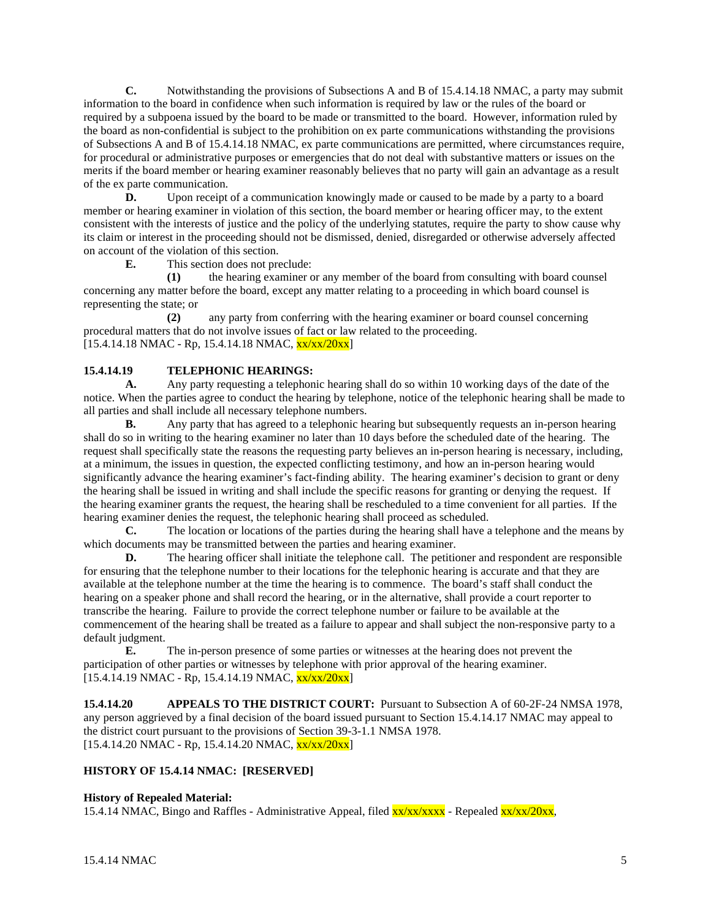**C.** Notwithstanding the provisions of Subsections A and B of 15.4.14.18 NMAC, a party may submit information to the board in confidence when such information is required by law or the rules of the board or required by a subpoena issued by the board to be made or transmitted to the board. However, information ruled by the board as non-confidential is subject to the prohibition on ex parte communications withstanding the provisions of Subsections A and B of 15.4.14.18 NMAC, ex parte communications are permitted, where circumstances require, for procedural or administrative purposes or emergencies that do not deal with substantive matters or issues on the merits if the board member or hearing examiner reasonably believes that no party will gain an advantage as a result of the ex parte communication.

**D.** Upon receipt of a communication knowingly made or caused to be made by a party to a board member or hearing examiner in violation of this section, the board member or hearing officer may, to the extent consistent with the interests of justice and the policy of the underlying statutes, require the party to show cause why its claim or interest in the proceeding should not be dismissed, denied, disregarded or otherwise adversely affected on account of the violation of this section.

**E.** This section does not preclude:<br>(1) the hearing examiner of **(1)** the hearing examiner or any member of the board from consulting with board counsel concerning any matter before the board, except any matter relating to a proceeding in which board counsel is representing the state; or

**(2)** any party from conferring with the hearing examiner or board counsel concerning procedural matters that do not involve issues of fact or law related to the proceeding.  $[15.4.14.18 \text{ NMAC} - \text{Rp}, 15.4.14.18 \text{ NMAC}, \frac{\text{xx}}{\text{xx}}/20 \text{xx}]$ 

# **15.4.14.19 TELEPHONIC HEARINGS:**<br>**A.** Any party requesting a telephon

**A.** Any party requesting a telephonic hearing shall do so within 10 working days of the date of the notice. When the parties agree to conduct the hearing by telephone, notice of the telephonic hearing shall be made to all parties and shall include all necessary telephone numbers.

**B.** Any party that has agreed to a telephonic hearing but subsequently requests an in-person hearing shall do so in writing to the hearing examiner no later than 10 days before the scheduled date of the hearing. The request shall specifically state the reasons the requesting party believes an in-person hearing is necessary, including, at a minimum, the issues in question, the expected conflicting testimony, and how an in-person hearing would significantly advance the hearing examiner's fact-finding ability. The hearing examiner's decision to grant or deny the hearing shall be issued in writing and shall include the specific reasons for granting or denying the request. If the hearing examiner grants the request, the hearing shall be rescheduled to a time convenient for all parties. If the hearing examiner denies the request, the telephonic hearing shall proceed as scheduled.

**C.** The location or locations of the parties during the hearing shall have a telephone and the means by which documents may be transmitted between the parties and hearing examiner.

**D.** The hearing officer shall initiate the telephone call. The petitioner and respondent are responsible for ensuring that the telephone number to their locations for the telephonic hearing is accurate and that they are available at the telephone number at the time the hearing is to commence. The board's staff shall conduct the hearing on a speaker phone and shall record the hearing, or in the alternative, shall provide a court reporter to transcribe the hearing. Failure to provide the correct telephone number or failure to be available at the commencement of the hearing shall be treated as a failure to appear and shall subject the non-responsive party to a default judgment.<br>E.

**E.** The in-person presence of some parties or witnesses at the hearing does not prevent the participation of other parties or witnesses by telephone with prior approval of the hearing examiner.  $[15.4.14.19 \text{ NMAC} - \text{Rp}, 15.4.14.19 \text{ NMAC}, \frac{\text{xx}}{\text{xx}}/20 \text{xx}]$ 

**15.4.14.20 APPEALS TO THE DISTRICT COURT:** Pursuant to Subsection A of 60-2F-24 NMSA 1978, any person aggrieved by a final decision of the board issued pursuant to Section 15.4.14.17 NMAC may appeal to the district court pursuant to the provisions of Section 39-3-1.1 NMSA 1978.  $[15.4.14.20 NMAC - Rp, 15.4.14.20 NMAC,  $\frac{xx}{xx}/20xx]$$ 

# **HISTORY OF 15.4.14 NMAC: [RESERVED]**

# **History of Repealed Material:**

15.4.14 NMAC, Bingo and Raffles - Administrative Appeal, filed  $\frac{xx}{xx}/\frac{xxx}{xx}$  - Repealed  $\frac{xx}{xx}/20xx$ ,